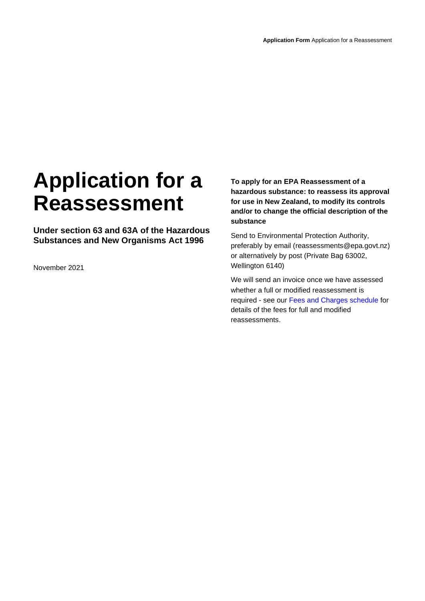# **Application for a Reassessment**

**Under section 63 and 63A of the Hazardous Substances and New Organisms Act 1996**

November 2021

**To apply for an EPA Reassessment of a hazardous substance: to reassess its approval for use in New Zealand, to modify its controls and/or to change the official description of the substance**

Send to Environmental Protection Authority, preferably by email (reassessments@epa.govt.nz) or alternatively by post (Private Bag 63002, Wellington 6140)

We will send an invoice once we have assessed whether a full or modified reassessment is required - see our [Fees and Charges schedule](https://www.epa.govt.nz/applications-and-permits/fees-and-charges/) for details of the fees for full and modified reassessments.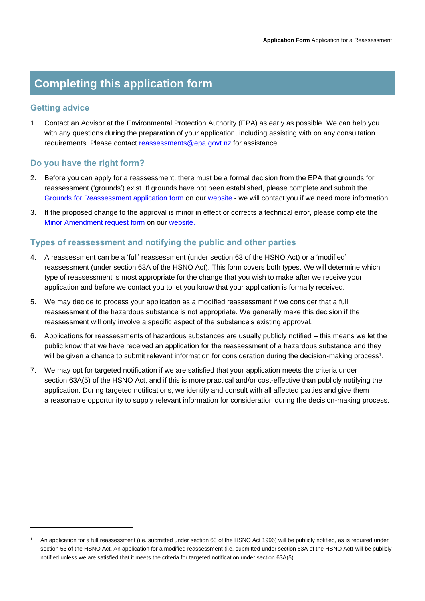## **Completing this application form**

## **Getting advice**

1. Contact an Advisor at the Environmental Protection Authority (EPA) as early as possible. We can help you with any questions during the preparation of your application, including assisting with on any consultation requirements. Please contact [reassessments@epa.govt.nz](mailto:reassessments@epa.govt.nz) for assistance.

## **Do you have the right form?**

- 2. Before you can apply for a reassessment, there must be a formal decision from the EPA that grounds for reassessment ('grounds') exist. If grounds have not been established, please complete and submit the [Grounds for Reassessment application form](https://www.epa.govt.nz/assets/Uploads/Documents/Hazardous-Substances/Forms/70552444c8/HS-grounds-for-reassessment-application-form.docx) on our [website](https://www.epa.govt.nz/industry-areas/hazardous-substances/chemical-reassessment-programme/apply/?accordion-anchor=864) - we will contact you if we need more information.
- 3. If the proposed change to the approval is minor in effect or corrects a technical error, please complete the [Minor Amendment](https://www.epa.govt.nz/assets/Uploads/Documents/Hazardous-Substances/Forms/d68df00737/HS-minor-amendment-application-form.docx) request form on our [website.](https://www.epa.govt.nz/industry-areas/hazardous-substances/chemical-reassessment-programme/apply/?accordion-anchor=864)

## **Types of reassessment and notifying the public and other parties**

- 4. A reassessment can be a 'full' reassessment (under section 63 of the HSNO Act) or a 'modified' reassessment (under section 63A of the HSNO Act). This form covers both types. We will determine which type of reassessment is most appropriate for the change that you wish to make after we receive your application and before we contact you to let you know that your application is formally received.
- 5. We may decide to process your application as a modified reassessment if we consider that a full reassessment of the hazardous substance is not appropriate. We generally make this decision if the reassessment will only involve a specific aspect of the substance's existing approval.
- 6. Applications for reassessments of hazardous substances are usually publicly notified this means we let the public know that we have received an application for the reassessment of a hazardous substance and they will be given a chance to submit relevant information for consideration during the decision-making process<sup>1</sup>.
- 7. We may opt for targeted notification if we are satisfied that your application meets the criteria under section 63A(5) of the HSNO Act, and if this is more practical and/or cost-effective than publicly notifying the application. During targeted notifications, we identify and consult with all affected parties and give them a reasonable opportunity to supply relevant information for consideration during the decision-making process.

<sup>1</sup> An application for a full reassessment (i.e. submitted under section 63 of the HSNO Act 1996) will be publicly notified, as is required under section 53 of the HSNO Act. An application for a modified reassessment (i.e. submitted under section 63A of the HSNO Act) will be publicly notified unless we are satisfied that it meets the criteria for targeted notification under section 63A(5).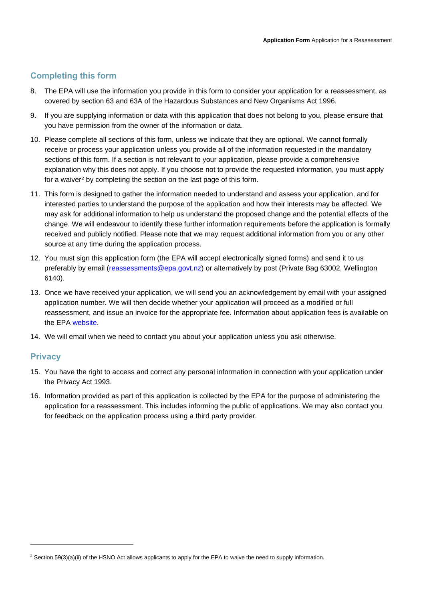## **Completing this form**

- 8. The EPA will use the information you provide in this form to consider your application for a reassessment, as covered by section 63 and 63A of the Hazardous Substances and New Organisms Act 1996.
- 9. If you are supplying information or data with this application that does not belong to you, please ensure that you have permission from the owner of the information or data.
- 10. Please complete all sections of this form, unless we indicate that they are optional. We cannot formally receive or process your application unless you provide all of the information requested in the mandatory sections of this form. If a section is not relevant to your application, please provide a comprehensive explanation why this does not apply. If you choose not to provide the requested information, you must apply for a waiver<sup>2</sup> by completing the section on the last page of this form.
- 11. This form is designed to gather the information needed to understand and assess your application, and for interested parties to understand the purpose of the application and how their interests may be affected. We may ask for additional information to help us understand the proposed change and the potential effects of the change. We will endeavour to identify these further information requirements before the application is formally received and publicly notified. Please note that we may request additional information from you or any other source at any time during the application process.
- 12. You must sign this application form (the EPA will accept electronically signed forms) and send it to us preferably by email [\(reassessments@epa.govt.nz\)](mailto:reassessments@epa.govt.nz) or alternatively by post (Private Bag 63002, Wellington 6140).
- 13. Once we have received your application, we will send you an acknowledgement by email with your assigned application number. We will then decide whether your application will proceed as a modified or full reassessment, and issue an invoice for the appropriate fee. Information about application fees is available on the EPA [website.](https://www.epa.govt.nz/applications-and-permits/fees-and-charges/)
- 14. We will email when we need to contact you about your application unless you ask otherwise.

## **Privacy**

- 15. You have the right to access and correct any personal information in connection with your application under the Privacy Act 1993.
- 16. Information provided as part of this application is collected by the EPA for the purpose of administering the application for a reassessment. This includes informing the public of applications. We may also contact you for feedback on the application process using a third party provider.

<sup>&</sup>lt;sup>2</sup> Section 59(3)(a)(ii) of the HSNO Act allows applicants to apply for the EPA to waive the need to supply information.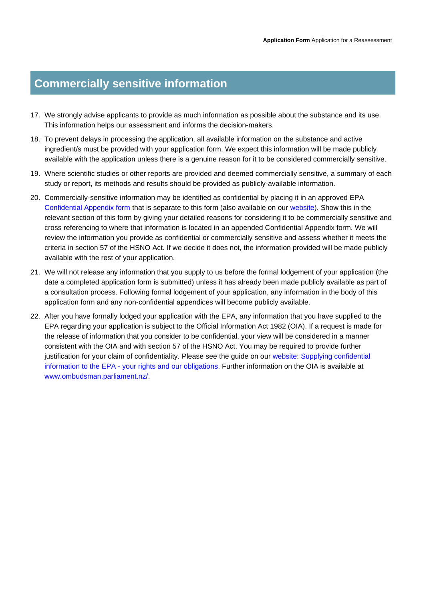## **Commercially sensitive information**

- 17. We strongly advise applicants to provide as much information as possible about the substance and its use. This information helps our assessment and informs the decision-makers.
- 18. To prevent delays in processing the application, all available information on the substance and active ingredient/s must be provided with your application form. We expect this information will be made publicly available with the application unless there is a genuine reason for it to be considered commercially sensitive.
- 19. Where scientific studies or other reports are provided and deemed commercially sensitive, a summary of each study or report, its methods and results should be provided as publicly-available information.
- 20. Commercially-sensitive information may be identified as confidential by placing it in an approved EPA [Confidential Appendix form](https://www.epa.govt.nz/assets/Uploads/Documents/Hazardous-Substances/Forms/e0a757d545/Confidential-Appendix-for-all-Hazardous-Substances-applications.docx) that is separate to this form (also available on our [website\)](https://www.epa.govt.nz/assets/Uploads/Documents/Hazardous-Substances/Forms/e0a757d545/Confidential-Appendix-for-all-Hazardous-Substances-applications.docx). Show this in the relevant section of this form by giving your detailed reasons for considering it to be commercially sensitive and cross referencing to where that information is located in an appended Confidential Appendix form. We will review the information you provide as confidential or commercially sensitive and assess whether it meets the criteria in section 57 of the HSNO Act. If we decide it does not, the information provided will be made publicly available with the rest of your application.
- 21. We will not release any information that you supply to us before the formal lodgement of your application (the date a completed application form is submitted) unless it has already been made publicly available as part of a consultation process. Following formal lodgement of your application, any information in the body of this application form and any non-confidential appendices will become publicly available.
- 22. After you have formally lodged your application with the EPA, any information that you have supplied to the EPA regarding your application is subject to the Official Information Act 1982 (OIA). If a request is made for the release of information that you consider to be confidential, your view will be considered in a manner consistent with the OIA and with section 57 of the HSNO Act. You may be required to provide further justification for your claim of confidentiality. Please see the guide on our [website: Supplying confidential](https://www.epa.govt.nz/assets/Uploads/Documents/Hazardous-Substances/Guidance/88d0ce39e6/Supplying-confidential-information-to-the-EPA-your-rights-and-our-obligations.pdf)  information to the EPA - [your rights and our obligations.](https://www.epa.govt.nz/assets/Uploads/Documents/Hazardous-Substances/Guidance/88d0ce39e6/Supplying-confidential-information-to-the-EPA-your-rights-and-our-obligations.pdf) Further information on the OIA is available at [www.ombudsman.parliament.nz/.](http://www.ombudsman.parliament.nz/)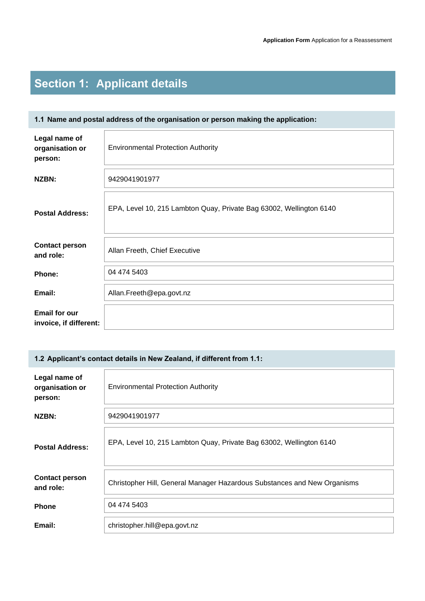# **Section 1: Applicant details**

## **1.1 Name and postal address of the organisation or person making the application:**

| Legal name of<br>organisation or<br>person:    | <b>Environmental Protection Authority</b>                           |
|------------------------------------------------|---------------------------------------------------------------------|
| NZBN:                                          | 9429041901977                                                       |
| <b>Postal Address:</b>                         | EPA, Level 10, 215 Lambton Quay, Private Bag 63002, Wellington 6140 |
| <b>Contact person</b><br>and role:             | Allan Freeth, Chief Executive                                       |
| Phone:                                         | 04 474 5403                                                         |
| Email:                                         | Allan.Freeth@epa.govt.nz                                            |
| <b>Email for our</b><br>invoice, if different: |                                                                     |

## **1.2 Applicant's contact details in New Zealand, if different from 1.1:**

| Legal name of<br>organisation or<br>person: | <b>Environmental Protection Authority</b>                                |
|---------------------------------------------|--------------------------------------------------------------------------|
| NZBN:                                       | 9429041901977                                                            |
| <b>Postal Address:</b>                      | EPA, Level 10, 215 Lambton Quay, Private Bag 63002, Wellington 6140      |
| <b>Contact person</b><br>and role:          | Christopher Hill, General Manager Hazardous Substances and New Organisms |
| <b>Phone</b>                                | 04 474 5403                                                              |
| Email:                                      | christopher.hill@epa.govt.nz                                             |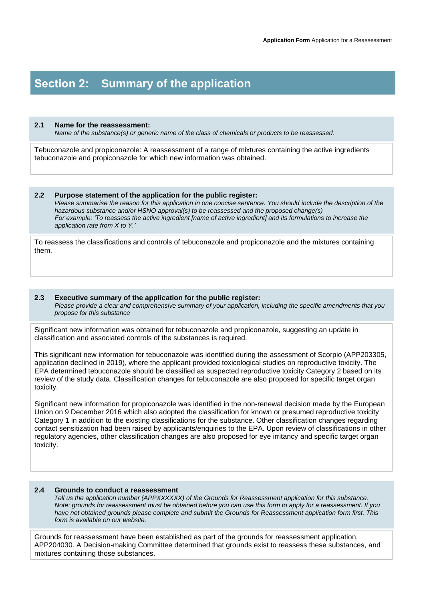## **Section 2: Summary of the application**

#### **2.1 Name for the reassessment:**

*Name of the substance(s) or generic name of the class of chemicals or products to be reassessed.*

Tebuconazole and propiconazole: A reassessment of a range of mixtures containing the active ingredients tebuconazole and propiconazole for which new information was obtained.

#### **2.2 Purpose statement of the application for the public register:**

*Please summarise the reason for this application in one concise sentence. You should include the description of the hazardous substance and/or HSNO approval(s) to be reassessed and the proposed change(s) For example: 'To reassess the active ingredient [name of active ingredient] and its formulations to increase the application rate from X to Y.'*

To reassess the classifications and controls of tebuconazole and propiconazole and the mixtures containing them.

#### **2.3 Executive summary of the application for the public register:**  *Please provide a clear and comprehensive summary of your application, including the specific amendments that you propose for this substance*

Significant new information was obtained for tebuconazole and propiconazole, suggesting an update in classification and associated controls of the substances is required.

This significant new information for tebuconazole was identified during the assessment of Scorpio (APP203305, application declined in 2019), where the applicant provided toxicological studies on reproductive toxicity. The EPA determined tebuconazole should be classified as suspected reproductive toxicity Category 2 based on its review of the study data. Classification changes for tebuconazole are also proposed for specific target organ toxicity.

Significant new information for propiconazole was identified in the non-renewal decision made by the European Union on 9 December 2016 which also adopted the classification for known or presumed reproductive toxicity Category 1 in addition to the existing classifications for the substance. Other classification changes regarding contact sensitization had been raised by applicants/enquiries to the EPA. Upon review of classifications in other regulatory agencies, other classification changes are also proposed for eye irritancy and specific target organ toxicity.

### **2.4 Grounds to conduct a reassessment**

 *Tell us the application number (APPXXXXXX) of the Grounds for Reassessment application for this substance. Note: grounds for reassessment must be obtained before you can use this form to apply for a reassessment. If you have not obtained grounds please complete and submit the Grounds for Reassessment application form first. This form is available on our website.*

Grounds for reassessment have been established as part of the grounds for reassessment application, APP204030. A Decision-making Committee determined that grounds exist to reassess these substances, and mixtures containing those substances.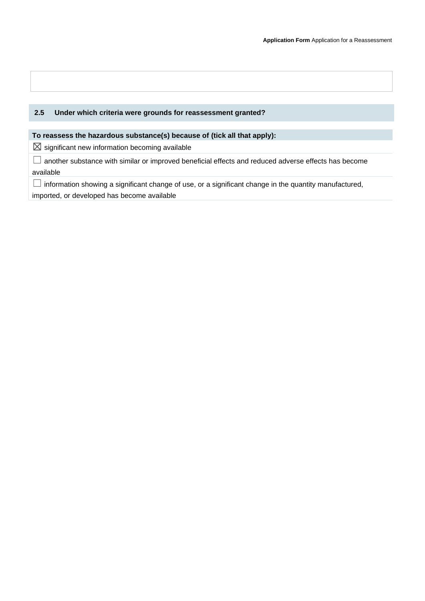## **2.5 Under which criteria were grounds for reassessment granted?**

## **To reassess the hazardous substance(s) because of (tick all that apply):**

 $\boxtimes$  significant new information becoming available

☐ another substance with similar or improved beneficial effects and reduced adverse effects has become available

 $\Box$  information showing a significant change of use, or a significant change in the quantity manufactured, imported, or developed has become available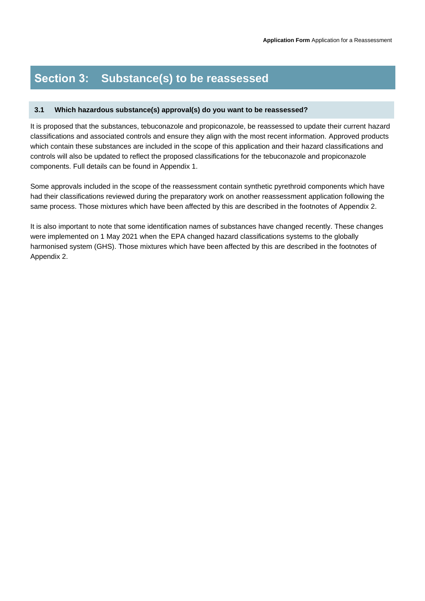## **Section 3: Substance(s) to be reassessed**

### **3.1 Which hazardous substance(s) approval(s) do you want to be reassessed?**

It is proposed that the substances, tebuconazole and propiconazole, be reassessed to update their current hazard classifications and associated controls and ensure they align with the most recent information. Approved products which contain these substances are included in the scope of this application and their hazard classifications and controls will also be updated to reflect the proposed classifications for the tebuconazole and propiconazole components. Full details can be found in Appendix 1.

Some approvals included in the scope of the reassessment contain synthetic pyrethroid components which have had their classifications reviewed during the preparatory work on another reassessment application following the same process. Those mixtures which have been affected by this are described in the footnotes of Appendix 2.

It is also important to note that some identification names of substances have changed recently. These changes were implemented on 1 May 2021 when the EPA changed hazard classifications systems to the globally harmonised system (GHS). Those mixtures which have been affected by this are described in the footnotes of Appendix 2.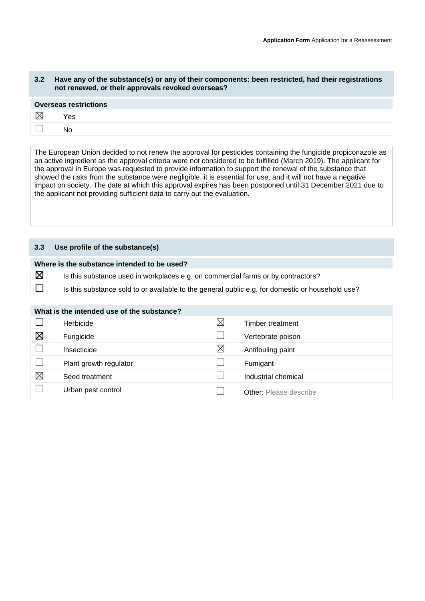### **3.2 Have any of the substance(s) or any of their components: been restricted, had their registrations not renewed, or their approvals revoked overseas?**

| <b>Overseas restrictions</b> |     |  |  |
|------------------------------|-----|--|--|
| IX                           | Yes |  |  |
|                              | Nο  |  |  |
|                              |     |  |  |

The European Union decided to not renew the approval for pesticides containing the fungicide propiconazole as an active ingredient as the approval criteria were not considered to be fulfilled (March 2019). The applicant for the approval in Europe was requested to provide information to support the renewal of the substance that showed the risks from the substance were negligible, it is essential for use, and it will not have a negative impact on society. The date at which this approval expires has been postponed until 31 December 2021 due to the applicant not providing sufficient data to carry out the evaluation.

## **3.3 Use profile of the substance(s)**

| Where is the substance intended to be used? |                                                                                                  |  |
|---------------------------------------------|--------------------------------------------------------------------------------------------------|--|
| 区                                           | Is this substance used in workplaces e.g. on commercial farms or by contractors?                 |  |
|                                             | Is this substance sold to or available to the general public e.g. for domestic or household use? |  |

|  | What is the intended use of the substance? |
|--|--------------------------------------------|
|  |                                            |

|             | Herbicide              | $\boxtimes$ | Timber treatment              |
|-------------|------------------------|-------------|-------------------------------|
| ⊠           | Fungicide              |             | Vertebrate poison             |
|             | Insecticide            | $\boxtimes$ | Antifouling paint             |
|             | Plant growth regulator |             | Fumigant                      |
| $\boxtimes$ | Seed treatment         |             | Industrial chemical           |
|             | Urban pest control     |             | <b>Other:</b> Please describe |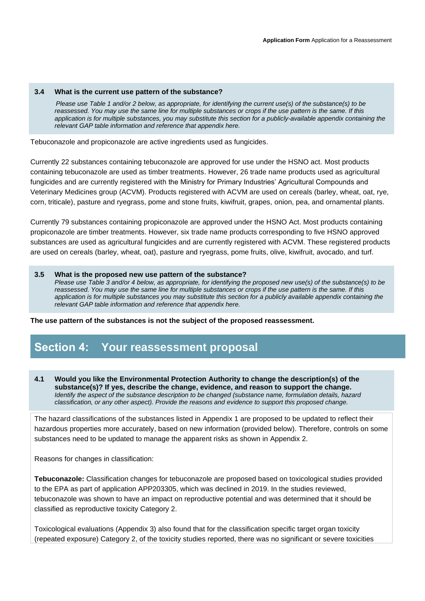#### **3.4 What is the current use pattern of the substance?**

 *Please use Table 1 and/or 2 below, as appropriate, for identifying the current use(s) of the substance(s) to be reassessed. You may use the same line for multiple substances or crops if the use pattern is the same. If this application is for multiple substances, you may substitute this section for a publicly-available appendix containing the relevant GAP table information and reference that appendix here.* 

Tebuconazole and propiconazole are active ingredients used as fungicides.

Currently 22 substances containing tebuconazole are approved for use under the HSNO act. Most products containing tebuconazole are used as timber treatments. However, 26 trade name products used as agricultural fungicides and are currently registered with the Ministry for Primary Industries' Agricultural Compounds and Veterinary Medicines group (ACVM). Products registered with ACVM are used on cereals (barley, wheat, oat, rye, corn, triticale), pasture and ryegrass, pome and stone fruits, kiwifruit, grapes, onion, pea, and ornamental plants.

Currently 79 substances containing propiconazole are approved under the HSNO Act. Most products containing propiconazole are timber treatments. However, six trade name products corresponding to five HSNO approved substances are used as agricultural fungicides and are currently registered with ACVM. These registered products are used on cereals (barley, wheat, oat), pasture and ryegrass, pome fruits, olive, kiwifruit, avocado, and turf.

#### **3.5 What is the proposed new use pattern of the substance?**

*Please use Table 3 and/or 4 below, as appropriate, for identifying the proposed new use(s) of the substance(s) to be reassessed. You may use the same line for multiple substances or crops if the use pattern is the same. If this application is for multiple substances you may substitute this section for a publicly available appendix containing the relevant GAP table information and reference that appendix here.* 

**The use pattern of the substances is not the subject of the proposed reassessment.**

## **Section 4: Your reassessment proposal**

**4.1 Would you like the Environmental Protection Authority to change the description(s) of the substance(s)? If yes, describe the change, evidence, and reason to support the change.**  *Identify the aspect of the substance description to be changed (substance name, formulation details, hazard classification, or any other aspect). Provide the reasons and evidence to support this proposed change.*

The hazard classifications of the substances listed in Appendix 1 are proposed to be updated to reflect their hazardous properties more accurately, based on new information (provided below). Therefore, controls on some substances need to be updated to manage the apparent risks as shown in Appendix 2.

Reasons for changes in classification:

**Tebuconazole:** Classification changes for tebuconazole are proposed based on toxicological studies provided to the EPA as part of application APP203305, which was declined in 2019. In the studies reviewed, tebuconazole was shown to have an impact on reproductive potential and was determined that it should be classified as reproductive toxicity Category 2.

Toxicological evaluations (Appendix 3) also found that for the classification specific target organ toxicity (repeated exposure) Category 2, of the toxicity studies reported, there was no significant or severe toxicities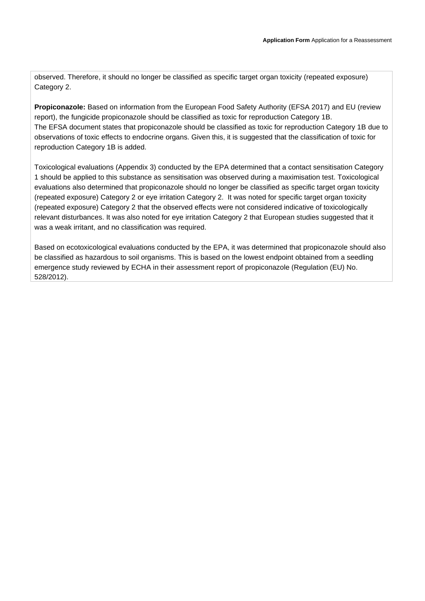observed. Therefore, it should no longer be classified as specific target organ toxicity (repeated exposure) Category 2.

**Propiconazole:** Based on information from the European Food Safety Authority (EFSA 2017) and EU (review report), the fungicide propiconazole should be classified as toxic for reproduction Category 1B. The EFSA document states that propiconazole should be classified as toxic for reproduction Category 1B due to observations of toxic effects to endocrine organs. Given this, it is suggested that the classification of toxic for reproduction Category 1B is added.

Toxicological evaluations (Appendix 3) conducted by the EPA determined that a contact sensitisation Category 1 should be applied to this substance as sensitisation was observed during a maximisation test. Toxicological evaluations also determined that propiconazole should no longer be classified as specific target organ toxicity (repeated exposure) Category 2 or eye irritation Category 2. It was noted for specific target organ toxicity (repeated exposure) Category 2 that the observed effects were not considered indicative of toxicologically relevant disturbances. It was also noted for eye irritation Category 2 that European studies suggested that it was a weak irritant, and no classification was required.

Based on ecotoxicological evaluations conducted by the EPA, it was determined that propiconazole should also be classified as hazardous to soil organisms. This is based on the lowest endpoint obtained from a seedling emergence study reviewed by ECHA in their assessment report of propiconazole (Regulation (EU) No. 528/2012).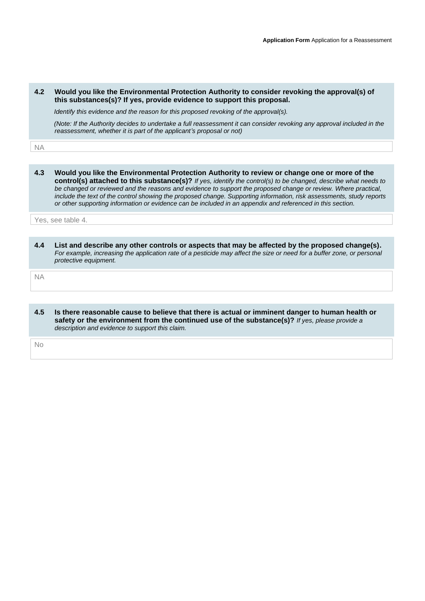#### **4.2 Would you like the Environmental Protection Authority to consider revoking the approval(s) of this substances(s)? If yes, provide evidence to support this proposal.**

 *Identify this evidence and the reason for this proposed revoking of the approval(s).* 

 *(Note: If the Authority decides to undertake a full reassessment it can consider revoking any approval included in the reassessment, whether it is part of the applicant's proposal or not)*

NA

**4.3 Would you like the Environmental Protection Authority to review or change one or more of the control(s) attached to this substance(s)?** *If yes, identify the control(s) to be changed, describe what needs to be changed or reviewed and the reasons and evidence to support the proposed change or review. Where practical, include the text of the control showing the proposed change. Supporting information, risk assessments, study reports or other supporting information or evidence can be included in an appendix and referenced in this section.*

Yes, see table 4.

**4.4 List and describe any other controls or aspects that may be affected by the proposed change(s).**  *For example, increasing the application rate of a pesticide may affect the size or need for a buffer zone, or personal protective equipment.*

NA

**4.5 Is there reasonable cause to believe that there is actual or imminent danger to human health or safety or the environment from the continued use of the substance(s)?** *If yes, please provide a description and evidence to support this claim.*

No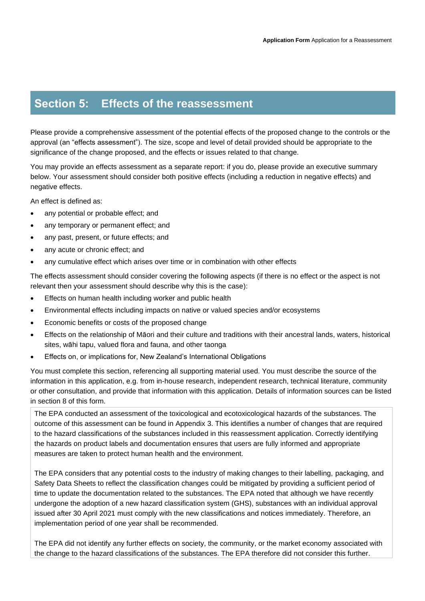## **Section 5: Effects of the reassessment**

Please provide a comprehensive assessment of the potential effects of the proposed change to the controls or the approval (an "effects assessment"). The size, scope and level of detail provided should be appropriate to the significance of the change proposed, and the effects or issues related to that change.

You may provide an effects assessment as a separate report: if you do, please provide an executive summary below. Your assessment should consider both positive effects (including a reduction in negative effects) and negative effects.

An effect is defined as:

- any potential or probable effect; and
- any temporary or permanent effect; and
- any past, present, or future effects; and
- any acute or chronic effect; and
- any cumulative effect which arises over time or in combination with other effects

The effects assessment should consider covering the following aspects (if there is no effect or the aspect is not relevant then your assessment should describe why this is the case):

- Effects on human health including worker and public health
- Environmental effects including impacts on native or valued species and/or ecosystems
- Economic benefits or costs of the proposed change
- Effects on the relationship of Māori and their culture and traditions with their ancestral lands, waters, historical sites, wāhi tapu, valued flora and fauna, and other taonga
- Effects on, or implications for, New Zealand's International Obligations

You must complete this section, referencing all supporting material used. You must describe the source of the information in this application, e.g. from in-house research, independent research, technical literature, community or other consultation, and provide that information with this application. Details of information sources can be listed in section 8 of this form.

The EPA conducted an assessment of the toxicological and ecotoxicological hazards of the substances. The outcome of this assessment can be found in Appendix 3. This identifies a number of changes that are required to the hazard classifications of the substances included in this reassessment application. Correctly identifying the hazards on product labels and documentation ensures that users are fully informed and appropriate measures are taken to protect human health and the environment.

The EPA considers that any potential costs to the industry of making changes to their labelling, packaging, and Safety Data Sheets to reflect the classification changes could be mitigated by providing a sufficient period of time to update the documentation related to the substances. The EPA noted that although we have recently undergone the adoption of a new hazard classification system (GHS), substances with an individual approval issued after 30 April 2021 must comply with the new classifications and notices immediately. Therefore, an implementation period of one year shall be recommended.

The EPA did not identify any further effects on society, the community, or the market economy associated with the change to the hazard classifications of the substances. The EPA therefore did not consider this further.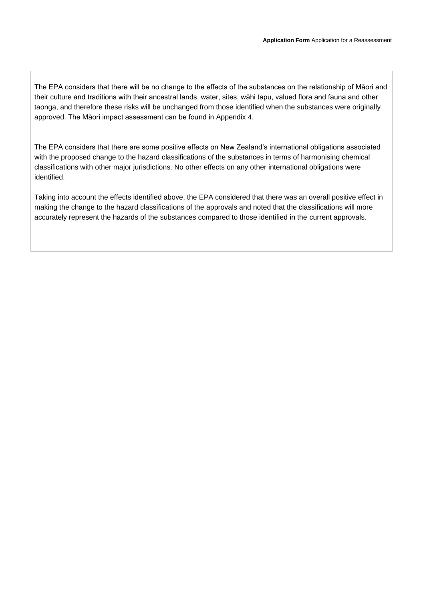The EPA considers that there will be no change to the effects of the substances on the relationship of Māori and their culture and traditions with their ancestral lands, water, sites, wāhi tapu, valued flora and fauna and other taonga, and therefore these risks will be unchanged from those identified when the substances were originally approved. The Māori impact assessment can be found in Appendix 4.

The EPA considers that there are some positive effects on New Zealand's international obligations associated with the proposed change to the hazard classifications of the substances in terms of harmonising chemical classifications with other major jurisdictions. No other effects on any other international obligations were identified.

Taking into account the effects identified above, the EPA considered that there was an overall positive effect in making the change to the hazard classifications of the approvals and noted that the classifications will more accurately represent the hazards of the substances compared to those identified in the current approvals.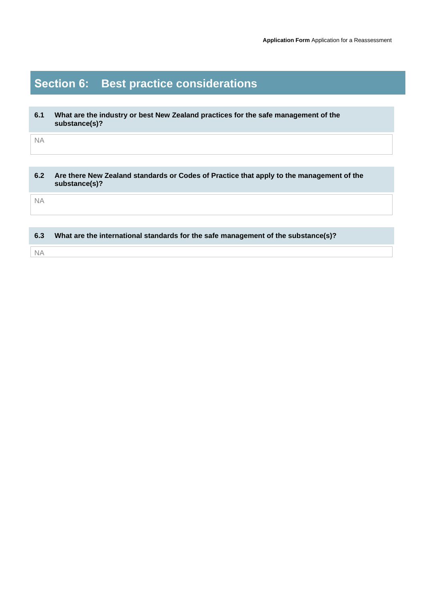# **Section 6: Best practice considerations**

| 6.1 | What are the industry or best New Zealand practices for the safe management of the |
|-----|------------------------------------------------------------------------------------|
|     | substance(s)?                                                                      |

NA

| 6.2       | Are there New Zealand standards or Codes of Practice that apply to the management of the<br>substance(s)? |
|-----------|-----------------------------------------------------------------------------------------------------------|
| <b>NA</b> |                                                                                                           |
|           |                                                                                                           |
| 6.3       | What are the international standards for the safe management of the substance(s)?                         |
| NА        |                                                                                                           |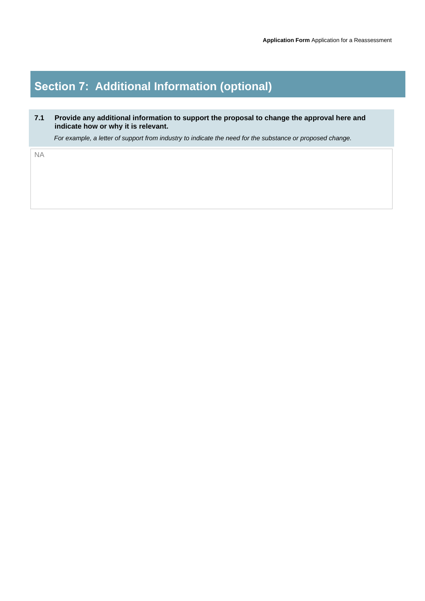## **Section 7: Additional Information (optional)**

## **7.1 Provide any additional information to support the proposal to change the approval here and indicate how or why it is relevant.**

 *For example, a letter of support from industry to indicate the need for the substance or proposed change.*

NA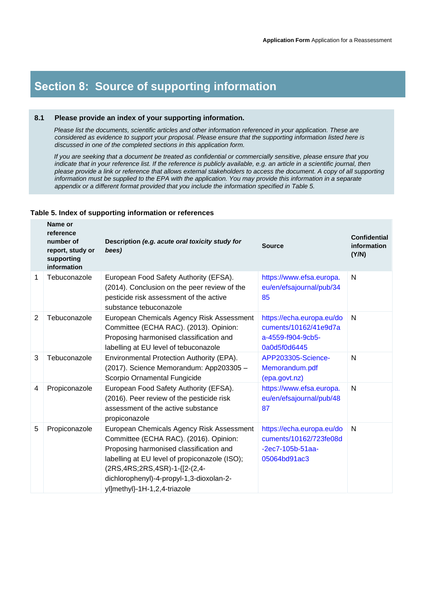## **Section 8: Source of supporting information**

#### **8.1 Please provide an index of your supporting information.**

 *Please list the documents, scientific articles and other information referenced in your application. These are considered as evidence to support your proposal. Please ensure that the supporting information listed here is discussed in one of the completed sections in this application form.* 

 *If you are seeking that a document be treated as confidential or commercially sensitive, please ensure that you indicate that in your reference list. If the reference is publicly available, e.g. an article in a scientific journal, then please provide a link or reference that allows external stakeholders to access the document. A copy of all supporting information must be supplied to the EPA with the application. You may provide this information in a separate appendix or a different format provided that you include the information specified in Table 5.*

#### **Table 5. Index of supporting information or references**

|   | Name or<br>reference<br>number of<br>report, study or<br>supporting<br>information | Description (e.g. acute oral toxicity study for<br>bees)                                                                                                                                                                                                                                                | <b>Source</b>                                                                             | <b>Confidential</b><br>information<br>(Y/N) |
|---|------------------------------------------------------------------------------------|---------------------------------------------------------------------------------------------------------------------------------------------------------------------------------------------------------------------------------------------------------------------------------------------------------|-------------------------------------------------------------------------------------------|---------------------------------------------|
| 1 | Tebuconazole                                                                       | European Food Safety Authority (EFSA).<br>(2014). Conclusion on the peer review of the<br>pesticide risk assessment of the active<br>substance tebuconazole                                                                                                                                             | https://www.efsa.europa.<br>eu/en/efsajournal/pub/34<br>85                                | $\mathsf{N}$                                |
| 2 | Tebuconazole                                                                       | European Chemicals Agency Risk Assessment<br>Committee (ECHA RAC). (2013). Opinion:<br>Proposing harmonised classification and<br>labelling at EU level of tebuconazole                                                                                                                                 | https://echa.europa.eu/do<br>cuments/10162/41e9d7a<br>a-4559-f904-9cb5-<br>0a0d5f0d6445   | $\mathsf{N}$                                |
| 3 | Tebuconazole                                                                       | Environmental Protection Authority (EPA).<br>(2017). Science Memorandum: App203305 -<br>Scorpio Ornamental Fungicide                                                                                                                                                                                    | APP203305-Science-<br>Memorandum.pdf<br>(epa.govt.nz)                                     | $\mathsf{N}$                                |
| 4 | Propiconazole                                                                      | European Food Safety Authority (EFSA).<br>(2016). Peer review of the pesticide risk<br>assessment of the active substance<br>propiconazole                                                                                                                                                              | https://www.efsa.europa.<br>eu/en/efsajournal/pub/48<br>87                                | $\mathsf{N}$                                |
| 5 | Propiconazole                                                                      | European Chemicals Agency Risk Assessment<br>Committee (ECHA RAC). (2016). Opinion:<br>Proposing harmonised classification and<br>labelling at EU level of propiconazole (ISO);<br>(2RS, 4RS; 2RS, 4SR) - 1 - {[2 - (2, 4 -<br>dichlorophenyl)-4-propyl-1,3-dioxolan-2-<br>yl]methyl}-1H-1,2,4-triazole | https://echa.europa.eu/do<br>cuments/10162/723fe08d<br>$-2ec7-105b-51aa-$<br>05064bd91ac3 | $\mathsf{N}$                                |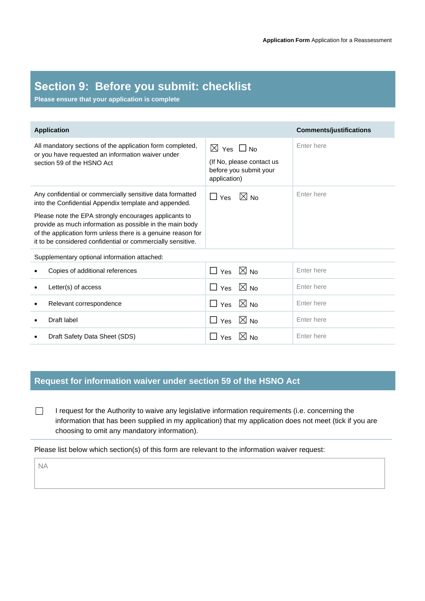## **Section 9: Before you submit: checklist**

**Please ensure that your application is complete**

| <b>Application</b>                                                                                                                                                                                                                                                                                                                                                     |                                                                                                  | <b>Comments/justifications</b> |
|------------------------------------------------------------------------------------------------------------------------------------------------------------------------------------------------------------------------------------------------------------------------------------------------------------------------------------------------------------------------|--------------------------------------------------------------------------------------------------|--------------------------------|
| All mandatory sections of the application form completed,<br>or you have requested an information waiver under<br>section 59 of the HSNO Act                                                                                                                                                                                                                           | $\boxtimes$ Yes $\Box$ No<br>(If No, please contact us<br>before you submit your<br>application) | Enter here                     |
| Any confidential or commercially sensitive data formatted<br>into the Confidential Appendix template and appended.<br>Please note the EPA strongly encourages applicants to<br>provide as much information as possible in the main body<br>of the application form unless there is a genuine reason for<br>it to be considered confidential or commercially sensitive. | $\boxtimes$ No<br>$\Box$ Yes                                                                     | Enter here                     |
| Supplementary optional information attached:                                                                                                                                                                                                                                                                                                                           |                                                                                                  |                                |
| Copies of additional references                                                                                                                                                                                                                                                                                                                                        | $\Box$ Yes $\boxtimes$ No                                                                        | Enter here                     |
| Letter(s) of access                                                                                                                                                                                                                                                                                                                                                    | $\Box$ Yes $\boxtimes$ No                                                                        | Enter here                     |
| Relevant correspondence<br>٠                                                                                                                                                                                                                                                                                                                                           | $\Box$ Yes $\boxtimes$ No                                                                        | Enter here                     |
| Draft label                                                                                                                                                                                                                                                                                                                                                            | $\Box$ Yes $\boxtimes$ No                                                                        | Enter here                     |
| Draft Safety Data Sheet (SDS)                                                                                                                                                                                                                                                                                                                                          | $\Box$ Yes $\boxtimes$ No                                                                        | Enter here                     |

## **Request for information waiver under section 59 of the HSNO Act**

□ I request for the Authority to waive any legislative information requirements (i.e. concerning the information that has been supplied in my application) that my application does not meet (tick if you are choosing to omit any mandatory information).

Please list below which section(s) of this form are relevant to the information waiver request:

NA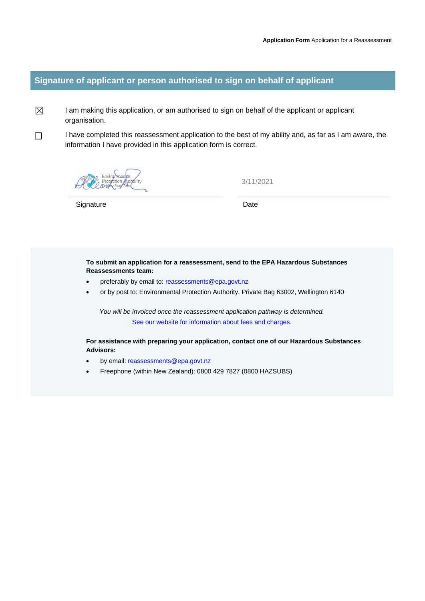## **Signature of applicant or person authorised to sign on behalf of applicant**

 $\boxtimes$  I am making this application, or am authorised to sign on behalf of the applicant or applicant organisation.

□ I have completed this reassessment application to the best of my ability and, as far as I am aware, the information I have provided in this application form is correct.

3/11/2021

Signature Date

**To submit an application for a reassessment, send to the EPA Hazardous Substances Reassessments team:**

- preferably by email to[: reassessments@epa.govt.nz](mailto:reassessments@epa.govt.nz)
- or by post to: Environmental Protection Authority, Private Bag 63002, Wellington 6140

*You will be invoiced once the reassessment application pathway is determined.* [See our website for information about fees and charges](https://www.epa.govt.nz/applications-and-permits/fees-and-charges/).

**For assistance with preparing your application, contact one of our Hazardous Substances Advisors:**

- by email: [reassessments@epa.govt.nz](mailto:reassessments@epa.govt.nz)
- Freephone (within New Zealand): 0800 429 7827 (0800 HAZSUBS)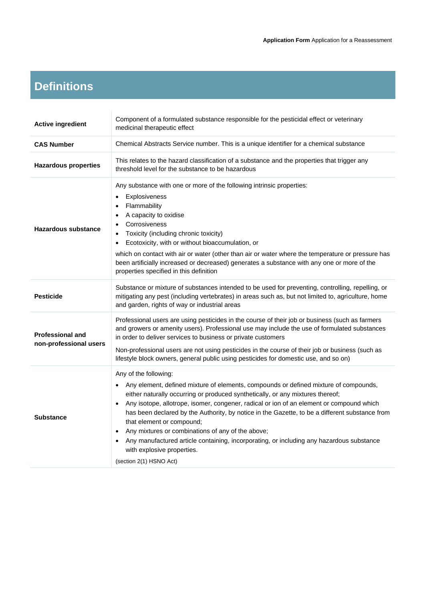## **Definitions**

| <b>Active ingredient</b>                          | Component of a formulated substance responsible for the pesticidal effect or veterinary<br>medicinal therapeutic effect                                                                                                                                                                                                                                                                                                                                                                                                                                                                                                                                                     |  |  |
|---------------------------------------------------|-----------------------------------------------------------------------------------------------------------------------------------------------------------------------------------------------------------------------------------------------------------------------------------------------------------------------------------------------------------------------------------------------------------------------------------------------------------------------------------------------------------------------------------------------------------------------------------------------------------------------------------------------------------------------------|--|--|
| <b>CAS Number</b>                                 | Chemical Abstracts Service number. This is a unique identifier for a chemical substance                                                                                                                                                                                                                                                                                                                                                                                                                                                                                                                                                                                     |  |  |
| <b>Hazardous properties</b>                       | This relates to the hazard classification of a substance and the properties that trigger any<br>threshold level for the substance to be hazardous                                                                                                                                                                                                                                                                                                                                                                                                                                                                                                                           |  |  |
| <b>Hazardous substance</b>                        | Any substance with one or more of the following intrinsic properties:<br>Explosiveness<br>$\bullet$<br>Flammability<br>$\bullet$<br>A capacity to oxidise<br>$\bullet$<br>Corrosiveness<br>$\bullet$<br>Toxicity (including chronic toxicity)<br>Ecotoxicity, with or without bioaccumulation, or<br>$\bullet$<br>which on contact with air or water (other than air or water where the temperature or pressure has<br>been artificially increased or decreased) generates a substance with any one or more of the<br>properties specified in this definition                                                                                                               |  |  |
| <b>Pesticide</b>                                  | Substance or mixture of substances intended to be used for preventing, controlling, repelling, or<br>mitigating any pest (including vertebrates) in areas such as, but not limited to, agriculture, home<br>and garden, rights of way or industrial areas                                                                                                                                                                                                                                                                                                                                                                                                                   |  |  |
| <b>Professional and</b><br>non-professional users | Professional users are using pesticides in the course of their job or business (such as farmers<br>and growers or amenity users). Professional use may include the use of formulated substances<br>in order to deliver services to business or private customers<br>Non-professional users are not using pesticides in the course of their job or business (such as<br>lifestyle block owners, general public using pesticides for domestic use, and so on)                                                                                                                                                                                                                 |  |  |
| <b>Substance</b>                                  | Any of the following:<br>Any element, defined mixture of elements, compounds or defined mixture of compounds,<br>$\bullet$<br>either naturally occurring or produced synthetically, or any mixtures thereof;<br>Any isotope, allotrope, isomer, congener, radical or ion of an element or compound which<br>$\bullet$<br>has been declared by the Authority, by notice in the Gazette, to be a different substance from<br>that element or compound;<br>Any mixtures or combinations of any of the above;<br>Any manufactured article containing, incorporating, or including any hazardous substance<br>$\bullet$<br>with explosive properties.<br>(section 2(1) HSNO Act) |  |  |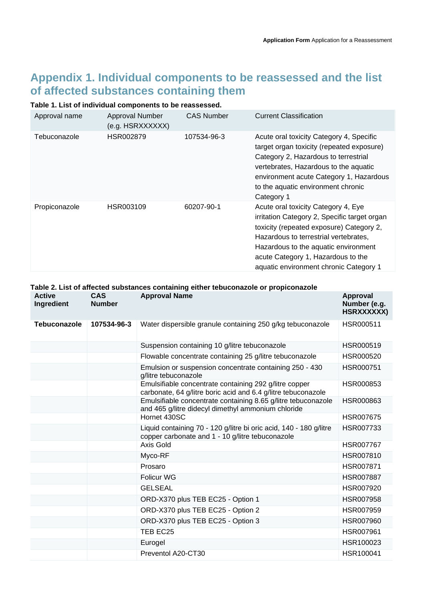## **Appendix 1. Individual components to be reassessed and the list of affected substances containing them**

## **Table 1. List of individual components to be reassessed.**

| Approval name | Approval Number<br>(e.g. HSRXXXXXX) | <b>CAS Number</b> | <b>Current Classification</b>                                                                                                                                                                                                                                                                    |
|---------------|-------------------------------------|-------------------|--------------------------------------------------------------------------------------------------------------------------------------------------------------------------------------------------------------------------------------------------------------------------------------------------|
| Tebuconazole  | HSR002879                           | 107534-96-3       | Acute oral toxicity Category 4, Specific<br>target organ toxicity (repeated exposure)<br>Category 2, Hazardous to terrestrial<br>vertebrates, Hazardous to the aquatic<br>environment acute Category 1, Hazardous<br>to the aquatic environment chronic<br>Category 1                            |
| Propiconazole | HSR003109                           | 60207-90-1        | Acute oral toxicity Category 4, Eye<br>irritation Category 2, Specific target organ<br>toxicity (repeated exposure) Category 2,<br>Hazardous to terrestrial vertebrates,<br>Hazardous to the aquatic environment<br>acute Category 1, Hazardous to the<br>aquatic environment chronic Category 1 |

|                             | Table 2. List of affected substances containing either tebuconazole or propiconazole |                                                                                                                         |                                               |  |  |
|-----------------------------|--------------------------------------------------------------------------------------|-------------------------------------------------------------------------------------------------------------------------|-----------------------------------------------|--|--|
| <b>Active</b><br>Ingredient | <b>CAS</b><br><b>Number</b>                                                          | <b>Approval Name</b>                                                                                                    | <b>Approval</b><br>Number (e.g.<br>HSRXXXXXX) |  |  |
| <b>Tebuconazole</b>         | 107534-96-3                                                                          | Water dispersible granule containing 250 g/kg tebuconazole                                                              | HSR000511                                     |  |  |
|                             |                                                                                      | Suspension containing 10 g/litre tebuconazole                                                                           | HSR000519                                     |  |  |
|                             |                                                                                      | Flowable concentrate containing 25 g/litre tebuconazole                                                                 | HSR000520                                     |  |  |
|                             |                                                                                      | Emulsion or suspension concentrate containing 250 - 430<br>g/litre tebuconazole                                         | HSR000751                                     |  |  |
|                             |                                                                                      | Emulsifiable concentrate containing 292 g/litre copper<br>carbonate, 64 g/litre boric acid and 6.4 g/litre tebuconazole | HSR000853                                     |  |  |
|                             |                                                                                      | Emulsifiable concentrate containing 8.65 g/litre tebuconazole<br>and 465 g/litre didecyl dimethyl ammonium chloride     | HSR000863                                     |  |  |
|                             |                                                                                      | Hornet 430SC                                                                                                            | <b>HSR007675</b>                              |  |  |
|                             |                                                                                      | Liquid containing 70 - 120 g/litre bi oric acid, 140 - 180 g/litre<br>copper carbonate and 1 - 10 g/litre tebuconazole  | HSR007733                                     |  |  |
|                             |                                                                                      | Axis Gold                                                                                                               | <b>HSR007767</b>                              |  |  |
|                             |                                                                                      | Myco-RF                                                                                                                 | HSR007810                                     |  |  |
|                             |                                                                                      | Prosaro                                                                                                                 | HSR007871                                     |  |  |
|                             |                                                                                      | <b>Folicur WG</b>                                                                                                       | <b>HSR007887</b>                              |  |  |
|                             |                                                                                      | <b>GELSEAL</b>                                                                                                          | HSR007920                                     |  |  |
|                             |                                                                                      | ORD-X370 plus TEB EC25 - Option 1                                                                                       | HSR007958                                     |  |  |
|                             |                                                                                      | ORD-X370 plus TEB EC25 - Option 2                                                                                       | HSR007959                                     |  |  |
|                             |                                                                                      | ORD-X370 plus TEB EC25 - Option 3                                                                                       | <b>HSR007960</b>                              |  |  |
|                             |                                                                                      | TEB EC25                                                                                                                | <b>HSR007961</b>                              |  |  |
|                             |                                                                                      | Eurogel                                                                                                                 | HSR100023                                     |  |  |
|                             |                                                                                      | Preventol A20-CT30                                                                                                      | HSR100041                                     |  |  |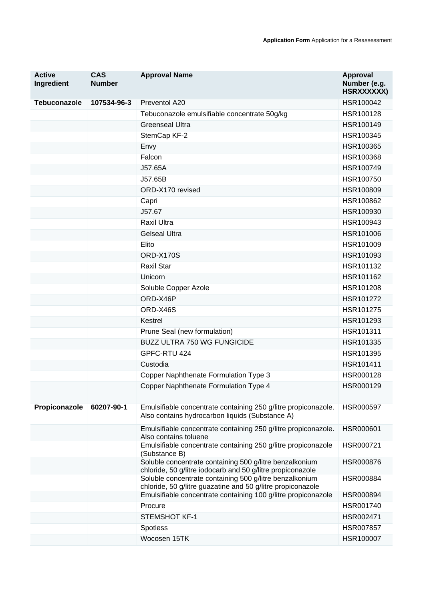| <b>Active</b><br>Ingredient | <b>CAS</b><br><b>Number</b> | <b>Approval Name</b>                                                                                                   | <b>Approval</b><br>Number (e.g.<br>HSRXXXXXX) |
|-----------------------------|-----------------------------|------------------------------------------------------------------------------------------------------------------------|-----------------------------------------------|
| <b>Tebuconazole</b>         | 107534-96-3                 | Preventol A20                                                                                                          | HSR100042                                     |
|                             |                             | Tebuconazole emulsifiable concentrate 50g/kg                                                                           | HSR100128                                     |
|                             |                             | <b>Greenseal Ultra</b>                                                                                                 | HSR100149                                     |
|                             |                             | StemCap KF-2                                                                                                           | HSR100345                                     |
|                             |                             | Envy                                                                                                                   | HSR100365                                     |
|                             |                             | Falcon                                                                                                                 | HSR100368                                     |
|                             |                             | J57.65A                                                                                                                | HSR100749                                     |
|                             |                             | J57.65B                                                                                                                | HSR100750                                     |
|                             |                             | ORD-X170 revised                                                                                                       | HSR100809                                     |
|                             |                             | Capri                                                                                                                  | HSR100862                                     |
|                             |                             | J57.67                                                                                                                 | HSR100930                                     |
|                             |                             | Raxil Ultra                                                                                                            | HSR100943                                     |
|                             |                             | <b>Gelseal Ultra</b>                                                                                                   | HSR101006                                     |
|                             |                             | Elito                                                                                                                  | HSR101009                                     |
|                             |                             | <b>ORD-X170S</b>                                                                                                       | HSR101093                                     |
|                             |                             | <b>Raxil Star</b>                                                                                                      | HSR101132                                     |
|                             |                             | Unicorn                                                                                                                | HSR101162                                     |
|                             |                             | Soluble Copper Azole                                                                                                   | HSR101208                                     |
|                             |                             | ORD-X46P                                                                                                               | HSR101272                                     |
|                             |                             | ORD-X46S                                                                                                               | HSR101275                                     |
|                             |                             | Kestrel                                                                                                                | HSR101293                                     |
|                             |                             | Prune Seal (new formulation)                                                                                           | HSR101311                                     |
|                             |                             | <b>BUZZ ULTRA 750 WG FUNGICIDE</b>                                                                                     | HSR101335                                     |
|                             |                             | GPFC-RTU 424                                                                                                           | HSR101395                                     |
|                             |                             | Custodia                                                                                                               | HSR101411                                     |
|                             |                             | Copper Naphthenate Formulation Type 3                                                                                  | HSR000128                                     |
|                             |                             | Copper Naphthenate Formulation Type 4                                                                                  | HSR000129                                     |
| Propiconazole               | 60207-90-1                  | Emulsifiable concentrate containing 250 g/litre propiconazole.<br>Also contains hydrocarbon liquids (Substance A)      | HSR000597                                     |
|                             |                             | Emulsifiable concentrate containing 250 g/litre propiconazole.<br>Also contains toluene                                | HSR000601                                     |
|                             |                             | Emulsifiable concentrate containing 250 g/litre propiconazole<br>(Substance B)                                         | HSR000721                                     |
|                             |                             | Soluble concentrate containing 500 g/litre benzalkonium<br>chloride, 50 g/litre iodocarb and 50 g/litre propiconazole  | <b>HSR000876</b>                              |
|                             |                             | Soluble concentrate containing 500 g/litre benzalkonium<br>chloride, 50 g/litre guazatine and 50 g/litre propiconazole | HSR000884                                     |
|                             |                             | Emulsifiable concentrate containing 100 g/litre propiconazole                                                          | HSR000894                                     |
|                             |                             | Procure                                                                                                                | HSR001740                                     |
|                             |                             | <b>STEMSHOT KF-1</b>                                                                                                   | HSR002471                                     |
|                             |                             | Spotless                                                                                                               | HSR007857                                     |
|                             |                             | Wocosen 15TK                                                                                                           | HSR100007                                     |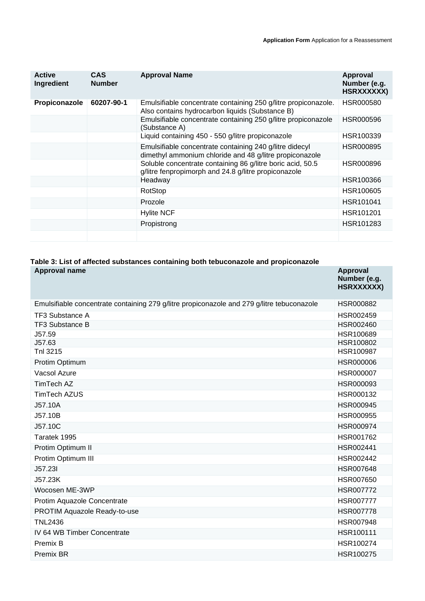| <b>Active</b><br>Ingredient | <b>CAS</b><br><b>Number</b> | <b>Approval Name</b>                                                                                               | Approval<br>Number (e.g.<br>HSRXXXXXX) |
|-----------------------------|-----------------------------|--------------------------------------------------------------------------------------------------------------------|----------------------------------------|
| Propiconazole               | 60207-90-1                  | Emulsifiable concentrate containing 250 g/litre propiconazole.<br>Also contains hydrocarbon liquids (Substance B)  | HSR000580                              |
|                             |                             | Emulsifiable concentrate containing 250 g/litre propiconazole<br>(Substance A)                                     | HSR000596                              |
|                             |                             | Liquid containing 450 - 550 g/litre propiconazole                                                                  | HSR100339                              |
|                             |                             | Emulsifiable concentrate containing 240 g/litre didecyl<br>dimethyl ammonium chloride and 48 g/litre propiconazole | <b>HSR000895</b>                       |
|                             |                             | Soluble concentrate containing 86 g/litre boric acid, 50.5<br>g/litre fenpropimorph and 24.8 g/litre propiconazole | HSR000896                              |
|                             |                             | Headway                                                                                                            | HSR100366                              |
|                             |                             | RotStop                                                                                                            | HSR100605                              |
|                             |                             | Prozole                                                                                                            | HSR101041                              |
|                             |                             | <b>Hylite NCF</b>                                                                                                  | HSR101201                              |
|                             |                             | Propistrong                                                                                                        | HSR101283                              |
|                             |                             |                                                                                                                    |                                        |

## **Table 3: List of affected substances containing both tebuconazole and propiconazole**

| <b>Approval name</b>                                                                       | <b>Approval</b><br>Number (e.g.<br>HSRXXXXXX) |
|--------------------------------------------------------------------------------------------|-----------------------------------------------|
| Emulsifiable concentrate containing 279 g/litre propiconazole and 279 g/litre tebuconazole | HSR000882                                     |
| <b>TF3 Substance A</b>                                                                     | HSR002459                                     |
| <b>TF3 Substance B</b>                                                                     | HSR002460                                     |
| J57.59                                                                                     | HSR100689                                     |
| J57.63                                                                                     | HSR100802                                     |
| Tnl 3215                                                                                   | HSR100987                                     |
| Protim Optimum                                                                             | <b>HSR000006</b>                              |
| Vacsol Azure                                                                               | HSR000007                                     |
| TimTech AZ                                                                                 | HSR000093                                     |
| <b>TimTech AZUS</b>                                                                        | HSR000132                                     |
| J57.10A                                                                                    | HSR000945                                     |
| J57.10B                                                                                    | HSR000955                                     |
| J57.10C                                                                                    | HSR000974                                     |
| Taratek 1995                                                                               | HSR001762                                     |
| Protim Optimum II                                                                          | HSR002441                                     |
| Protim Optimum III                                                                         | HSR002442                                     |
| J57.23I                                                                                    | <b>HSR007648</b>                              |
| J57.23K                                                                                    | HSR007650                                     |
| Wocosen ME-3WP                                                                             | HSR007772                                     |
| Protim Aquazole Concentrate                                                                | <b>HSR007777</b>                              |
| PROTIM Aquazole Ready-to-use                                                               | <b>HSR007778</b>                              |
| <b>TNL2436</b>                                                                             | HSR007948                                     |
| IV 64 WB Timber Concentrate                                                                | HSR100111                                     |
| Premix B                                                                                   | HSR100274                                     |
| <b>Premix BR</b>                                                                           | HSR100275                                     |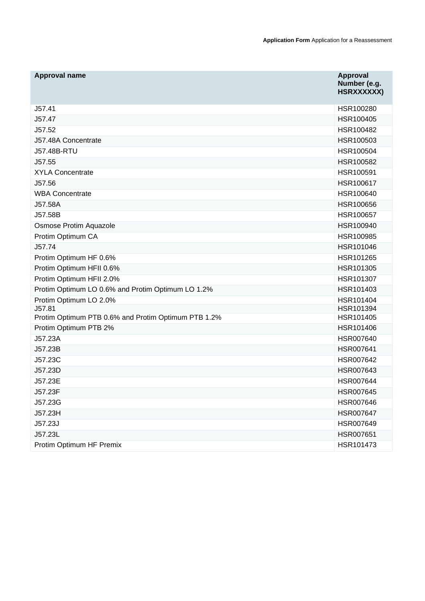| Approval name                                       | <b>Approval</b><br>Number (e.g.<br>HSRXXXXXX) |
|-----------------------------------------------------|-----------------------------------------------|
| J57.41                                              | HSR100280                                     |
| J57.47                                              | HSR100405                                     |
| J57.52                                              | HSR100482                                     |
| J57.48A Concentrate                                 | HSR100503                                     |
| <b>J57.48B-RTU</b>                                  | HSR100504                                     |
| J57.55                                              | HSR100582                                     |
| <b>XYLA Concentrate</b>                             | HSR100591                                     |
| J57.56                                              | HSR100617                                     |
| <b>WBA Concentrate</b>                              | HSR100640                                     |
| J57.58A                                             | HSR100656                                     |
| J57.58B                                             | HSR100657                                     |
| Osmose Protim Aquazole                              | HSR100940                                     |
| Protim Optimum CA                                   | HSR100985                                     |
| J57.74                                              | HSR101046                                     |
| Protim Optimum HF 0.6%                              | HSR101265                                     |
| Protim Optimum HFII 0.6%                            | HSR101305                                     |
| Protim Optimum HFII 2.0%                            | HSR101307                                     |
| Protim Optimum LO 0.6% and Protim Optimum LO 1.2%   | HSR101403                                     |
| Protim Optimum LO 2.0%                              | HSR101404                                     |
| J57.81                                              | HSR101394                                     |
| Protim Optimum PTB 0.6% and Protim Optimum PTB 1.2% | HSR101405                                     |
| Protim Optimum PTB 2%                               | HSR101406                                     |
| J57.23A                                             | HSR007640                                     |
| J57.23B                                             | HSR007641                                     |
| J57.23C                                             | HSR007642                                     |
| J57.23D                                             | HSR007643                                     |
| J57.23E                                             | HSR007644                                     |
| J57.23F                                             | HSR007645                                     |
| J57.23G                                             | HSR007646                                     |
| J57.23H                                             | HSR007647                                     |
| J57.23J                                             | HSR007649                                     |
| J57.23L                                             | HSR007651                                     |
| Protim Optimum HF Premix                            | HSR101473                                     |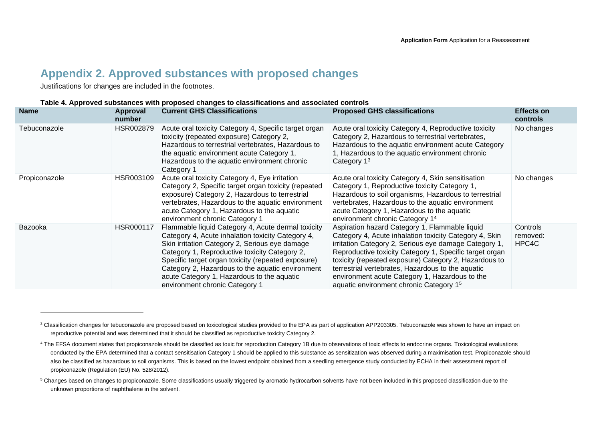## **Appendix 2. Approved substances with proposed changes**

Justifications for changes are included in the footnotes.

#### **Table 4. Approved substances with proposed changes to classifications and associated controls**

| <b>Name</b>   | Approval<br>number | <b>Current GHS Classifications</b>                                                                                                                                                                                                                                                                                                                                                                   | <b>Proposed GHS classifications</b>                                                                                                                                                                                                                                                                                                                                                                                                                 | <b>Effects on</b><br>controls |
|---------------|--------------------|------------------------------------------------------------------------------------------------------------------------------------------------------------------------------------------------------------------------------------------------------------------------------------------------------------------------------------------------------------------------------------------------------|-----------------------------------------------------------------------------------------------------------------------------------------------------------------------------------------------------------------------------------------------------------------------------------------------------------------------------------------------------------------------------------------------------------------------------------------------------|-------------------------------|
| Tebuconazole  | HSR002879          | Acute oral toxicity Category 4, Specific target organ<br>toxicity (repeated exposure) Category 2,<br>Hazardous to terrestrial vertebrates, Hazardous to<br>the aquatic environment acute Category 1,<br>Hazardous to the aquatic environment chronic<br>Category 1                                                                                                                                   | Acute oral toxicity Category 4, Reproductive toxicity<br>Category 2, Hazardous to terrestrial vertebrates,<br>Hazardous to the aquatic environment acute Category<br>1, Hazardous to the aquatic environment chronic<br>Category $13$                                                                                                                                                                                                               | No changes                    |
| Propiconazole | HSR003109          | Acute oral toxicity Category 4, Eye irritation<br>Category 2, Specific target organ toxicity (repeated<br>exposure) Category 2, Hazardous to terrestrial<br>vertebrates, Hazardous to the aquatic environment<br>acute Category 1, Hazardous to the aquatic<br>environment chronic Category 1                                                                                                        | Acute oral toxicity Category 4, Skin sensitisation<br>Category 1, Reproductive toxicity Category 1,<br>Hazardous to soil organisms, Hazardous to terrestrial<br>vertebrates, Hazardous to the aquatic environment<br>acute Category 1, Hazardous to the aquatic<br>environment chronic Category 14                                                                                                                                                  | No changes                    |
| Bazooka       | HSR000117          | Flammable liquid Category 4, Acute dermal toxicity<br>Category 4, Acute inhalation toxicity Category 4,<br>Skin irritation Category 2, Serious eye damage<br>Category 1, Reproductive toxicity Category 2,<br>Specific target organ toxicity (repeated exposure)<br>Category 2, Hazardous to the aquatic environment<br>acute Category 1, Hazardous to the aquatic<br>environment chronic Category 1 | Aspiration hazard Category 1, Flammable liquid<br>Category 4, Acute inhalation toxicity Category 4, Skin<br>irritation Category 2, Serious eye damage Category 1,<br>Reproductive toxicity Category 1, Specific target organ<br>toxicity (repeated exposure) Category 2, Hazardous to<br>terrestrial vertebrates, Hazardous to the aquatic<br>environment acute Category 1, Hazardous to the<br>aquatic environment chronic Category 1 <sup>5</sup> | Controls<br>removed:<br>HPC4C |

<sup>&</sup>lt;sup>3</sup> Classification changes for tebuconazole are proposed based on toxicological studies provided to the EPA as part of application APP203305. Tebuconazole was shown to have an impact on reproductive potential and was determined that it should be classified as reproductive toxicity Category 2.

<sup>&</sup>lt;sup>4</sup> The EFSA document states that propiconazole should be classified as toxic for reproduction Category 1B due to observations of toxic effects to endocrine organs. Toxicological evaluations conducted by the EPA determined that a contact sensitisation Category 1 should be applied to this substance as sensitization was observed during a maximisation test. Propiconazole should also be classified as hazardous to soil organisms. This is based on the lowest endpoint obtained from a seedling emergence study conducted by ECHA in their assessment report of propiconazole (Regulation (EU) No. 528/2012).

<sup>&</sup>lt;sup>5</sup> Changes based on changes to propiconazole. Some classifications usually triggered by aromatic hydrocarbon solvents have not been included in this proposed classification due to the unknown proportions of naphthalene in the solvent.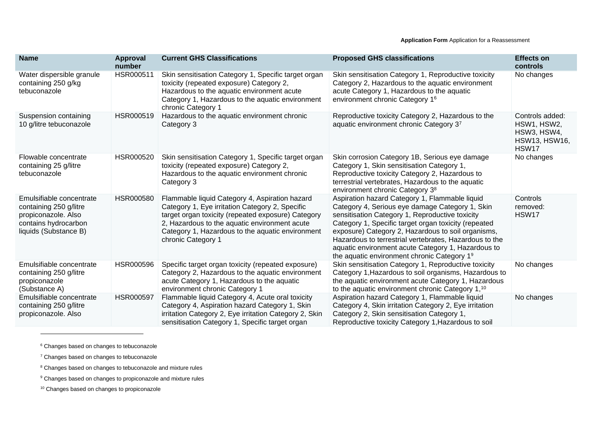| <b>Name</b>                                                                                                                | Approval<br>number | <b>Current GHS Classifications</b>                                                                                                                                                                                                                                                 | <b>Proposed GHS classifications</b>                                                                                                                                                                                                                                                                                                                                                                                               | <b>Effects on</b><br>controls                                                  |
|----------------------------------------------------------------------------------------------------------------------------|--------------------|------------------------------------------------------------------------------------------------------------------------------------------------------------------------------------------------------------------------------------------------------------------------------------|-----------------------------------------------------------------------------------------------------------------------------------------------------------------------------------------------------------------------------------------------------------------------------------------------------------------------------------------------------------------------------------------------------------------------------------|--------------------------------------------------------------------------------|
| Water dispersible granule<br>containing 250 g/kg<br>tebuconazole                                                           | HSR000511          | Skin sensitisation Category 1, Specific target organ<br>toxicity (repeated exposure) Category 2,<br>Hazardous to the aquatic environment acute<br>Category 1, Hazardous to the aquatic environment<br>chronic Category 1                                                           | Skin sensitisation Category 1, Reproductive toxicity<br>Category 2, Hazardous to the aquatic environment<br>acute Category 1, Hazardous to the aquatic<br>environment chronic Category 16                                                                                                                                                                                                                                         | No changes                                                                     |
| Suspension containing<br>10 g/litre tebuconazole                                                                           | HSR000519          | Hazardous to the aquatic environment chronic<br>Category 3                                                                                                                                                                                                                         | Reproductive toxicity Category 2, Hazardous to the<br>aquatic environment chronic Category 37                                                                                                                                                                                                                                                                                                                                     | Controls added:<br>HSW1, HSW2,<br>HSW3, HSW4,<br><b>HSW13, HSW16,</b><br>HSW17 |
| Flowable concentrate<br>containing 25 g/litre<br>tebuconazole                                                              | HSR000520          | Skin sensitisation Category 1, Specific target organ<br>toxicity (repeated exposure) Category 2,<br>Hazardous to the aquatic environment chronic<br>Category 3                                                                                                                     | Skin corrosion Category 1B, Serious eye damage<br>Category 1, Skin sensitisation Category 1,<br>Reproductive toxicity Category 2, Hazardous to<br>terrestrial vertebrates, Hazardous to the aquatic<br>environment chronic Category 3 <sup>8</sup>                                                                                                                                                                                | No changes                                                                     |
| Emulsifiable concentrate<br>containing 250 g/litre<br>propiconazole. Also<br>contains hydrocarbon<br>liquids (Substance B) | <b>HSR000580</b>   | Flammable liquid Category 4, Aspiration hazard<br>Category 1, Eye irritation Category 2, Specific<br>target organ toxicity (repeated exposure) Category<br>2, Hazardous to the aquatic environment acute<br>Category 1, Hazardous to the aquatic environment<br>chronic Category 1 | Aspiration hazard Category 1, Flammable liquid<br>Category 4, Serious eye damage Category 1, Skin<br>sensitisation Category 1, Reproductive toxicity<br>Category 1, Specific target organ toxicity (repeated<br>exposure) Category 2, Hazardous to soil organisms,<br>Hazardous to terrestrial vertebrates, Hazardous to the<br>aquatic environment acute Category 1, Hazardous to<br>the aquatic environment chronic Category 19 | Controls<br>removed:<br>HSW17                                                  |
| Emulsifiable concentrate<br>containing 250 g/litre<br>propiconazole<br>(Substance A)                                       | HSR000596          | Specific target organ toxicity (repeated exposure)<br>Category 2, Hazardous to the aquatic environment<br>acute Category 1, Hazardous to the aquatic<br>environment chronic Category 1                                                                                             | Skin sensitisation Category 1, Reproductive toxicity<br>Category 1, Hazardous to soil organisms, Hazardous to<br>the aquatic environment acute Category 1, Hazardous<br>to the aquatic environment chronic Category 1, <sup>10</sup>                                                                                                                                                                                              | No changes                                                                     |
| Emulsifiable concentrate<br>containing 250 g/litre<br>propiconazole. Also                                                  | <b>HSR000597</b>   | Flammable liquid Category 4, Acute oral toxicity<br>Category 4, Aspiration hazard Category 1, Skin<br>irritation Category 2, Eye irritation Category 2, Skin<br>sensitisation Category 1, Specific target organ                                                                    | Aspiration hazard Category 1, Flammable liquid<br>Category 4, Skin irritation Category 2, Eye irritation<br>Category 2, Skin sensitisation Category 1,<br>Reproductive toxicity Category 1, Hazardous to soil                                                                                                                                                                                                                     | No changes                                                                     |

<sup>6</sup> Changes based on changes to tebuconazole

<u> 1980 - Johann Barbara, martxa a</u>

<sup>10</sup> Changes based on changes to propiconazole

<sup>7</sup> Changes based on changes to tebuconazole

<sup>8</sup> Changes based on changes to tebuconazole and mixture rules

<sup>&</sup>lt;sup>9</sup> Changes based on changes to propiconazole and mixture rules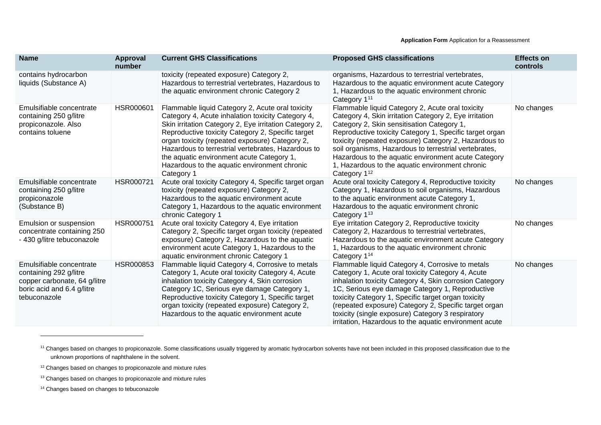| <b>Name</b>                                                                                                                      | <b>Approval</b><br>number | <b>Current GHS Classifications</b>                                                                                                                                                                                                                                                                                                                                                                                                      | <b>Proposed GHS classifications</b>                                                                                                                                                                                                                                                                                                                                                                                                                                         | <b>Effects on</b><br>controls |
|----------------------------------------------------------------------------------------------------------------------------------|---------------------------|-----------------------------------------------------------------------------------------------------------------------------------------------------------------------------------------------------------------------------------------------------------------------------------------------------------------------------------------------------------------------------------------------------------------------------------------|-----------------------------------------------------------------------------------------------------------------------------------------------------------------------------------------------------------------------------------------------------------------------------------------------------------------------------------------------------------------------------------------------------------------------------------------------------------------------------|-------------------------------|
| contains hydrocarbon<br>liquids (Substance A)                                                                                    |                           | toxicity (repeated exposure) Category 2,<br>Hazardous to terrestrial vertebrates, Hazardous to<br>the aquatic environment chronic Category 2                                                                                                                                                                                                                                                                                            | organisms, Hazardous to terrestrial vertebrates,<br>Hazardous to the aquatic environment acute Category<br>1, Hazardous to the aquatic environment chronic<br>Category 1 <sup>11</sup>                                                                                                                                                                                                                                                                                      |                               |
| Emulsifiable concentrate<br>containing 250 g/litre<br>propiconazole. Also<br>contains toluene                                    | HSR000601                 | Flammable liquid Category 2, Acute oral toxicity<br>Category 4, Acute inhalation toxicity Category 4,<br>Skin irritation Category 2, Eye irritation Category 2,<br>Reproductive toxicity Category 2, Specific target<br>organ toxicity (repeated exposure) Category 2,<br>Hazardous to terrestrial vertebrates, Hazardous to<br>the aquatic environment acute Category 1,<br>Hazardous to the aquatic environment chronic<br>Category 1 | Flammable liquid Category 2, Acute oral toxicity<br>Category 4, Skin irritation Category 2, Eye irritation<br>Category 2, Skin sensitisation Category 1,<br>Reproductive toxicity Category 1, Specific target organ<br>toxicity (repeated exposure) Category 2, Hazardous to<br>soil organisms, Hazardous to terrestrial vertebrates,<br>Hazardous to the aquatic environment acute Category<br>1, Hazardous to the aquatic environment chronic<br>Category 1 <sup>12</sup> | No changes                    |
| Emulsifiable concentrate<br>containing 250 g/litre<br>propiconazole<br>(Substance B)                                             | HSR000721                 | Acute oral toxicity Category 4, Specific target organ<br>toxicity (repeated exposure) Category 2,<br>Hazardous to the aquatic environment acute<br>Category 1, Hazardous to the aquatic environment<br>chronic Category 1                                                                                                                                                                                                               | Acute oral toxicity Category 4, Reproductive toxicity<br>Category 1, Hazardous to soil organisms, Hazardous<br>to the aquatic environment acute Category 1,<br>Hazardous to the aquatic environment chronic<br>Category 1 <sup>13</sup>                                                                                                                                                                                                                                     | No changes                    |
| Emulsion or suspension<br>concentrate containing 250<br>- 430 g/litre tebuconazole                                               | HSR000751                 | Acute oral toxicity Category 4, Eye irritation<br>Category 2, Specific target organ toxicity (repeated<br>exposure) Category 2, Hazardous to the aquatic<br>environment acute Category 1, Hazardous to the<br>aquatic environment chronic Category 1                                                                                                                                                                                    | Eye irritation Category 2, Reproductive toxicity<br>Category 2, Hazardous to terrestrial vertebrates,<br>Hazardous to the aquatic environment acute Category<br>1, Hazardous to the aquatic environment chronic<br>Category 1 <sup>14</sup>                                                                                                                                                                                                                                 | No changes                    |
| Emulsifiable concentrate<br>containing 292 g/litre<br>copper carbonate, 64 g/litre<br>boric acid and 6.4 g/litre<br>tebuconazole | HSR000853                 | Flammable liquid Category 4, Corrosive to metals<br>Category 1, Acute oral toxicity Category 4, Acute<br>inhalation toxicity Category 4, Skin corrosion<br>Category 1C, Serious eye damage Category 1,<br>Reproductive toxicity Category 1, Specific target<br>organ toxicity (repeated exposure) Category 2,<br>Hazardous to the aquatic environment acute                                                                             | Flammable liquid Category 4, Corrosive to metals<br>Category 1, Acute oral toxicity Category 4, Acute<br>inhalation toxicity Category 4, Skin corrosion Category<br>1C, Serious eye damage Category 1, Reproductive<br>toxicity Category 1, Specific target organ toxicity<br>(repeated exposure) Category 2, Specific target organ<br>toxicity (single exposure) Category 3 respiratory<br>irritation, Hazardous to the aquatic environment acute                          | No changes                    |

<sup>11</sup> Changes based on changes to propiconazole. Some classifications usually triggered by aromatic hydrocarbon solvents have not been included in this proposed classification due to the unknown proportions of naphthalene in the solvent.

<sup>12</sup> Changes based on changes to propiconazole and mixture rules

<sup>13</sup> Changes based on changes to propiconazole and mixture rules

<sup>14</sup> Changes based on changes to tebuconazole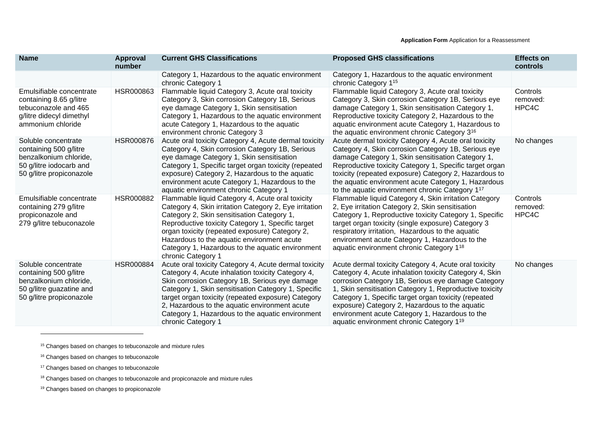| <b>Name</b>                                                                                                                     | <b>Approval</b><br>number | <b>Current GHS Classifications</b>                                                                                                                                                                                                                                                                                                                                                                   | <b>Proposed GHS classifications</b>                                                                                                                                                                                                                                                                                                                                                                                                                  | <b>Effects on</b><br>controls |
|---------------------------------------------------------------------------------------------------------------------------------|---------------------------|------------------------------------------------------------------------------------------------------------------------------------------------------------------------------------------------------------------------------------------------------------------------------------------------------------------------------------------------------------------------------------------------------|------------------------------------------------------------------------------------------------------------------------------------------------------------------------------------------------------------------------------------------------------------------------------------------------------------------------------------------------------------------------------------------------------------------------------------------------------|-------------------------------|
|                                                                                                                                 |                           | Category 1, Hazardous to the aquatic environment<br>chronic Category 1                                                                                                                                                                                                                                                                                                                               | Category 1, Hazardous to the aquatic environment<br>chronic Category 1 <sup>15</sup>                                                                                                                                                                                                                                                                                                                                                                 |                               |
| Emulsifiable concentrate<br>containing 8.65 g/litre<br>tebuconazole and 465<br>g/litre didecyl dimethyl<br>ammonium chloride    | HSR000863                 | Flammable liquid Category 3, Acute oral toxicity<br>Category 3, Skin corrosion Category 1B, Serious<br>eye damage Category 1, Skin sensitisation<br>Category 1, Hazardous to the aquatic environment<br>acute Category 1, Hazardous to the aquatic<br>environment chronic Category 3                                                                                                                 | Flammable liquid Category 3, Acute oral toxicity<br>Category 3, Skin corrosion Category 1B, Serious eye<br>damage Category 1, Skin sensitisation Category 1,<br>Reproductive toxicity Category 2, Hazardous to the<br>aquatic environment acute Category 1, Hazardous to<br>the aquatic environment chronic Category 3 <sup>16</sup>                                                                                                                 | Controls<br>removed:<br>HPC4C |
| Soluble concentrate<br>containing 500 g/litre<br>benzalkonium chloride,<br>50 g/litre iodocarb and<br>50 g/litre propiconazole  | <b>HSR000876</b>          | Acute oral toxicity Category 4, Acute dermal toxicity<br>Category 4, Skin corrosion Category 1B, Serious<br>eye damage Category 1, Skin sensitisation<br>Category 1, Specific target organ toxicity (repeated<br>exposure) Category 2, Hazardous to the aquatic<br>environment acute Category 1, Hazardous to the<br>aquatic environment chronic Category 1                                          | Acute dermal toxicity Category 4, Acute oral toxicity<br>Category 4, Skin corrosion Category 1B, Serious eye<br>damage Category 1, Skin sensitisation Category 1,<br>Reproductive toxicity Category 1, Specific target organ<br>toxicity (repeated exposure) Category 2, Hazardous to<br>the aquatic environment acute Category 1, Hazardous<br>to the aquatic environment chronic Category 1 <sup>17</sup>                                          | No changes                    |
| Emulsifiable concentrate<br>containing 279 g/litre<br>propiconazole and<br>279 g/litre tebuconazole                             | HSR000882                 | Flammable liquid Category 4, Acute oral toxicity<br>Category 4, Skin irritation Category 2, Eye irritation<br>Category 2, Skin sensitisation Category 1,<br>Reproductive toxicity Category 1, Specific target<br>organ toxicity (repeated exposure) Category 2,<br>Hazardous to the aquatic environment acute<br>Category 1, Hazardous to the aquatic environment<br>chronic Category 1              | Flammable liquid Category 4, Skin irritation Category<br>2, Eye irritation Category 2, Skin sensitisation<br>Category 1, Reproductive toxicity Category 1, Specific<br>target organ toxicity (single exposure) Category 3<br>respiratory irritation, Hazardous to the aquatic<br>environment acute Category 1, Hazardous to the<br>aquatic environment chronic Category 1 <sup>18</sup>                                                              | Controls<br>removed:<br>HPC4C |
| Soluble concentrate<br>containing 500 g/litre<br>benzalkonium chloride,<br>50 g/litre guazatine and<br>50 g/litre propiconazole | HSR000884                 | Acute oral toxicity Category 4, Acute dermal toxicity<br>Category 4, Acute inhalation toxicity Category 4,<br>Skin corrosion Category 1B, Serious eye damage<br>Category 1, Skin sensitisation Category 1, Specific<br>target organ toxicity (repeated exposure) Category<br>2, Hazardous to the aquatic environment acute<br>Category 1, Hazardous to the aquatic environment<br>chronic Category 1 | Acute dermal toxicity Category 4, Acute oral toxicity<br>Category 4, Acute inhalation toxicity Category 4, Skin<br>corrosion Category 1B, Serious eye damage Category<br>1, Skin sensitisation Category 1, Reproductive toxicity<br>Category 1, Specific target organ toxicity (repeated<br>exposure) Category 2, Hazardous to the aquatic<br>environment acute Category 1, Hazardous to the<br>aquatic environment chronic Category 1 <sup>19</sup> | No changes                    |

<sup>&</sup>lt;sup>15</sup> Changes based on changes to tebuconazole and mixture rules

<sup>19</sup> Changes based on changes to propiconazole

<sup>&</sup>lt;sup>16</sup> Changes based on changes to tebuconazole

<sup>&</sup>lt;sup>17</sup> Changes based on changes to tebuconazole

<sup>&</sup>lt;sup>18</sup> Changes based on changes to tebuconazole and propiconazole and mixture rules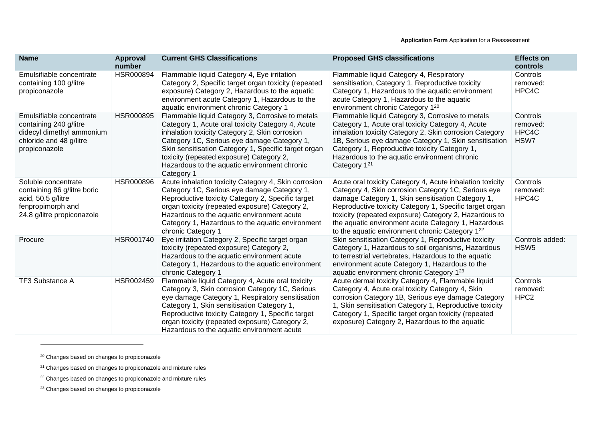| <b>Name</b>                                                                                                                 | Approval<br>number | <b>Current GHS Classifications</b>                                                                                                                                                                                                                                                                                                                                       | <b>Proposed GHS classifications</b>                                                                                                                                                                                                                                                                                                                                                                 | <b>Effects on</b><br>controls            |
|-----------------------------------------------------------------------------------------------------------------------------|--------------------|--------------------------------------------------------------------------------------------------------------------------------------------------------------------------------------------------------------------------------------------------------------------------------------------------------------------------------------------------------------------------|-----------------------------------------------------------------------------------------------------------------------------------------------------------------------------------------------------------------------------------------------------------------------------------------------------------------------------------------------------------------------------------------------------|------------------------------------------|
| Emulsifiable concentrate<br>containing 100 g/litre<br>propiconazole                                                         | <b>HSR000894</b>   | Flammable liquid Category 4, Eye irritation<br>Category 2, Specific target organ toxicity (repeated<br>exposure) Category 2, Hazardous to the aquatic<br>environment acute Category 1, Hazardous to the<br>aquatic environment chronic Category 1                                                                                                                        | Flammable liquid Category 4, Respiratory<br>sensitisation, Category 1, Reproductive toxicity<br>Category 1, Hazardous to the aquatic environment<br>acute Category 1, Hazardous to the aquatic<br>environment chronic Category 120                                                                                                                                                                  | Controls<br>removed:<br>HPC4C            |
| Emulsifiable concentrate<br>containing 240 g/litre<br>didecyl dimethyl ammonium<br>chloride and 48 g/litre<br>propiconazole | <b>HSR000895</b>   | Flammable liquid Category 3, Corrosive to metals<br>Category 1, Acute oral toxicity Category 4, Acute<br>inhalation toxicity Category 2, Skin corrosion<br>Category 1C, Serious eye damage Category 1,<br>Skin sensitisation Category 1, Specific target organ<br>toxicity (repeated exposure) Category 2,<br>Hazardous to the aquatic environment chronic<br>Category 1 | Flammable liquid Category 3, Corrosive to metals<br>Category 1, Acute oral toxicity Category 4, Acute<br>inhalation toxicity Category 2, Skin corrosion Category<br>1B, Serious eye damage Category 1, Skin sensitisation<br>Category 1, Reproductive toxicity Category 1,<br>Hazardous to the aquatic environment chronic<br>Category 1 <sup>21</sup>                                              | Controls<br>removed:<br>HPC4C<br>HSW7    |
| Soluble concentrate<br>containing 86 g/litre boric<br>acid, 50.5 g/litre<br>fenpropimorph and<br>24.8 g/litre propiconazole | <b>HSR000896</b>   | Acute inhalation toxicity Category 4, Skin corrosion<br>Category 1C, Serious eye damage Category 1,<br>Reproductive toxicity Category 2, Specific target<br>organ toxicity (repeated exposure) Category 2,<br>Hazardous to the aquatic environment acute<br>Category 1, Hazardous to the aquatic environment<br>chronic Category 1                                       | Acute oral toxicity Category 4, Acute inhalation toxicity<br>Category 4, Skin corrosion Category 1C, Serious eye<br>damage Category 1, Skin sensitisation Category 1,<br>Reproductive toxicity Category 1, Specific target organ<br>toxicity (repeated exposure) Category 2, Hazardous to<br>the aquatic environment acute Category 1, Hazardous<br>to the aquatic environment chronic Category 122 | Controls<br>removed:<br>HPC4C            |
| Procure                                                                                                                     | HSR001740          | Eye irritation Category 2, Specific target organ<br>toxicity (repeated exposure) Category 2,<br>Hazardous to the aquatic environment acute<br>Category 1, Hazardous to the aquatic environment<br>chronic Category 1                                                                                                                                                     | Skin sensitisation Category 1, Reproductive toxicity<br>Category 1, Hazardous to soil organisms, Hazardous<br>to terrestrial vertebrates, Hazardous to the aquatic<br>environment acute Category 1, Hazardous to the<br>aquatic environment chronic Category 1 <sup>23</sup>                                                                                                                        | Controls added:<br>HSW <sub>5</sub>      |
| TF3 Substance A                                                                                                             | HSR002459          | Flammable liquid Category 4, Acute oral toxicity<br>Category 3, Skin corrosion Category 1C, Serious<br>eye damage Category 1, Respiratory sensitisation<br>Category 1, Skin sensitisation Category 1,<br>Reproductive toxicity Category 1, Specific target<br>organ toxicity (repeated exposure) Category 2,<br>Hazardous to the aquatic environment acute               | Acute dermal toxicity Category 4, Flammable liquid<br>Category 4, Acute oral toxicity Category 4, Skin<br>corrosion Category 1B, Serious eye damage Category<br>1, Skin sensitisation Category 1, Reproductive toxicity<br>Category 1, Specific target organ toxicity (repeated<br>exposure) Category 2, Hazardous to the aquatic                                                                   | Controls<br>removed:<br>HPC <sub>2</sub> |

<sup>&</sup>lt;sup>20</sup> Changes based on changes to propiconazole

<sup>23</sup> Changes based on changes to propiconazole

<sup>&</sup>lt;sup>21</sup> Changes based on changes to propiconazole and mixture rules

<sup>&</sup>lt;sup>22</sup> Changes based on changes to propiconazole and mixture rules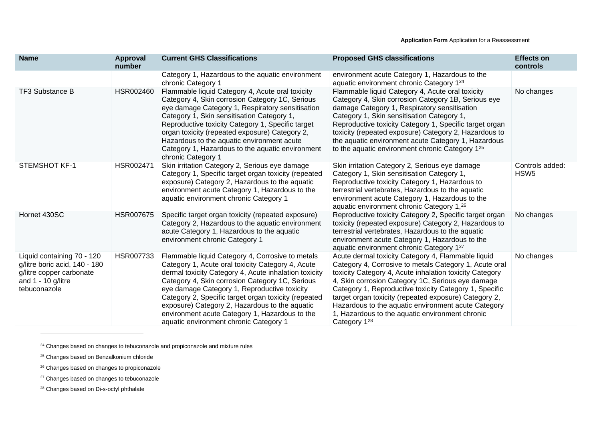| <b>Name</b>                                                                                                                     | <b>Approval</b><br>number | <b>Current GHS Classifications</b>                                                                                                                                                                                                                                                                                                                                                                                                                                      | <b>Proposed GHS classifications</b>                                                                                                                                                                                                                                                                                                                                                                                                                                                   | <b>Effects on</b><br>controls       |
|---------------------------------------------------------------------------------------------------------------------------------|---------------------------|-------------------------------------------------------------------------------------------------------------------------------------------------------------------------------------------------------------------------------------------------------------------------------------------------------------------------------------------------------------------------------------------------------------------------------------------------------------------------|---------------------------------------------------------------------------------------------------------------------------------------------------------------------------------------------------------------------------------------------------------------------------------------------------------------------------------------------------------------------------------------------------------------------------------------------------------------------------------------|-------------------------------------|
|                                                                                                                                 |                           | Category 1, Hazardous to the aquatic environment<br>chronic Category 1                                                                                                                                                                                                                                                                                                                                                                                                  | environment acute Category 1, Hazardous to the<br>aquatic environment chronic Category 1 <sup>24</sup>                                                                                                                                                                                                                                                                                                                                                                                |                                     |
| TF3 Substance B                                                                                                                 | HSR002460                 | Flammable liquid Category 4, Acute oral toxicity<br>Category 4, Skin corrosion Category 1C, Serious<br>eye damage Category 1, Respiratory sensitisation<br>Category 1, Skin sensitisation Category 1,<br>Reproductive toxicity Category 1, Specific target<br>organ toxicity (repeated exposure) Category 2,<br>Hazardous to the aquatic environment acute<br>Category 1, Hazardous to the aquatic environment<br>chronic Category 1                                    | Flammable liquid Category 4, Acute oral toxicity<br>Category 4, Skin corrosion Category 1B, Serious eye<br>damage Category 1, Respiratory sensitisation<br>Category 1, Skin sensitisation Category 1,<br>Reproductive toxicity Category 1, Specific target organ<br>toxicity (repeated exposure) Category 2, Hazardous to<br>the aquatic environment acute Category 1, Hazardous<br>to the aquatic environment chronic Category 1 <sup>25</sup>                                       | No changes                          |
| <b>STEMSHOT KF-1</b>                                                                                                            | HSR002471                 | Skin irritation Category 2, Serious eye damage<br>Category 1, Specific target organ toxicity (repeated<br>exposure) Category 2, Hazardous to the aquatic<br>environment acute Category 1, Hazardous to the<br>aquatic environment chronic Category 1                                                                                                                                                                                                                    | Skin irritation Category 2, Serious eye damage<br>Category 1, Skin sensitisation Category 1,<br>Reproductive toxicity Category 1, Hazardous to<br>terrestrial vertebrates, Hazardous to the aquatic<br>environment acute Category 1, Hazardous to the<br>aquatic environment chronic Category 1, <sup>26</sup>                                                                                                                                                                        | Controls added:<br>HSW <sub>5</sub> |
| Hornet 430SC                                                                                                                    | HSR007675                 | Specific target organ toxicity (repeated exposure)<br>Category 2, Hazardous to the aquatic environment<br>acute Category 1, Hazardous to the aquatic<br>environment chronic Category 1                                                                                                                                                                                                                                                                                  | Reproductive toxicity Category 2, Specific target organ<br>toxicity (repeated exposure) Category 2, Hazardous to<br>terrestrial vertebrates, Hazardous to the aquatic<br>environment acute Category 1, Hazardous to the<br>aquatic environment chronic Category 127                                                                                                                                                                                                                   | No changes                          |
| Liquid containing 70 - 120<br>g/litre boric acid, 140 - 180<br>g/litre copper carbonate<br>and $1 - 10$ g/litre<br>tebuconazole | HSR007733                 | Flammable liquid Category 4, Corrosive to metals<br>Category 1, Acute oral toxicity Category 4, Acute<br>dermal toxicity Category 4, Acute inhalation toxicity<br>Category 4, Skin corrosion Category 1C, Serious<br>eye damage Category 1, Reproductive toxicity<br>Category 2, Specific target organ toxicity (repeated<br>exposure) Category 2, Hazardous to the aquatic<br>environment acute Category 1, Hazardous to the<br>aquatic environment chronic Category 1 | Acute dermal toxicity Category 4, Flammable liquid<br>Category 4, Corrosive to metals Category 1, Acute oral<br>toxicity Category 4, Acute inhalation toxicity Category<br>4, Skin corrosion Category 1C, Serious eye damage<br>Category 1, Reproductive toxicity Category 1, Specific<br>target organ toxicity (repeated exposure) Category 2,<br>Hazardous to the aquatic environment acute Category<br>1, Hazardous to the aquatic environment chronic<br>Category 1 <sup>28</sup> | No changes                          |

<sup>24</sup> Changes based on changes to tebuconazole and propiconazole and mixture rules

<sup>25</sup> Changes based on Benzalkonium chloride

<sup>26</sup> Changes based on changes to propiconazole

<sup>27</sup> Changes based on changes to tebuconazole

<sup>28</sup> Changes based on Di-s-octyl phthalate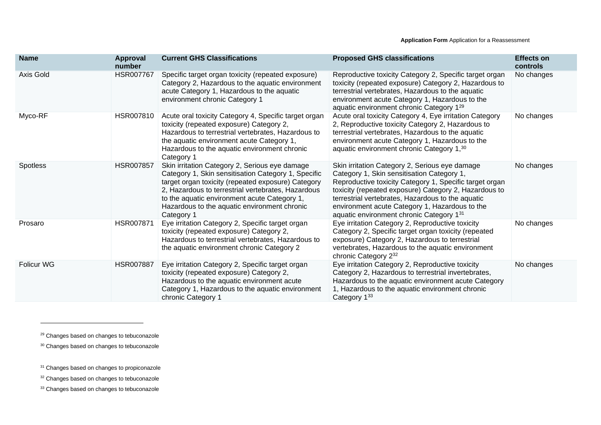| <b>Name</b>       | Approval<br>number | <b>Current GHS Classifications</b>                                                                                                                                                                                                                                                                                              | <b>Proposed GHS classifications</b>                                                                                                                                                                                                                                                                                                                                 | <b>Effects on</b><br>controls |
|-------------------|--------------------|---------------------------------------------------------------------------------------------------------------------------------------------------------------------------------------------------------------------------------------------------------------------------------------------------------------------------------|---------------------------------------------------------------------------------------------------------------------------------------------------------------------------------------------------------------------------------------------------------------------------------------------------------------------------------------------------------------------|-------------------------------|
| Axis Gold         | HSR007767          | Specific target organ toxicity (repeated exposure)<br>Category 2, Hazardous to the aquatic environment<br>acute Category 1, Hazardous to the aquatic<br>environment chronic Category 1                                                                                                                                          | Reproductive toxicity Category 2, Specific target organ<br>toxicity (repeated exposure) Category 2, Hazardous to<br>terrestrial vertebrates, Hazardous to the aquatic<br>environment acute Category 1, Hazardous to the<br>aquatic environment chronic Category 129                                                                                                 | No changes                    |
| Myco-RF           | HSR007810          | Acute oral toxicity Category 4, Specific target organ<br>toxicity (repeated exposure) Category 2,<br>Hazardous to terrestrial vertebrates, Hazardous to<br>the aquatic environment acute Category 1,<br>Hazardous to the aquatic environment chronic<br>Category 1                                                              | Acute oral toxicity Category 4, Eye irritation Category<br>2, Reproductive toxicity Category 2, Hazardous to<br>terrestrial vertebrates, Hazardous to the aquatic<br>environment acute Category 1, Hazardous to the<br>aquatic environment chronic Category 1,30                                                                                                    | No changes                    |
| Spotless          | <b>HSR007857</b>   | Skin irritation Category 2, Serious eye damage<br>Category 1, Skin sensitisation Category 1, Specific<br>target organ toxicity (repeated exposure) Category<br>2, Hazardous to terrestrial vertebrates, Hazardous<br>to the aquatic environment acute Category 1,<br>Hazardous to the aquatic environment chronic<br>Category 1 | Skin irritation Category 2, Serious eye damage<br>Category 1, Skin sensitisation Category 1,<br>Reproductive toxicity Category 1, Specific target organ<br>toxicity (repeated exposure) Category 2, Hazardous to<br>terrestrial vertebrates, Hazardous to the aquatic<br>environment acute Category 1, Hazardous to the<br>aquatic environment chronic Category 131 | No changes                    |
| Prosaro           | <b>HSR007871</b>   | Eye irritation Category 2, Specific target organ<br>toxicity (repeated exposure) Category 2,<br>Hazardous to terrestrial vertebrates, Hazardous to<br>the aquatic environment chronic Category 2                                                                                                                                | Eye irritation Category 2, Reproductive toxicity<br>Category 2, Specific target organ toxicity (repeated<br>exposure) Category 2, Hazardous to terrestrial<br>vertebrates, Hazardous to the aquatic environment<br>chronic Category 232                                                                                                                             | No changes                    |
| <b>Folicur WG</b> | HSR007887          | Eye irritation Category 2, Specific target organ<br>toxicity (repeated exposure) Category 2,<br>Hazardous to the aquatic environment acute<br>Category 1, Hazardous to the aquatic environment<br>chronic Category 1                                                                                                            | Eye irritation Category 2, Reproductive toxicity<br>Category 2, Hazardous to terrestrial invertebrates,<br>Hazardous to the aquatic environment acute Category<br>1, Hazardous to the aquatic environment chronic<br>Category 133                                                                                                                                   | No changes                    |

<sup>33</sup> Changes based on changes to tebuconazole

<sup>&</sup>lt;sup>29</sup> Changes based on changes to tebuconazole

<sup>&</sup>lt;sup>30</sup> Changes based on changes to tebuconazole

<sup>&</sup>lt;sup>31</sup> Changes based on changes to propiconazole

<sup>&</sup>lt;sup>32</sup> Changes based on changes to tebuconazole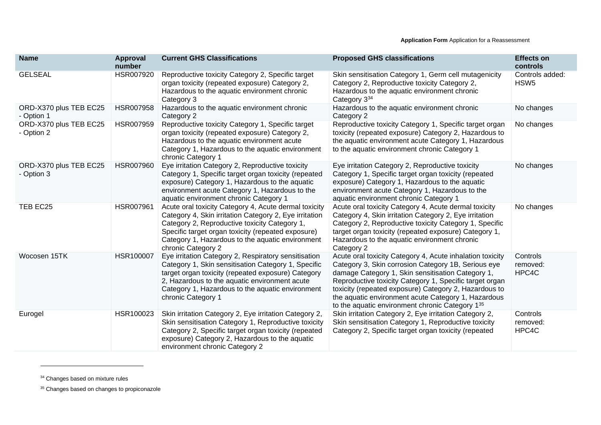| <b>Name</b>                          | <b>Approval</b><br>number | <b>Current GHS Classifications</b>                                                                                                                                                                                                                                                               | <b>Proposed GHS classifications</b>                                                                                                                                                                                                                                                                                                                                                                 | <b>Effects on</b><br>controls       |
|--------------------------------------|---------------------------|--------------------------------------------------------------------------------------------------------------------------------------------------------------------------------------------------------------------------------------------------------------------------------------------------|-----------------------------------------------------------------------------------------------------------------------------------------------------------------------------------------------------------------------------------------------------------------------------------------------------------------------------------------------------------------------------------------------------|-------------------------------------|
| <b>GELSEAL</b>                       | HSR007920                 | Reproductive toxicity Category 2, Specific target<br>organ toxicity (repeated exposure) Category 2,<br>Hazardous to the aquatic environment chronic<br>Category 3                                                                                                                                | Skin sensitisation Category 1, Germ cell mutagenicity<br>Category 2, Reproductive toxicity Category 2,<br>Hazardous to the aquatic environment chronic<br>Category 334                                                                                                                                                                                                                              | Controls added:<br>HSW <sub>5</sub> |
| ORD-X370 plus TEB EC25<br>- Option 1 | <b>HSR007958</b>          | Hazardous to the aquatic environment chronic<br>Category 2                                                                                                                                                                                                                                       | Hazardous to the aquatic environment chronic<br>Category 2                                                                                                                                                                                                                                                                                                                                          | No changes                          |
| ORD-X370 plus TEB EC25<br>- Option 2 | HSR007959                 | Reproductive toxicity Category 1, Specific target<br>organ toxicity (repeated exposure) Category 2,<br>Hazardous to the aquatic environment acute<br>Category 1, Hazardous to the aquatic environment<br>chronic Category 1                                                                      | Reproductive toxicity Category 1, Specific target organ<br>toxicity (repeated exposure) Category 2, Hazardous to<br>the aquatic environment acute Category 1, Hazardous<br>to the aquatic environment chronic Category 1                                                                                                                                                                            | No changes                          |
| ORD-X370 plus TEB EC25<br>- Option 3 | HSR007960                 | Eye irritation Category 2, Reproductive toxicity<br>Category 1, Specific target organ toxicity (repeated<br>exposure) Category 1, Hazardous to the aquatic<br>environment acute Category 1, Hazardous to the<br>aquatic environment chronic Category 1                                           | Eye irritation Category 2, Reproductive toxicity<br>Category 1, Specific target organ toxicity (repeated<br>exposure) Category 1, Hazardous to the aquatic<br>environment acute Category 1, Hazardous to the<br>aquatic environment chronic Category 1                                                                                                                                              | No changes                          |
| TEB EC25                             | HSR007961                 | Acute oral toxicity Category 4, Acute dermal toxicity<br>Category 4, Skin irritation Category 2, Eye irritation<br>Category 2, Reproductive toxicity Category 1,<br>Specific target organ toxicity (repeated exposure)<br>Category 1, Hazardous to the aquatic environment<br>chronic Category 2 | Acute oral toxicity Category 4, Acute dermal toxicity<br>Category 4, Skin irritation Category 2, Eye irritation<br>Category 2, Reproductive toxicity Category 1, Specific<br>target organ toxicity (repeated exposure) Category 1,<br>Hazardous to the aquatic environment chronic<br>Category 2                                                                                                    | No changes                          |
| Wocosen 15TK                         | HSR100007                 | Eye irritation Category 2, Respiratory sensitisation<br>Category 1, Skin sensitisation Category 1, Specific<br>target organ toxicity (repeated exposure) Category<br>2, Hazardous to the aquatic environment acute<br>Category 1, Hazardous to the aquatic environment<br>chronic Category 1     | Acute oral toxicity Category 4, Acute inhalation toxicity<br>Category 3, Skin corrosion Category 1B, Serious eye<br>damage Category 1, Skin sensitisation Category 1,<br>Reproductive toxicity Category 1, Specific target organ<br>toxicity (repeated exposure) Category 2, Hazardous to<br>the aquatic environment acute Category 1, Hazardous<br>to the aquatic environment chronic Category 135 | Controls<br>removed:<br>HPC4C       |
| Eurogel                              | HSR100023                 | Skin irritation Category 2, Eye irritation Category 2,<br>Skin sensitisation Category 1, Reproductive toxicity<br>Category 2, Specific target organ toxicity (repeated<br>exposure) Category 2, Hazardous to the aquatic<br>environment chronic Category 2                                       | Skin irritation Category 2, Eye irritation Category 2,<br>Skin sensitisation Category 1, Reproductive toxicity<br>Category 2, Specific target organ toxicity (repeated                                                                                                                                                                                                                              | Controls<br>removed:<br>HPC4C       |

<sup>&</sup>lt;sup>34</sup> Changes based on mixture rules

<sup>&</sup>lt;sup>35</sup> Changes based on changes to propiconazole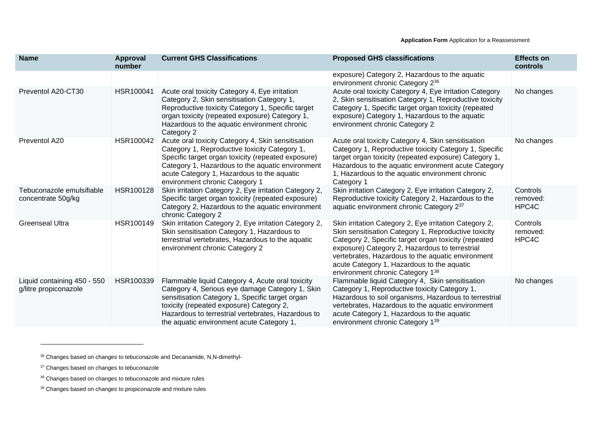| <b>Name</b>                                          | <b>Approval</b><br>number | <b>Current GHS Classifications</b>                                                                                                                                                                                                                                                                    | <b>Proposed GHS classifications</b>                                                                                                                                                                                                                                                                                                                             | <b>Effects on</b><br>controls |
|------------------------------------------------------|---------------------------|-------------------------------------------------------------------------------------------------------------------------------------------------------------------------------------------------------------------------------------------------------------------------------------------------------|-----------------------------------------------------------------------------------------------------------------------------------------------------------------------------------------------------------------------------------------------------------------------------------------------------------------------------------------------------------------|-------------------------------|
|                                                      |                           |                                                                                                                                                                                                                                                                                                       | exposure) Category 2, Hazardous to the aquatic<br>environment chronic Category 236                                                                                                                                                                                                                                                                              |                               |
| Preventol A20-CT30                                   | HSR100041                 | Acute oral toxicity Category 4, Eye irritation<br>Category 2, Skin sensitisation Category 1,<br>Reproductive toxicity Category 1, Specific target<br>organ toxicity (repeated exposure) Category 1,<br>Hazardous to the aquatic environment chronic<br>Category 2                                     | Acute oral toxicity Category 4, Eye irritation Category<br>2, Skin sensitisation Category 1, Reproductive toxicity<br>Category 1, Specific target organ toxicity (repeated<br>exposure) Category 1, Hazardous to the aquatic<br>environment chronic Category 2                                                                                                  | No changes                    |
| Preventol A20                                        | HSR100042                 | Acute oral toxicity Category 4, Skin sensitisation<br>Category 1, Reproductive toxicity Category 1,<br>Specific target organ toxicity (repeated exposure)<br>Category 1, Hazardous to the aquatic environment<br>acute Category 1, Hazardous to the aquatic<br>environment chronic Category 1         | Acute oral toxicity Category 4, Skin sensitisation<br>Category 1, Reproductive toxicity Category 1, Specific<br>target organ toxicity (repeated exposure) Category 1,<br>Hazardous to the aquatic environment acute Category<br>1, Hazardous to the aquatic environment chronic<br>Category 1                                                                   | No changes                    |
| Tebuconazole emulsifiable<br>concentrate 50g/kg      | HSR100128                 | Skin irritation Category 2, Eye irritation Category 2,<br>Specific target organ toxicity (repeated exposure)<br>Category 2, Hazardous to the aquatic environment<br>chronic Category 2                                                                                                                | Skin irritation Category 2, Eye irritation Category 2,<br>Reproductive toxicity Category 2, Hazardous to the<br>aquatic environment chronic Category 237                                                                                                                                                                                                        | Controls<br>removed:<br>HPC4C |
| <b>Greenseal Ultra</b>                               | HSR100149                 | Skin irritation Category 2, Eye irritation Category 2,<br>Skin sensitisation Category 1, Hazardous to<br>terrestrial vertebrates, Hazardous to the aquatic<br>environment chronic Category 2                                                                                                          | Skin irritation Category 2, Eye irritation Category 2,<br>Skin sensitisation Category 1, Reproductive toxicity<br>Category 2, Specific target organ toxicity (repeated<br>exposure) Category 2, Hazardous to terrestrial<br>vertebrates, Hazardous to the aquatic environment<br>acute Category 1, Hazardous to the aquatic<br>environment chronic Category 138 | Controls<br>removed:<br>HPC4C |
| Liquid containing 450 - 550<br>g/litre propiconazole | HSR100339                 | Flammable liquid Category 4, Acute oral toxicity<br>Category 4, Serious eye damage Category 1, Skin<br>sensitisation Category 1, Specific target organ<br>toxicity (repeated exposure) Category 2,<br>Hazardous to terrestrial vertebrates, Hazardous to<br>the aquatic environment acute Category 1, | Flammable liquid Category 4, Skin sensitisation<br>Category 1, Reproductive toxicity Category 1,<br>Hazardous to soil organisms, Hazardous to terrestrial<br>vertebrates, Hazardous to the aquatic environment<br>acute Category 1, Hazardous to the aquatic<br>environment chronic Category 139                                                                | No changes                    |

<sup>39</sup> Changes based on changes to propiconazole and mixture rules

<sup>36</sup> Changes based on changes to tebuconazole and Decanamide, N,N-dimethyl-

<sup>&</sup>lt;sup>37</sup> Changes based on changes to tebuconazole

<sup>38</sup> Changes based on changes to tebuconazole and mixture rules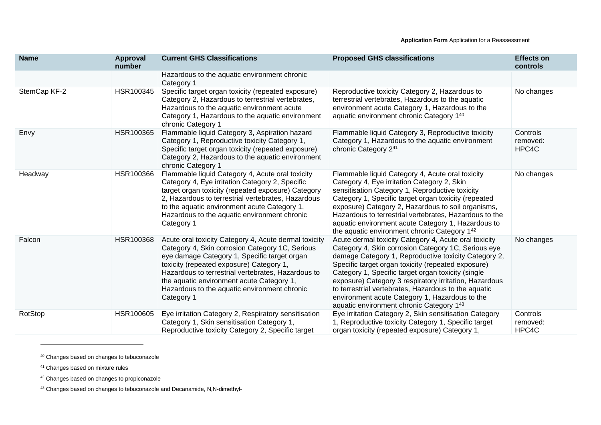| <b>Name</b>  | <b>Approval</b><br>number | <b>Current GHS Classifications</b>                                                                                                                                                                                                                                                                                                                                    | <b>Proposed GHS classifications</b>                                                                                                                                                                                                                                                                                                                                                                                                                                                              | <b>Effects on</b><br>controls |
|--------------|---------------------------|-----------------------------------------------------------------------------------------------------------------------------------------------------------------------------------------------------------------------------------------------------------------------------------------------------------------------------------------------------------------------|--------------------------------------------------------------------------------------------------------------------------------------------------------------------------------------------------------------------------------------------------------------------------------------------------------------------------------------------------------------------------------------------------------------------------------------------------------------------------------------------------|-------------------------------|
|              |                           | Hazardous to the aquatic environment chronic<br>Category 1                                                                                                                                                                                                                                                                                                            |                                                                                                                                                                                                                                                                                                                                                                                                                                                                                                  |                               |
| StemCap KF-2 | HSR100345                 | Specific target organ toxicity (repeated exposure)<br>Category 2, Hazardous to terrestrial vertebrates,<br>Hazardous to the aquatic environment acute<br>Category 1, Hazardous to the aquatic environment<br>chronic Category 1                                                                                                                                       | Reproductive toxicity Category 2, Hazardous to<br>terrestrial vertebrates, Hazardous to the aquatic<br>environment acute Category 1, Hazardous to the<br>aquatic environment chronic Category 140                                                                                                                                                                                                                                                                                                | No changes                    |
| Envy         | HSR100365                 | Flammable liquid Category 3, Aspiration hazard<br>Category 1, Reproductive toxicity Category 1,<br>Specific target organ toxicity (repeated exposure)<br>Category 2, Hazardous to the aquatic environment<br>chronic Category 1                                                                                                                                       | Flammable liquid Category 3, Reproductive toxicity<br>Category 1, Hazardous to the aquatic environment<br>chronic Category 241                                                                                                                                                                                                                                                                                                                                                                   | Controls<br>removed:<br>HPC4C |
| Headway      | HSR100366                 | Flammable liquid Category 4, Acute oral toxicity<br>Category 4, Eye irritation Category 2, Specific<br>target organ toxicity (repeated exposure) Category<br>2, Hazardous to terrestrial vertebrates, Hazardous<br>to the aquatic environment acute Category 1,<br>Hazardous to the aquatic environment chronic<br>Category 1                                         | Flammable liquid Category 4, Acute oral toxicity<br>Category 4, Eye irritation Category 2, Skin<br>sensitisation Category 1, Reproductive toxicity<br>Category 1, Specific target organ toxicity (repeated<br>exposure) Category 2, Hazardous to soil organisms,<br>Hazardous to terrestrial vertebrates, Hazardous to the<br>aquatic environment acute Category 1, Hazardous to<br>the aquatic environment chronic Category 142                                                                 | No changes                    |
| Falcon       | HSR100368                 | Acute oral toxicity Category 4, Acute dermal toxicity<br>Category 4, Skin corrosion Category 1C, Serious<br>eye damage Category 1, Specific target organ<br>toxicity (repeated exposure) Category 1,<br>Hazardous to terrestrial vertebrates, Hazardous to<br>the aquatic environment acute Category 1,<br>Hazardous to the aquatic environment chronic<br>Category 1 | Acute dermal toxicity Category 4, Acute oral toxicity<br>Category 4, Skin corrosion Category 1C, Serious eye<br>damage Category 1, Reproductive toxicity Category 2,<br>Specific target organ toxicity (repeated exposure)<br>Category 1, Specific target organ toxicity (single<br>exposure) Category 3 respiratory irritation, Hazardous<br>to terrestrial vertebrates, Hazardous to the aquatic<br>environment acute Category 1, Hazardous to the<br>aquatic environment chronic Category 143 | No changes                    |
| RotStop      | HSR100605                 | Eye irritation Category 2, Respiratory sensitisation<br>Category 1, Skin sensitisation Category 1,<br>Reproductive toxicity Category 2, Specific target                                                                                                                                                                                                               | Eye irritation Category 2, Skin sensitisation Category<br>1, Reproductive toxicity Category 1, Specific target<br>organ toxicity (repeated exposure) Category 1.                                                                                                                                                                                                                                                                                                                                 | Controls<br>removed:<br>HPC4C |

<sup>40</sup> Changes based on changes to tebuconazole

<sup>41</sup> Changes based on mixture rules

<sup>42</sup> Changes based on changes to propiconazole

<sup>43</sup> Changes based on changes to tebuconazole and Decanamide, N,N-dimethyl-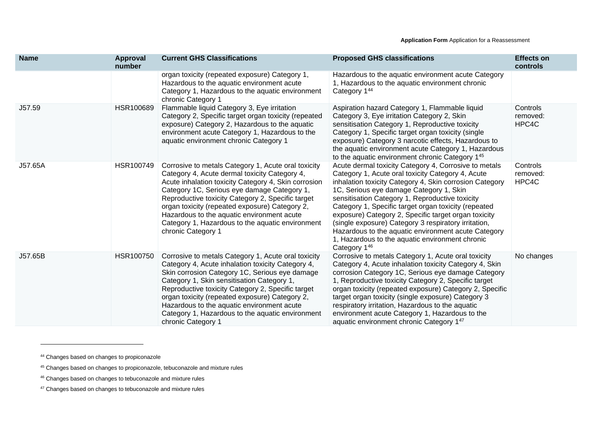| <b>Name</b> | Approval<br>number | <b>Current GHS Classifications</b>                                                                                                                                                                                                                                                                                                                                                                                                         | <b>Proposed GHS classifications</b>                                                                                                                                                                                                                                                                                                                                                                                                                                                                                                                                   | <b>Effects on</b><br>controls |
|-------------|--------------------|--------------------------------------------------------------------------------------------------------------------------------------------------------------------------------------------------------------------------------------------------------------------------------------------------------------------------------------------------------------------------------------------------------------------------------------------|-----------------------------------------------------------------------------------------------------------------------------------------------------------------------------------------------------------------------------------------------------------------------------------------------------------------------------------------------------------------------------------------------------------------------------------------------------------------------------------------------------------------------------------------------------------------------|-------------------------------|
|             |                    | organ toxicity (repeated exposure) Category 1,<br>Hazardous to the aquatic environment acute<br>Category 1, Hazardous to the aquatic environment<br>chronic Category 1                                                                                                                                                                                                                                                                     | Hazardous to the aquatic environment acute Category<br>1, Hazardous to the aquatic environment chronic<br>Category 144                                                                                                                                                                                                                                                                                                                                                                                                                                                |                               |
| J57.59      | HSR100689          | Flammable liquid Category 3, Eye irritation<br>Category 2, Specific target organ toxicity (repeated<br>exposure) Category 2, Hazardous to the aquatic<br>environment acute Category 1, Hazardous to the<br>aquatic environment chronic Category 1                                                                                                                                                                                          | Aspiration hazard Category 1, Flammable liquid<br>Category 3, Eye irritation Category 2, Skin<br>sensitisation Category 1, Reproductive toxicity<br>Category 1, Specific target organ toxicity (single<br>exposure) Category 3 narcotic effects, Hazardous to<br>the aquatic environment acute Category 1, Hazardous<br>to the aquatic environment chronic Category 145                                                                                                                                                                                               | Controls<br>removed:<br>HPC4C |
| J57.65A     | HSR100749          | Corrosive to metals Category 1, Acute oral toxicity<br>Category 4, Acute dermal toxicity Category 4,<br>Acute inhalation toxicity Category 4, Skin corrosion<br>Category 1C, Serious eye damage Category 1,<br>Reproductive toxicity Category 2, Specific target<br>organ toxicity (repeated exposure) Category 2,<br>Hazardous to the aquatic environment acute<br>Category 1, Hazardous to the aquatic environment<br>chronic Category 1 | Acute dermal toxicity Category 4, Corrosive to metals<br>Category 1, Acute oral toxicity Category 4, Acute<br>inhalation toxicity Category 4, Skin corrosion Category<br>1C, Serious eye damage Category 1, Skin<br>sensitisation Category 1, Reproductive toxicity<br>Category 1, Specific target organ toxicity (repeated<br>exposure) Category 2, Specific target organ toxicity<br>(single exposure) Category 3 respiratory irritation,<br>Hazardous to the aquatic environment acute Category<br>1, Hazardous to the aquatic environment chronic<br>Category 146 | Controls<br>removed:<br>HPC4C |
| J57.65B     | HSR100750          | Corrosive to metals Category 1, Acute oral toxicity<br>Category 4, Acute inhalation toxicity Category 4,<br>Skin corrosion Category 1C, Serious eye damage<br>Category 1, Skin sensitisation Category 1,<br>Reproductive toxicity Category 2, Specific target<br>organ toxicity (repeated exposure) Category 2,<br>Hazardous to the aquatic environment acute<br>Category 1, Hazardous to the aquatic environment<br>chronic Category 1    | Corrosive to metals Category 1, Acute oral toxicity<br>Category 4, Acute inhalation toxicity Category 4, Skin<br>corrosion Category 1C, Serious eye damage Category<br>1, Reproductive toxicity Category 2, Specific target<br>organ toxicity (repeated exposure) Category 2, Specific<br>target organ toxicity (single exposure) Category 3<br>respiratory irritation, Hazardous to the aquatic<br>environment acute Category 1, Hazardous to the<br>aquatic environment chronic Category 147                                                                        | No changes                    |

<sup>47</sup> Changes based on changes to tebuconazole and mixture rules

<sup>44</sup> Changes based on changes to propiconazole

<sup>45</sup> Changes based on changes to propiconazole, tebuconazole and mixture rules

<sup>46</sup> Changes based on changes to tebuconazole and mixture rules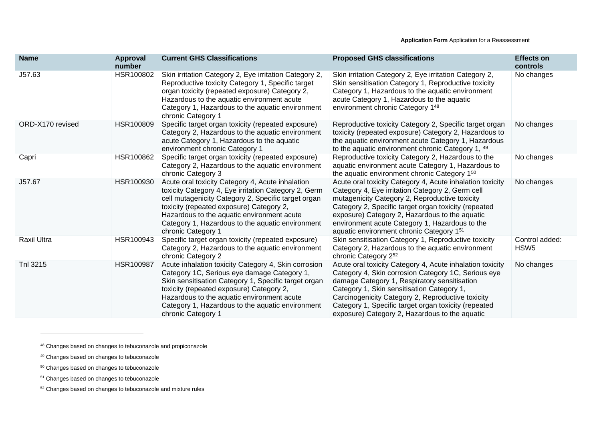| <b>Name</b>        | <b>Approval</b><br>number | <b>Current GHS Classifications</b>                                                                                                                                                                                                                                                                                                  | <b>Proposed GHS classifications</b>                                                                                                                                                                                                                                                                                                                                           | <b>Effects on</b><br>controls      |
|--------------------|---------------------------|-------------------------------------------------------------------------------------------------------------------------------------------------------------------------------------------------------------------------------------------------------------------------------------------------------------------------------------|-------------------------------------------------------------------------------------------------------------------------------------------------------------------------------------------------------------------------------------------------------------------------------------------------------------------------------------------------------------------------------|------------------------------------|
| J57.63             | HSR100802                 | Skin irritation Category 2, Eye irritation Category 2,<br>Reproductive toxicity Category 1, Specific target<br>organ toxicity (repeated exposure) Category 2,<br>Hazardous to the aquatic environment acute<br>Category 1, Hazardous to the aquatic environment<br>chronic Category 1                                               | Skin irritation Category 2, Eye irritation Category 2,<br>Skin sensitisation Category 1, Reproductive toxicity<br>Category 1, Hazardous to the aquatic environment<br>acute Category 1, Hazardous to the aquatic<br>environment chronic Category 148                                                                                                                          | No changes                         |
| ORD-X170 revised   | HSR100809                 | Specific target organ toxicity (repeated exposure)<br>Category 2, Hazardous to the aquatic environment<br>acute Category 1, Hazardous to the aquatic<br>environment chronic Category 1                                                                                                                                              | Reproductive toxicity Category 2, Specific target organ<br>toxicity (repeated exposure) Category 2, Hazardous to<br>the aquatic environment acute Category 1, Hazardous<br>to the aquatic environment chronic Category 1, 49                                                                                                                                                  | No changes                         |
| Capri              | HSR100862                 | Specific target organ toxicity (repeated exposure)<br>Category 2, Hazardous to the aquatic environment<br>chronic Category 3                                                                                                                                                                                                        | Reproductive toxicity Category 2, Hazardous to the<br>aquatic environment acute Category 1, Hazardous to<br>the aquatic environment chronic Category 150                                                                                                                                                                                                                      | No changes                         |
| J57.67             | HSR100930                 | Acute oral toxicity Category 4, Acute inhalation<br>toxicity Category 4, Eye irritation Category 2, Germ<br>cell mutagenicity Category 2, Specific target organ<br>toxicity (repeated exposure) Category 2,<br>Hazardous to the aquatic environment acute<br>Category 1, Hazardous to the aquatic environment<br>chronic Category 1 | Acute oral toxicity Category 4, Acute inhalation toxicity<br>Category 4, Eye irritation Category 2, Germ cell<br>mutagenicity Category 2, Reproductive toxicity<br>Category 2, Specific target organ toxicity (repeated<br>exposure) Category 2, Hazardous to the aquatic<br>environment acute Category 1, Hazardous to the<br>aquatic environment chronic Category 151       | No changes                         |
| <b>Raxil Ultra</b> | HSR100943                 | Specific target organ toxicity (repeated exposure)<br>Category 2, Hazardous to the aquatic environment<br>chronic Category 2                                                                                                                                                                                                        | Skin sensitisation Category 1, Reproductive toxicity<br>Category 2, Hazardous to the aquatic environment<br>chronic Category 252                                                                                                                                                                                                                                              | Control added:<br>HSW <sub>5</sub> |
| Tnl 3215           | HSR100987                 | Acute inhalation toxicity Category 4, Skin corrosion<br>Category 1C, Serious eye damage Category 1,<br>Skin sensitisation Category 1, Specific target organ<br>toxicity (repeated exposure) Category 2,<br>Hazardous to the aquatic environment acute<br>Category 1, Hazardous to the aquatic environment<br>chronic Category 1     | Acute oral toxicity Category 4, Acute inhalation toxicity<br>Category 4, Skin corrosion Category 1C, Serious eye<br>damage Category 1, Respiratory sensitisation<br>Category 1, Skin sensitisation Category 1,<br>Carcinogenicity Category 2, Reproductive toxicity<br>Category 1, Specific target organ toxicity (repeated<br>exposure) Category 2, Hazardous to the aquatic | No changes                         |

<sup>48</sup> Changes based on changes to tebuconazole and propiconazole

<sup>49</sup> Changes based on changes to tebuconazole

<sup>50</sup> Changes based on changes to tebuconazole

<sup>&</sup>lt;sup>51</sup> Changes based on changes to tebuconazole

<sup>52</sup> Changes based on changes to tebuconazole and mixture rules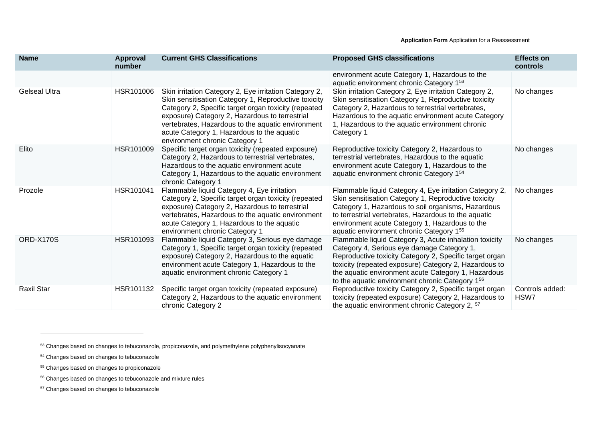| <b>Name</b>          | <b>Approval</b><br>number | <b>Current GHS Classifications</b>                                                                                                                                                                                                                                                                                                                            | <b>Proposed GHS classifications</b>                                                                                                                                                                                                                                                                                                | <b>Effects on</b><br>controls |
|----------------------|---------------------------|---------------------------------------------------------------------------------------------------------------------------------------------------------------------------------------------------------------------------------------------------------------------------------------------------------------------------------------------------------------|------------------------------------------------------------------------------------------------------------------------------------------------------------------------------------------------------------------------------------------------------------------------------------------------------------------------------------|-------------------------------|
|                      |                           |                                                                                                                                                                                                                                                                                                                                                               | environment acute Category 1, Hazardous to the<br>aquatic environment chronic Category 153                                                                                                                                                                                                                                         |                               |
| <b>Gelseal Ultra</b> | HSR101006                 | Skin irritation Category 2, Eye irritation Category 2,<br>Skin sensitisation Category 1, Reproductive toxicity<br>Category 2, Specific target organ toxicity (repeated<br>exposure) Category 2, Hazardous to terrestrial<br>vertebrates, Hazardous to the aquatic environment<br>acute Category 1, Hazardous to the aquatic<br>environment chronic Category 1 | Skin irritation Category 2, Eye irritation Category 2,<br>Skin sensitisation Category 1, Reproductive toxicity<br>Category 2, Hazardous to terrestrial vertebrates,<br>Hazardous to the aquatic environment acute Category<br>1, Hazardous to the aquatic environment chronic<br>Category 1                                        | No changes                    |
| Elito                | HSR101009                 | Specific target organ toxicity (repeated exposure)<br>Category 2, Hazardous to terrestrial vertebrates,<br>Hazardous to the aquatic environment acute<br>Category 1, Hazardous to the aquatic environment<br>chronic Category 1                                                                                                                               | Reproductive toxicity Category 2, Hazardous to<br>terrestrial vertebrates, Hazardous to the aquatic<br>environment acute Category 1, Hazardous to the<br>aquatic environment chronic Category 154                                                                                                                                  | No changes                    |
| Prozole              | HSR101041                 | Flammable liquid Category 4, Eye irritation<br>Category 2, Specific target organ toxicity (repeated<br>exposure) Category 2, Hazardous to terrestrial<br>vertebrates, Hazardous to the aquatic environment<br>acute Category 1, Hazardous to the aquatic<br>environment chronic Category 1                                                                    | Flammable liquid Category 4, Eye irritation Category 2,<br>Skin sensitisation Category 1, Reproductive toxicity<br>Category 1, Hazardous to soil organisms, Hazardous<br>to terrestrial vertebrates, Hazardous to the aquatic<br>environment acute Category 1, Hazardous to the<br>aquatic environment chronic Category 155        | No changes                    |
| ORD-X170S            | HSR101093                 | Flammable liquid Category 3, Serious eye damage<br>Category 1, Specific target organ toxicity (repeated<br>exposure) Category 2, Hazardous to the aquatic<br>environment acute Category 1, Hazardous to the<br>aquatic environment chronic Category 1                                                                                                         | Flammable liquid Category 3, Acute inhalation toxicity<br>Category 4, Serious eye damage Category 1,<br>Reproductive toxicity Category 2, Specific target organ<br>toxicity (repeated exposure) Category 2, Hazardous to<br>the aquatic environment acute Category 1, Hazardous<br>to the aquatic environment chronic Category 156 | No changes                    |
| <b>Raxil Star</b>    | HSR101132                 | Specific target organ toxicity (repeated exposure)<br>Category 2, Hazardous to the aquatic environment<br>chronic Category 2                                                                                                                                                                                                                                  | Reproductive toxicity Category 2, Specific target organ<br>toxicity (repeated exposure) Category 2, Hazardous to<br>the aquatic environment chronic Category 2, <sup>57</sup>                                                                                                                                                      | Controls added:<br>HSW7       |

- <sup>56</sup> Changes based on changes to tebuconazole and mixture rules
- <sup>57</sup> Changes based on changes to tebuconazole

<sup>53</sup> Changes based on changes to tebuconazole, propiconazole, and polymethylene polyphenylisocyanate

<sup>54</sup> Changes based on changes to tebuconazole

<sup>55</sup> Changes based on changes to propiconazole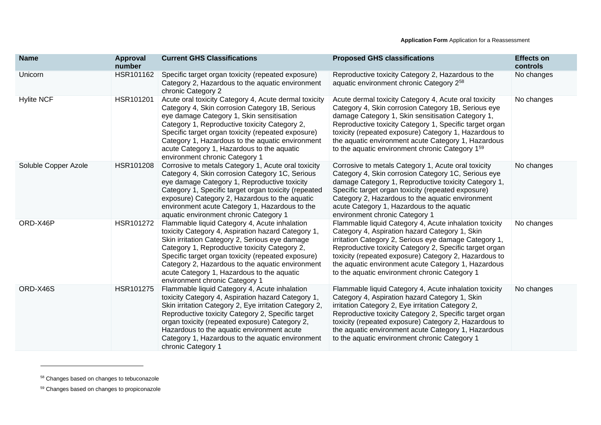| <b>Name</b>          | Approval<br>number | <b>Current GHS Classifications</b>                                                                                                                                                                                                                                                                                                                                                               | <b>Proposed GHS classifications</b>                                                                                                                                                                                                                                                                                                                                                             | <b>Effects on</b><br>controls |
|----------------------|--------------------|--------------------------------------------------------------------------------------------------------------------------------------------------------------------------------------------------------------------------------------------------------------------------------------------------------------------------------------------------------------------------------------------------|-------------------------------------------------------------------------------------------------------------------------------------------------------------------------------------------------------------------------------------------------------------------------------------------------------------------------------------------------------------------------------------------------|-------------------------------|
| Unicorn              | HSR101162          | Specific target organ toxicity (repeated exposure)<br>Category 2, Hazardous to the aquatic environment<br>chronic Category 2                                                                                                                                                                                                                                                                     | Reproductive toxicity Category 2, Hazardous to the<br>aquatic environment chronic Category 258                                                                                                                                                                                                                                                                                                  | No changes                    |
| <b>Hylite NCF</b>    | HSR101201          | Acute oral toxicity Category 4, Acute dermal toxicity<br>Category 4, Skin corrosion Category 1B, Serious<br>eye damage Category 1, Skin sensitisation<br>Category 1, Reproductive toxicity Category 2,<br>Specific target organ toxicity (repeated exposure)<br>Category 1, Hazardous to the aquatic environment<br>acute Category 1, Hazardous to the aquatic<br>environment chronic Category 1 | Acute dermal toxicity Category 4, Acute oral toxicity<br>Category 4, Skin corrosion Category 1B, Serious eye<br>damage Category 1, Skin sensitisation Category 1,<br>Reproductive toxicity Category 1, Specific target organ<br>toxicity (repeated exposure) Category 1, Hazardous to<br>the aquatic environment acute Category 1, Hazardous<br>to the aquatic environment chronic Category 159 | No changes                    |
| Soluble Copper Azole | HSR101208          | Corrosive to metals Category 1, Acute oral toxicity<br>Category 4, Skin corrosion Category 1C, Serious<br>eye damage Category 1, Reproductive toxicity<br>Category 1, Specific target organ toxicity (repeated<br>exposure) Category 2, Hazardous to the aquatic<br>environment acute Category 1, Hazardous to the<br>aquatic environment chronic Category 1                                     | Corrosive to metals Category 1, Acute oral toxicity<br>Category 4, Skin corrosion Category 1C, Serious eye<br>damage Category 1, Reproductive toxicity Category 1,<br>Specific target organ toxicity (repeated exposure)<br>Category 2, Hazardous to the aquatic environment<br>acute Category 1, Hazardous to the aquatic<br>environment chronic Category 1                                    | No changes                    |
| ORD-X46P             | HSR101272          | Flammable liquid Category 4, Acute inhalation<br>toxicity Category 4, Aspiration hazard Category 1,<br>Skin irritation Category 2, Serious eye damage<br>Category 1, Reproductive toxicity Category 2,<br>Specific target organ toxicity (repeated exposure)<br>Category 2, Hazardous to the aquatic environment<br>acute Category 1, Hazardous to the aquatic<br>environment chronic Category 1 | Flammable liquid Category 4, Acute inhalation toxicity<br>Category 4, Aspiration hazard Category 1, Skin<br>irritation Category 2, Serious eye damage Category 1,<br>Reproductive toxicity Category 2, Specific target organ<br>toxicity (repeated exposure) Category 2, Hazardous to<br>the aquatic environment acute Category 1, Hazardous<br>to the aquatic environment chronic Category 1   | No changes                    |
| ORD-X46S             | HSR101275          | Flammable liquid Category 4, Acute inhalation<br>toxicity Category 4, Aspiration hazard Category 1,<br>Skin irritation Category 2, Eye irritation Category 2,<br>Reproductive toxicity Category 2, Specific target<br>organ toxicity (repeated exposure) Category 2,<br>Hazardous to the aquatic environment acute<br>Category 1, Hazardous to the aquatic environment<br>chronic Category 1     | Flammable liquid Category 4, Acute inhalation toxicity<br>Category 4, Aspiration hazard Category 1, Skin<br>irritation Category 2, Eye irritation Category 2,<br>Reproductive toxicity Category 2, Specific target organ<br>toxicity (repeated exposure) Category 2, Hazardous to<br>the aquatic environment acute Category 1, Hazardous<br>to the aquatic environment chronic Category 1       | No changes                    |

<sup>58</sup> Changes based on changes to tebuconazole

<sup>59</sup> Changes based on changes to propiconazole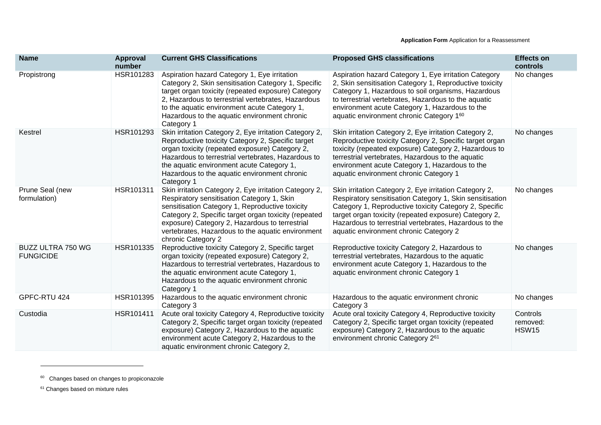| <b>Name</b>                                  | <b>Approval</b><br>number | <b>Current GHS Classifications</b>                                                                                                                                                                                                                                                                                                           | <b>Proposed GHS classifications</b>                                                                                                                                                                                                                                                                                                       | <b>Effects on</b><br>controls        |
|----------------------------------------------|---------------------------|----------------------------------------------------------------------------------------------------------------------------------------------------------------------------------------------------------------------------------------------------------------------------------------------------------------------------------------------|-------------------------------------------------------------------------------------------------------------------------------------------------------------------------------------------------------------------------------------------------------------------------------------------------------------------------------------------|--------------------------------------|
| Propistrong                                  | HSR101283                 | Aspiration hazard Category 1, Eye irritation<br>Category 2, Skin sensitisation Category 1, Specific<br>target organ toxicity (repeated exposure) Category<br>2, Hazardous to terrestrial vertebrates, Hazardous<br>to the aquatic environment acute Category 1,<br>Hazardous to the aquatic environment chronic<br>Category 1                | Aspiration hazard Category 1, Eye irritation Category<br>2, Skin sensitisation Category 1, Reproductive toxicity<br>Category 1, Hazardous to soil organisms, Hazardous<br>to terrestrial vertebrates, Hazardous to the aquatic<br>environment acute Category 1, Hazardous to the<br>aquatic environment chronic Category 160              | No changes                           |
| Kestrel                                      | HSR101293                 | Skin irritation Category 2, Eye irritation Category 2,<br>Reproductive toxicity Category 2, Specific target<br>organ toxicity (repeated exposure) Category 2,<br>Hazardous to terrestrial vertebrates, Hazardous to<br>the aquatic environment acute Category 1,<br>Hazardous to the aquatic environment chronic<br>Category 1               | Skin irritation Category 2, Eye irritation Category 2,<br>Reproductive toxicity Category 2, Specific target organ<br>toxicity (repeated exposure) Category 2, Hazardous to<br>terrestrial vertebrates, Hazardous to the aquatic<br>environment acute Category 1, Hazardous to the<br>aquatic environment chronic Category 1               | No changes                           |
| Prune Seal (new<br>formulation)              | HSR101311                 | Skin irritation Category 2, Eye irritation Category 2,<br>Respiratory sensitisation Category 1, Skin<br>sensitisation Category 1, Reproductive toxicity<br>Category 2, Specific target organ toxicity (repeated<br>exposure) Category 2, Hazardous to terrestrial<br>vertebrates, Hazardous to the aquatic environment<br>chronic Category 2 | Skin irritation Category 2, Eye irritation Category 2,<br>Respiratory sensitisation Category 1, Skin sensitisation<br>Category 1, Reproductive toxicity Category 2, Specific<br>target organ toxicity (repeated exposure) Category 2,<br>Hazardous to terrestrial vertebrates, Hazardous to the<br>aquatic environment chronic Category 2 | No changes                           |
| <b>BUZZ ULTRA 750 WG</b><br><b>FUNGICIDE</b> | HSR101335                 | Reproductive toxicity Category 2, Specific target<br>organ toxicity (repeated exposure) Category 2,<br>Hazardous to terrestrial vertebrates, Hazardous to<br>the aquatic environment acute Category 1,<br>Hazardous to the aquatic environment chronic<br>Category 1                                                                         | Reproductive toxicity Category 2, Hazardous to<br>terrestrial vertebrates, Hazardous to the aquatic<br>environment acute Category 1, Hazardous to the<br>aquatic environment chronic Category 1                                                                                                                                           | No changes                           |
| GPFC-RTU 424                                 | HSR101395                 | Hazardous to the aquatic environment chronic<br>Category 3                                                                                                                                                                                                                                                                                   | Hazardous to the aquatic environment chronic<br>Category 3                                                                                                                                                                                                                                                                                | No changes                           |
| Custodia                                     | HSR101411                 | Acute oral toxicity Category 4, Reproductive toxicity<br>Category 2, Specific target organ toxicity (repeated<br>exposure) Category 2, Hazardous to the aquatic<br>environment acute Category 2, Hazardous to the<br>aquatic environment chronic Category 2,                                                                                 | Acute oral toxicity Category 4, Reproductive toxicity<br>Category 2, Specific target organ toxicity (repeated<br>exposure) Category 2, Hazardous to the aquatic<br>environment chronic Category 261                                                                                                                                       | Controls<br>removed:<br><b>HSW15</b> |

<sup>&</sup>lt;sup>60</sup> Changes based on changes to propiconazole

<sup>&</sup>lt;sup>61</sup> Changes based on mixture rules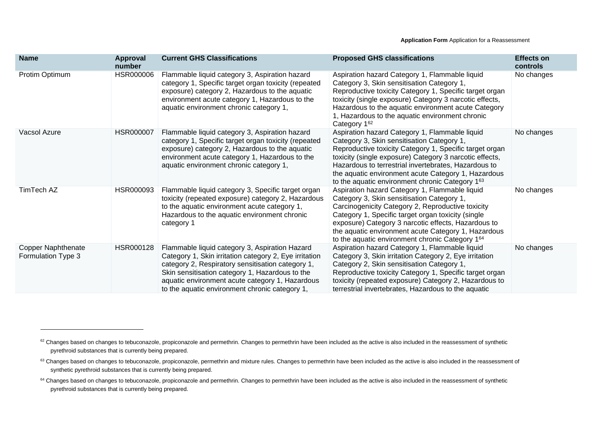| <b>Name</b>                                     | Approval<br>number | <b>Current GHS Classifications</b>                                                                                                                                                                                                                                                                                    | <b>Proposed GHS classifications</b>                                                                                                                                                                                                                                                                                                                                                  | <b>Effects on</b><br>controls |
|-------------------------------------------------|--------------------|-----------------------------------------------------------------------------------------------------------------------------------------------------------------------------------------------------------------------------------------------------------------------------------------------------------------------|--------------------------------------------------------------------------------------------------------------------------------------------------------------------------------------------------------------------------------------------------------------------------------------------------------------------------------------------------------------------------------------|-------------------------------|
| Protim Optimum                                  | HSR000006          | Flammable liquid category 3, Aspiration hazard<br>category 1, Specific target organ toxicity (repeated<br>exposure) category 2, Hazardous to the aquatic<br>environment acute category 1, Hazardous to the<br>aquatic environment chronic category 1,                                                                 | Aspiration hazard Category 1, Flammable liquid<br>Category 3, Skin sensitisation Category 1,<br>Reproductive toxicity Category 1, Specific target organ<br>toxicity (single exposure) Category 3 narcotic effects,<br>Hazardous to the aquatic environment acute Category<br>1, Hazardous to the aquatic environment chronic<br>Category 162                                         | No changes                    |
| Vacsol Azure                                    | HSR000007          | Flammable liquid category 3, Aspiration hazard<br>category 1, Specific target organ toxicity (repeated<br>exposure) category 2, Hazardous to the aquatic<br>environment acute category 1, Hazardous to the<br>aquatic environment chronic category 1,                                                                 | Aspiration hazard Category 1, Flammable liquid<br>Category 3, Skin sensitisation Category 1,<br>Reproductive toxicity Category 1, Specific target organ<br>toxicity (single exposure) Category 3 narcotic effects,<br>Hazardous to terrestrial invertebrates, Hazardous to<br>the aquatic environment acute Category 1, Hazardous<br>to the aquatic environment chronic Category 163 | No changes                    |
| TimTech AZ                                      | HSR000093          | Flammable liquid category 3, Specific target organ<br>toxicity (repeated exposure) category 2, Hazardous<br>to the aquatic environment acute category 1,<br>Hazardous to the aquatic environment chronic<br>category 1                                                                                                | Aspiration hazard Category 1, Flammable liquid<br>Category 3, Skin sensitisation Category 1,<br>Carcinogenicity Category 2, Reproductive toxicity<br>Category 1, Specific target organ toxicity (single<br>exposure) Category 3 narcotic effects, Hazardous to<br>the aquatic environment acute Category 1, Hazardous<br>to the aquatic environment chronic Category 164             | No changes                    |
| <b>Copper Naphthenate</b><br>Formulation Type 3 | HSR000128          | Flammable liquid category 3, Aspiration Hazard<br>Category 1, Skin irritation category 2, Eye irritation<br>category 2, Respiratory sensitisation category 1,<br>Skin sensitisation category 1, Hazardous to the<br>aquatic environment acute category 1, Hazardous<br>to the aquatic environment chronic category 1, | Aspiration hazard Category 1, Flammable liquid<br>Category 3, Skin irritation Category 2, Eye irritation<br>Category 2, Skin sensitisation Category 1,<br>Reproductive toxicity Category 1, Specific target organ<br>toxicity (repeated exposure) Category 2, Hazardous to<br>terrestrial invertebrates, Hazardous to the aquatic                                                    | No changes                    |

<sup>&</sup>lt;sup>62</sup> Changes based on changes to tebuconazole, propiconazole and permethrin. Changes to permethrin have been included as the active is also included in the reassessment of synthetic pyrethroid substances that is currently being prepared.

<sup>63</sup> Changes based on changes to tebuconazole, propiconazole, permethrin and mixture rules. Changes to permethrin have been included as the active is also included in the reassessment of synthetic pyrethroid substances that is currently being prepared.

<sup>&</sup>lt;sup>64</sup> Changes based on changes to tebuconazole, propiconazole and permethrin. Changes to permethrin have been included as the active is also included in the reassessment of synthetic pyrethroid substances that is currently being prepared.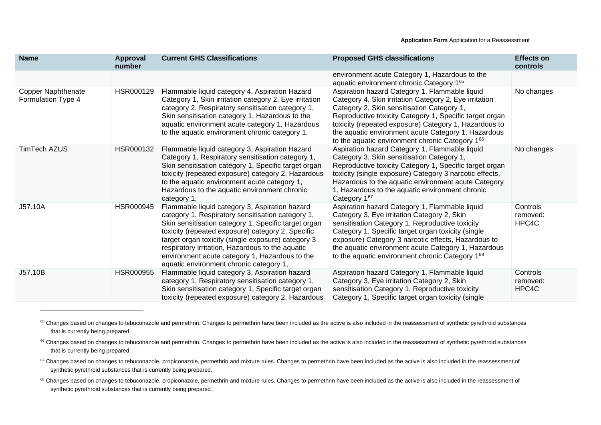| <b>Name</b>                                     | Approval<br>number | <b>Current GHS Classifications</b>                                                                                                                                                                                                                                                                                                                                                                                      | <b>Proposed GHS classifications</b>                                                                                                                                                                                                                                                                                                                                                  | <b>Effects on</b><br>controls |
|-------------------------------------------------|--------------------|-------------------------------------------------------------------------------------------------------------------------------------------------------------------------------------------------------------------------------------------------------------------------------------------------------------------------------------------------------------------------------------------------------------------------|--------------------------------------------------------------------------------------------------------------------------------------------------------------------------------------------------------------------------------------------------------------------------------------------------------------------------------------------------------------------------------------|-------------------------------|
|                                                 |                    |                                                                                                                                                                                                                                                                                                                                                                                                                         | environment acute Category 1, Hazardous to the<br>aquatic environment chronic Category 165                                                                                                                                                                                                                                                                                           |                               |
| <b>Copper Naphthenate</b><br>Formulation Type 4 | HSR000129          | Flammable liquid category 4, Aspiration Hazard<br>Category 1, Skin irritation category 2, Eye irritation<br>category 2, Respiratory sensitisation category 1,<br>Skin sensitisation category 1, Hazardous to the<br>aquatic environment acute category 1, Hazardous<br>to the aquatic environment chronic category 1,                                                                                                   | Aspiration hazard Category 1, Flammable liquid<br>Category 4, Skin irritation Category 2, Eye irritation<br>Category 2, Skin sensitisation Category 1,<br>Reproductive toxicity Category 1, Specific target organ<br>toxicity (repeated exposure) Category 1, Hazardous to<br>the aquatic environment acute Category 1, Hazardous<br>to the aquatic environment chronic Category 166 | No changes                    |
| TimTech AZUS                                    | HSR000132          | Flammable liquid category 3, Aspiration Hazard<br>Category 1, Respiratory sensitisation category 1,<br>Skin sensitisation category 1, Specific target organ<br>toxicity (repeated exposure) category 2, Hazardous<br>to the aquatic environment acute category 1,<br>Hazardous to the aquatic environment chronic<br>category 1,                                                                                        | Aspiration hazard Category 1, Flammable liquid<br>Category 3, Skin sensitisation Category 1,<br>Reproductive toxicity Category 1, Specific target organ<br>toxicity (single exposure) Category 3 narcotic effects,<br>Hazardous to the aquatic environment acute Category<br>1, Hazardous to the aquatic environment chronic<br>Category 167                                         | No changes                    |
| J57.10A                                         | HSR000945          | Flammable liquid category 3, Aspiration hazard<br>category 1, Respiratory sensitisation category 1,<br>Skin sensitisation category 1, Specific target organ<br>toxicity (repeated exposure) category 2, Specific<br>target organ toxicity (single exposure) category 3<br>respiratory irritation, Hazardous to the aquatic<br>environment acute category 1, Hazardous to the<br>aquatic environment chronic category 1, | Aspiration hazard Category 1, Flammable liquid<br>Category 3, Eye irritation Category 2, Skin<br>sensitisation Category 1, Reproductive toxicity<br>Category 1, Specific target organ toxicity (single<br>exposure) Category 3 narcotic effects, Hazardous to<br>the aquatic environment acute Category 1, Hazardous<br>to the aquatic environment chronic Category 168              | Controls<br>removed:<br>HPC4C |
| J57.10B                                         | <b>HSR000955</b>   | Flammable liquid category 3, Aspiration hazard<br>category 1, Respiratory sensitisation category 1,<br>Skin sensitisation category 1, Specific target organ<br>toxicity (repeated exposure) category 2, Hazardous                                                                                                                                                                                                       | Aspiration hazard Category 1, Flammable liquid<br>Category 3, Eye irritation Category 2, Skin<br>sensitisation Category 1, Reproductive toxicity<br>Category 1, Specific target organ toxicity (single                                                                                                                                                                               | Controls<br>removed:<br>HPC4C |

<sup>&</sup>lt;sup>65</sup> Changes based on changes to tebuconazole and permethrin. Changes to permethrin have been included as the active is also included in the reassessment of synthetic pyrethroid substances that is currently being prepared.

<sup>&</sup>lt;sup>66</sup> Changes based on changes to tebuconazole and permethrin. Changes to permethrin have been included as the active is also included in the reassessment of synthetic pyrethroid substances that is currently being prepared.

<sup>&</sup>lt;sup>67</sup> Changes based on changes to tebuconazole, propiconazole, permethrin and mixture rules. Changes to permethrin have been included as the active is also included in the reassessment of synthetic pyrethroid substances that is currently being prepared.

<sup>&</sup>lt;sup>68</sup> Changes based on changes to tebuconazole, propiconazole, permethrin and mixture rules. Changes to permethrin have been included as the active is also included in the reassessment of synthetic pyrethroid substances that is currently being prepared.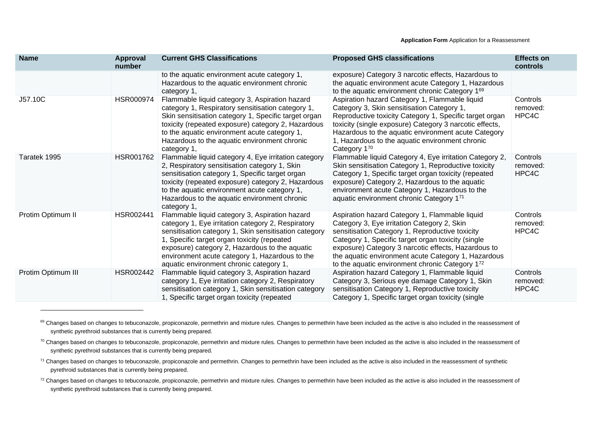| <b>Name</b>        | <b>Approval</b><br>number | <b>Current GHS Classifications</b>                                                                                                                                                                                                                                                                                                                          | <b>Proposed GHS classifications</b>                                                                                                                                                                                                                                                                                                                                     | <b>Effects on</b><br>controls |
|--------------------|---------------------------|-------------------------------------------------------------------------------------------------------------------------------------------------------------------------------------------------------------------------------------------------------------------------------------------------------------------------------------------------------------|-------------------------------------------------------------------------------------------------------------------------------------------------------------------------------------------------------------------------------------------------------------------------------------------------------------------------------------------------------------------------|-------------------------------|
|                    |                           | to the aquatic environment acute category 1,<br>Hazardous to the aquatic environment chronic<br>category 1,                                                                                                                                                                                                                                                 | exposure) Category 3 narcotic effects, Hazardous to<br>the aquatic environment acute Category 1, Hazardous<br>to the aquatic environment chronic Category 169                                                                                                                                                                                                           |                               |
| J57.10C            | HSR000974                 | Flammable liquid category 3, Aspiration hazard<br>category 1, Respiratory sensitisation category 1,<br>Skin sensitisation category 1, Specific target organ<br>toxicity (repeated exposure) category 2, Hazardous<br>to the aquatic environment acute category 1,<br>Hazardous to the aquatic environment chronic<br>category 1,                            | Aspiration hazard Category 1, Flammable liquid<br>Category 3, Skin sensitisation Category 1,<br>Reproductive toxicity Category 1, Specific target organ<br>toxicity (single exposure) Category 3 narcotic effects,<br>Hazardous to the aquatic environment acute Category<br>1, Hazardous to the aquatic environment chronic<br>Category 170                            | Controls<br>removed:<br>HPC4C |
| Taratek 1995       | HSR001762                 | Flammable liquid category 4, Eye irritation category<br>2, Respiratory sensitisation category 1, Skin<br>sensitisation category 1, Specific target organ<br>toxicity (repeated exposure) category 2, Hazardous<br>to the aquatic environment acute category 1,<br>Hazardous to the aquatic environment chronic<br>category 1,                               | Flammable liquid Category 4, Eye irritation Category 2,<br>Skin sensitisation Category 1, Reproductive toxicity<br>Category 1, Specific target organ toxicity (repeated<br>exposure) Category 2, Hazardous to the aquatic<br>environment acute Category 1, Hazardous to the<br>aquatic environment chronic Category 171                                                 | Controls<br>removed:<br>HPC4C |
| Protim Optimum II  | HSR002441                 | Flammable liquid category 3, Aspiration hazard<br>category 1, Eye irritation category 2, Respiratory<br>sensitisation category 1, Skin sensitisation category<br>1, Specific target organ toxicity (repeated<br>exposure) category 2, Hazardous to the aquatic<br>environment acute category 1, Hazardous to the<br>aquatic environment chronic category 1, | Aspiration hazard Category 1, Flammable liquid<br>Category 3, Eye irritation Category 2, Skin<br>sensitisation Category 1, Reproductive toxicity<br>Category 1, Specific target organ toxicity (single<br>exposure) Category 3 narcotic effects, Hazardous to<br>the aquatic environment acute Category 1, Hazardous<br>to the aquatic environment chronic Category 172 | Controls<br>removed:<br>HPC4C |
| Protim Optimum III | HSR002442                 | Flammable liquid category 3, Aspiration hazard<br>category 1, Eye irritation category 2, Respiratory<br>sensitisation category 1, Skin sensitisation category<br>1, Specific target organ toxicity (repeated                                                                                                                                                | Aspiration hazard Category 1, Flammable liquid<br>Category 3, Serious eye damage Category 1, Skin<br>sensitisation Category 1, Reproductive toxicity<br>Category 1, Specific target organ toxicity (single                                                                                                                                                              | Controls<br>removed:<br>HPC4C |

<sup>&</sup>lt;sup>69</sup> Changes based on changes to tebuconazole, propiconazole, permethrin and mixture rules. Changes to permethrin have been included as the active is also included in the reassessment of synthetic pyrethroid substances that is currently being prepared.

<sup>70</sup> Changes based on changes to tebuconazole, propiconazole, permethrin and mixture rules. Changes to permethrin have been included as the active is also included in the reassessment of synthetic pyrethroid substances that is currently being prepared.

<sup>&</sup>lt;sup>71</sup> Changes based on changes to tebuconazole, propiconazole and permethrin. Changes to permethrin have been included as the active is also included in the reassessment of synthetic pyrethroid substances that is currently being prepared.

<sup>72</sup> Changes based on changes to tebuconazole, propiconazole, permethrin and mixture rules. Changes to permethrin have been included as the active is also included in the reassessment of synthetic pyrethroid substances that is currently being prepared.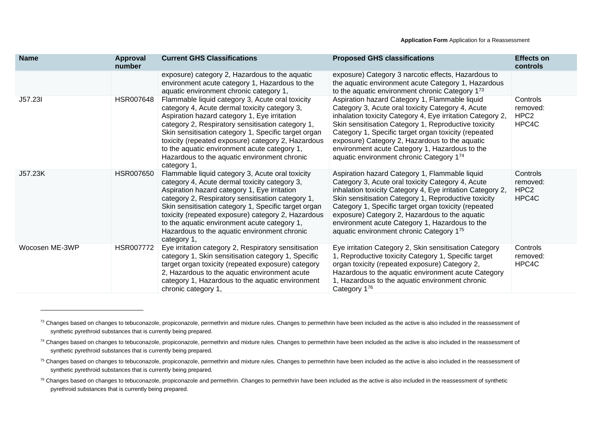| <b>Name</b>    | Approval<br>number | <b>Current GHS Classifications</b>                                                                                                                                                                                                                                                                                                                                                                                                  | <b>Proposed GHS classifications</b>                                                                                                                                                                                                                                                                                                                                                                                               | <b>Effects on</b><br>controls                     |
|----------------|--------------------|-------------------------------------------------------------------------------------------------------------------------------------------------------------------------------------------------------------------------------------------------------------------------------------------------------------------------------------------------------------------------------------------------------------------------------------|-----------------------------------------------------------------------------------------------------------------------------------------------------------------------------------------------------------------------------------------------------------------------------------------------------------------------------------------------------------------------------------------------------------------------------------|---------------------------------------------------|
|                |                    | exposure) category 2, Hazardous to the aquatic<br>environment acute category 1, Hazardous to the<br>aquatic environment chronic category 1,                                                                                                                                                                                                                                                                                         | exposure) Category 3 narcotic effects, Hazardous to<br>the aquatic environment acute Category 1, Hazardous<br>to the aquatic environment chronic Category $1^{73}$                                                                                                                                                                                                                                                                |                                                   |
| J57.23I        | <b>HSR007648</b>   | Flammable liquid category 3, Acute oral toxicity<br>category 4, Acute dermal toxicity category 3,<br>Aspiration hazard category 1, Eye irritation<br>category 2, Respiratory sensitisation category 1,<br>Skin sensitisation category 1, Specific target organ<br>toxicity (repeated exposure) category 2, Hazardous<br>to the aquatic environment acute category 1,<br>Hazardous to the aquatic environment chronic<br>category 1, | Aspiration hazard Category 1, Flammable liquid<br>Category 3, Acute oral toxicity Category 4, Acute<br>inhalation toxicity Category 4, Eye irritation Category 2,<br>Skin sensitisation Category 1, Reproductive toxicity<br>Category 1, Specific target organ toxicity (repeated<br>exposure) Category 2, Hazardous to the aquatic<br>environment acute Category 1, Hazardous to the<br>aquatic environment chronic Category 174 | Controls<br>removed:<br>HPC <sub>2</sub><br>HPC4C |
| J57.23K        | <b>HSR007650</b>   | Flammable liquid category 3, Acute oral toxicity<br>category 4, Acute dermal toxicity category 3,<br>Aspiration hazard category 1, Eye irritation<br>category 2, Respiratory sensitisation category 1,<br>Skin sensitisation category 1, Specific target organ<br>toxicity (repeated exposure) category 2, Hazardous<br>to the aquatic environment acute category 1,<br>Hazardous to the aquatic environment chronic<br>category 1, | Aspiration hazard Category 1, Flammable liquid<br>Category 3, Acute oral toxicity Category 4, Acute<br>inhalation toxicity Category 4, Eye irritation Category 2,<br>Skin sensitisation Category 1, Reproductive toxicity<br>Category 1, Specific target organ toxicity (repeated<br>exposure) Category 2, Hazardous to the aquatic<br>environment acute Category 1, Hazardous to the<br>aquatic environment chronic Category 175 | Controls<br>removed:<br>HPC <sub>2</sub><br>HPC4C |
| Wocosen ME-3WP | HSR007772          | Eye irritation category 2, Respiratory sensitisation<br>category 1, Skin sensitisation category 1, Specific<br>target organ toxicity (repeated exposure) category<br>2, Hazardous to the aquatic environment acute<br>category 1, Hazardous to the aquatic environment<br>chronic category 1,                                                                                                                                       | Eye irritation Category 2, Skin sensitisation Category<br>1, Reproductive toxicity Category 1, Specific target<br>organ toxicity (repeated exposure) Category 2,<br>Hazardous to the aquatic environment acute Category<br>1, Hazardous to the aquatic environment chronic<br>Category 176                                                                                                                                        | Controls<br>removed:<br>HPC4C                     |

<sup>&</sup>lt;sup>73</sup> Changes based on changes to tebuconazole, propiconazole, permethrin and mixture rules. Changes to permethrin have been included as the active is also included in the reassessment of synthetic pyrethroid substances that is currently being prepared.

<sup>74</sup> Changes based on changes to tebuconazole, propiconazole, permethrin and mixture rules. Changes to permethrin have been included as the active is also included in the reassessment of synthetic pyrethroid substances that is currently being prepared.

<sup>&</sup>lt;sup>75</sup> Changes based on changes to tebuconazole, propiconazole, permethrin and mixture rules. Changes to permethrin have been included as the active is also included in the reassessment of synthetic pyrethroid substances that is currently being prepared.

<sup>&</sup>lt;sup>76</sup> Changes based on changes to tebuconazole, propiconazole and permethrin. Changes to permethrin have been included as the active is also included in the reassessment of synthetic pyrethroid substances that is currently being prepared.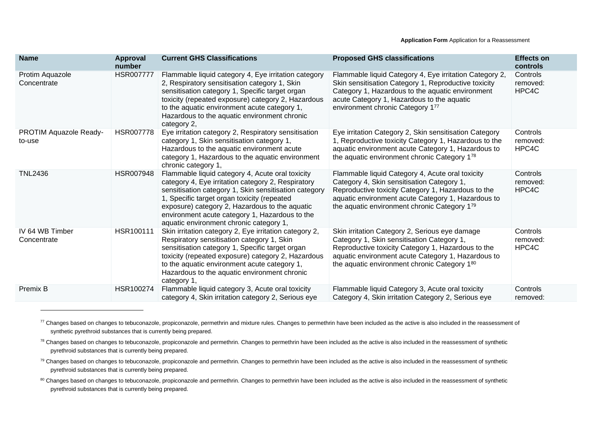| <b>Name</b>                      | Approval<br>number | <b>Current GHS Classifications</b>                                                                                                                                                                                                                                                                                                                            | <b>Proposed GHS classifications</b>                                                                                                                                                                                                                        | <b>Effects on</b><br>controls |
|----------------------------------|--------------------|---------------------------------------------------------------------------------------------------------------------------------------------------------------------------------------------------------------------------------------------------------------------------------------------------------------------------------------------------------------|------------------------------------------------------------------------------------------------------------------------------------------------------------------------------------------------------------------------------------------------------------|-------------------------------|
| Protim Aquazole<br>Concentrate   | <b>HSR007777</b>   | Flammable liquid category 4, Eye irritation category<br>2, Respiratory sensitisation category 1, Skin<br>sensitisation category 1, Specific target organ<br>toxicity (repeated exposure) category 2, Hazardous<br>to the aquatic environment acute category 1,<br>Hazardous to the aquatic environment chronic<br>category 2,                                 | Flammable liquid Category 4, Eye irritation Category 2,<br>Skin sensitisation Category 1, Reproductive toxicity<br>Category 1, Hazardous to the aquatic environment<br>acute Category 1, Hazardous to the aquatic<br>environment chronic Category 177      | Controls<br>removed:<br>HPC4C |
| PROTIM Aquazole Ready-<br>to-use | HSR007778          | Eye irritation category 2, Respiratory sensitisation<br>category 1, Skin sensitisation category 1,<br>Hazardous to the aquatic environment acute<br>category 1, Hazardous to the aquatic environment<br>chronic category 1,                                                                                                                                   | Eye irritation Category 2, Skin sensitisation Category<br>1, Reproductive toxicity Category 1, Hazardous to the<br>aquatic environment acute Category 1, Hazardous to<br>the aquatic environment chronic Category 178                                      | Controls<br>removed:<br>HPC4C |
| <b>TNL2436</b>                   | <b>HSR007948</b>   | Flammable liquid category 4, Acute oral toxicity<br>category 4, Eye irritation category 2, Respiratory<br>sensitisation category 1, Skin sensitisation category<br>1, Specific target organ toxicity (repeated<br>exposure) category 2, Hazardous to the aquatic<br>environment acute category 1, Hazardous to the<br>aquatic environment chronic category 1, | Flammable liquid Category 4, Acute oral toxicity<br>Category 4, Skin sensitisation Category 1,<br>Reproductive toxicity Category 1, Hazardous to the<br>aquatic environment acute Category 1, Hazardous to<br>the aquatic environment chronic Category 179 | Controls<br>removed:<br>HPC4C |
| IV 64 WB Timber<br>Concentrate   | HSR100111          | Skin irritation category 2, Eye irritation category 2,<br>Respiratory sensitisation category 1, Skin<br>sensitisation category 1, Specific target organ<br>toxicity (repeated exposure) category 2, Hazardous<br>to the aquatic environment acute category 1,<br>Hazardous to the aquatic environment chronic<br>category 1,                                  | Skin irritation Category 2, Serious eye damage<br>Category 1, Skin sensitisation Category 1,<br>Reproductive toxicity Category 1, Hazardous to the<br>aquatic environment acute Category 1, Hazardous to<br>the aquatic environment chronic Category 180   | Controls<br>removed:<br>HPC4C |
| Premix B                         | HSR100274          | Flammable liquid category 3, Acute oral toxicity<br>category 4, Skin irritation category 2, Serious eye                                                                                                                                                                                                                                                       | Flammable liquid Category 3, Acute oral toxicity<br>Category 4, Skin irritation Category 2, Serious eye                                                                                                                                                    | Controls<br>removed:          |

<sup>77</sup> Changes based on changes to tebuconazole, propiconazole, permethrin and mixture rules. Changes to permethrin have been included as the active is also included in the reassessment of synthetic pyrethroid substances that is currently being prepared.

<sup>78</sup> Changes based on changes to tebuconazole, propiconazole and permethrin. Changes to permethrin have been included as the active is also included in the reassessment of synthetic pyrethroid substances that is currently being prepared.

<sup>79</sup> Changes based on changes to tebuconazole, propiconazole and permethrin. Changes to permethrin have been included as the active is also included in the reassessment of synthetic pyrethroid substances that is currently being prepared.

<sup>80</sup> Changes based on changes to tebuconazole, propiconazole and permethrin. Changes to permethrin have been included as the active is also included in the reassessment of synthetic pyrethroid substances that is currently being prepared.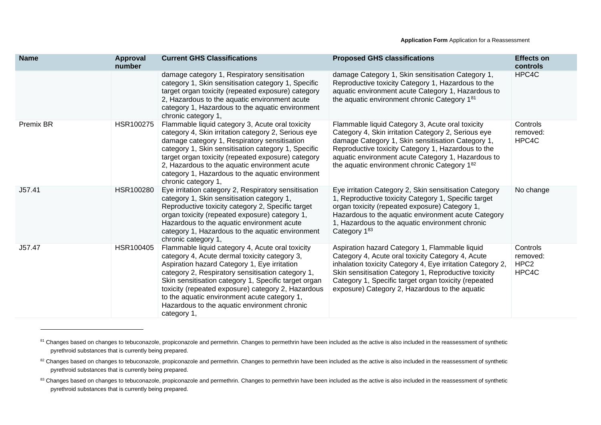| <b>Name</b>      | Approval<br>number | <b>Current GHS Classifications</b>                                                                                                                                                                                                                                                                                                                                                                                                  | <b>Proposed GHS classifications</b>                                                                                                                                                                                                                                                                                                 | <b>Effects on</b><br>controls                     |
|------------------|--------------------|-------------------------------------------------------------------------------------------------------------------------------------------------------------------------------------------------------------------------------------------------------------------------------------------------------------------------------------------------------------------------------------------------------------------------------------|-------------------------------------------------------------------------------------------------------------------------------------------------------------------------------------------------------------------------------------------------------------------------------------------------------------------------------------|---------------------------------------------------|
|                  |                    | damage category 1, Respiratory sensitisation<br>category 1, Skin sensitisation category 1, Specific<br>target organ toxicity (repeated exposure) category<br>2, Hazardous to the aquatic environment acute<br>category 1, Hazardous to the aquatic environment<br>chronic category 1,                                                                                                                                               | damage Category 1, Skin sensitisation Category 1,<br>Reproductive toxicity Category 1, Hazardous to the<br>aquatic environment acute Category 1, Hazardous to<br>the aquatic environment chronic Category 181                                                                                                                       | HPC4C                                             |
| <b>Premix BR</b> | HSR100275          | Flammable liquid category 3, Acute oral toxicity<br>category 4, Skin irritation category 2, Serious eye<br>damage category 1, Respiratory sensitisation<br>category 1, Skin sensitisation category 1, Specific<br>target organ toxicity (repeated exposure) category<br>2, Hazardous to the aquatic environment acute<br>category 1, Hazardous to the aquatic environment<br>chronic category 1,                                    | Flammable liquid Category 3, Acute oral toxicity<br>Category 4, Skin irritation Category 2, Serious eye<br>damage Category 1, Skin sensitisation Category 1,<br>Reproductive toxicity Category 1, Hazardous to the<br>aquatic environment acute Category 1, Hazardous to<br>the aquatic environment chronic Category 182            | Controls<br>removed:<br>HPC4C                     |
| J57.41           | HSR100280          | Eye irritation category 2, Respiratory sensitisation<br>category 1, Skin sensitisation category 1,<br>Reproductive toxicity category 2, Specific target<br>organ toxicity (repeated exposure) category 1,<br>Hazardous to the aquatic environment acute<br>category 1, Hazardous to the aquatic environment<br>chronic category 1,                                                                                                  | Eye irritation Category 2, Skin sensitisation Category<br>1, Reproductive toxicity Category 1, Specific target<br>organ toxicity (repeated exposure) Category 1,<br>Hazardous to the aquatic environment acute Category<br>1, Hazardous to the aquatic environment chronic<br>Category 183                                          | No change                                         |
| J57.47           | HSR100405          | Flammable liquid category 4, Acute oral toxicity<br>category 4, Acute dermal toxicity category 3,<br>Aspiration hazard Category 1, Eye irritation<br>category 2, Respiratory sensitisation category 1,<br>Skin sensitisation category 1, Specific target organ<br>toxicity (repeated exposure) category 2, Hazardous<br>to the aquatic environment acute category 1,<br>Hazardous to the aquatic environment chronic<br>category 1, | Aspiration hazard Category 1, Flammable liquid<br>Category 4, Acute oral toxicity Category 4, Acute<br>inhalation toxicity Category 4, Eye irritation Category 2,<br>Skin sensitisation Category 1, Reproductive toxicity<br>Category 1, Specific target organ toxicity (repeated<br>exposure) Category 2, Hazardous to the aquatic | Controls<br>removed:<br>HPC <sub>2</sub><br>HPC4C |

<sup>81</sup> Changes based on changes to tebuconazole, propiconazole and permethrin. Changes to permethrin have been included as the active is also included in the reassessment of synthetic pyrethroid substances that is currently being prepared.

<sup>&</sup>lt;sup>82</sup> Changes based on changes to tebuconazole, propiconazole and permethrin. Changes to permethrin have been included as the active is also included in the reassessment of synthetic pyrethroid substances that is currently being prepared.

<sup>83</sup> Changes based on changes to tebuconazole, propiconazole and permethrin. Changes to permethrin have been included as the active is also included in the reassessment of synthetic pyrethroid substances that is currently being prepared.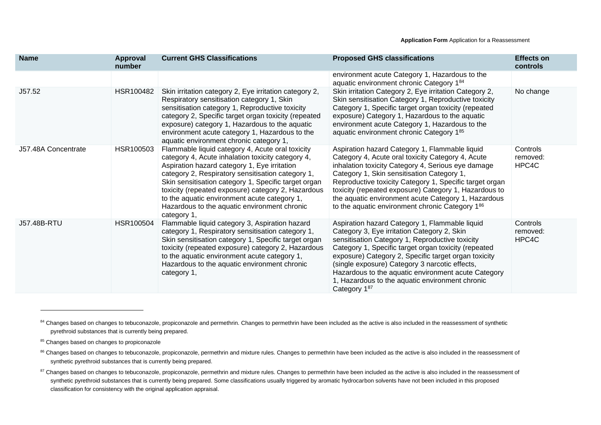| <b>Name</b>         | Approval<br>number | <b>Current GHS Classifications</b>                                                                                                                                                                                                                                                                                                                                                                                                      | <b>Proposed GHS classifications</b>                                                                                                                                                                                                                                                                                                                                                                                                          | <b>Effects on</b><br>controls |
|---------------------|--------------------|-----------------------------------------------------------------------------------------------------------------------------------------------------------------------------------------------------------------------------------------------------------------------------------------------------------------------------------------------------------------------------------------------------------------------------------------|----------------------------------------------------------------------------------------------------------------------------------------------------------------------------------------------------------------------------------------------------------------------------------------------------------------------------------------------------------------------------------------------------------------------------------------------|-------------------------------|
|                     |                    |                                                                                                                                                                                                                                                                                                                                                                                                                                         | environment acute Category 1, Hazardous to the<br>aquatic environment chronic Category 184                                                                                                                                                                                                                                                                                                                                                   |                               |
| J57.52              | HSR100482          | Skin irritation category 2, Eye irritation category 2,<br>Respiratory sensitisation category 1, Skin<br>sensitisation category 1, Reproductive toxicity<br>category 2, Specific target organ toxicity (repeated<br>exposure) category 1, Hazardous to the aquatic<br>environment acute category 1, Hazardous to the<br>aquatic environment chronic category 1,                                                                          | Skin irritation Category 2, Eye irritation Category 2,<br>Skin sensitisation Category 1, Reproductive toxicity<br>Category 1, Specific target organ toxicity (repeated<br>exposure) Category 1, Hazardous to the aquatic<br>environment acute Category 1, Hazardous to the<br>aquatic environment chronic Category 185                                                                                                                       | No change                     |
| J57.48A Concentrate | HSR100503          | Flammable liquid category 4, Acute oral toxicity<br>category 4, Acute inhalation toxicity category 4,<br>Aspiration hazard category 1, Eye irritation<br>category 2, Respiratory sensitisation category 1,<br>Skin sensitisation category 1, Specific target organ<br>toxicity (repeated exposure) category 2, Hazardous<br>to the aquatic environment acute category 1,<br>Hazardous to the aquatic environment chronic<br>category 1, | Aspiration hazard Category 1, Flammable liquid<br>Category 4, Acute oral toxicity Category 4, Acute<br>inhalation toxicity Category 4, Serious eye damage<br>Category 1, Skin sensitisation Category 1,<br>Reproductive toxicity Category 1, Specific target organ<br>toxicity (repeated exposure) Category 1, Hazardous to<br>the aquatic environment acute Category 1, Hazardous<br>to the aquatic environment chronic Category 186        | Controls<br>removed:<br>HPC4C |
| <b>J57.48B-RTU</b>  | HSR100504          | Flammable liquid category 3, Aspiration hazard<br>category 1, Respiratory sensitisation category 1,<br>Skin sensitisation category 1, Specific target organ<br>toxicity (repeated exposure) category 2, Hazardous<br>to the aquatic environment acute category 1,<br>Hazardous to the aquatic environment chronic<br>category 1,                                                                                                        | Aspiration hazard Category 1, Flammable liquid<br>Category 3, Eye irritation Category 2, Skin<br>sensitisation Category 1, Reproductive toxicity<br>Category 1, Specific target organ toxicity (repeated<br>exposure) Category 2, Specific target organ toxicity<br>(single exposure) Category 3 narcotic effects,<br>Hazardous to the aquatic environment acute Category<br>1, Hazardous to the aquatic environment chronic<br>Category 187 | Controls<br>removed:<br>HPC4C |

<sup>84</sup> Changes based on changes to tebuconazole, propiconazole and permethrin. Changes to permethrin have been included as the active is also included in the reassessment of synthetic pyrethroid substances that is currently being prepared.

<sup>85</sup> Changes based on changes to propiconazole

<sup>86</sup> Changes based on changes to tebuconazole, propiconazole, permethrin and mixture rules. Changes to permethrin have been included as the active is also included in the reassessment of synthetic pyrethroid substances that is currently being prepared.

<sup>&</sup>lt;sup>87</sup> Changes based on changes to tebuconazole, propiconazole, permethrin and mixture rules. Changes to permethrin have been included as the active is also included in the reassessment of synthetic pyrethroid substances that is currently being prepared. Some classifications usually triggered by aromatic hydrocarbon solvents have not been included in this proposed classification for consistency with the original application appraisal.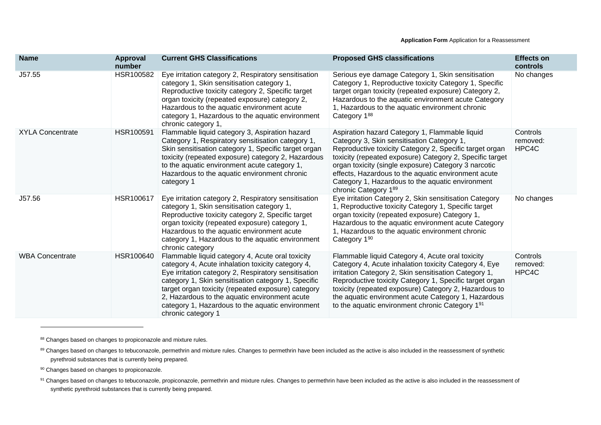| <b>Name</b>             | Approval<br>number | <b>Current GHS Classifications</b>                                                                                                                                                                                                                                                                                                                                                                    | <b>Proposed GHS classifications</b>                                                                                                                                                                                                                                                                                                                                                                            | <b>Effects on</b><br>controls |
|-------------------------|--------------------|-------------------------------------------------------------------------------------------------------------------------------------------------------------------------------------------------------------------------------------------------------------------------------------------------------------------------------------------------------------------------------------------------------|----------------------------------------------------------------------------------------------------------------------------------------------------------------------------------------------------------------------------------------------------------------------------------------------------------------------------------------------------------------------------------------------------------------|-------------------------------|
| J57.55                  | HSR100582          | Eye irritation category 2, Respiratory sensitisation<br>category 1, Skin sensitisation category 1,<br>Reproductive toxicity category 2, Specific target<br>organ toxicity (repeated exposure) category 2,<br>Hazardous to the aquatic environment acute<br>category 1, Hazardous to the aquatic environment<br>chronic category 1,                                                                    | Serious eye damage Category 1, Skin sensitisation<br>Category 1, Reproductive toxicity Category 1, Specific<br>target organ toxicity (repeated exposure) Category 2,<br>Hazardous to the aquatic environment acute Category<br>1, Hazardous to the aquatic environment chronic<br>Category 188                                                                                                                 | No changes                    |
| <b>XYLA Concentrate</b> | HSR100591          | Flammable liquid category 3, Aspiration hazard<br>Category 1, Respiratory sensitisation category 1,<br>Skin sensitisation category 1, Specific target organ<br>toxicity (repeated exposure) category 2, Hazardous<br>to the aquatic environment acute category 1,<br>Hazardous to the aquatic environment chronic<br>category 1                                                                       | Aspiration hazard Category 1, Flammable liquid<br>Category 3, Skin sensitisation Category 1,<br>Reproductive toxicity Category 2, Specific target organ<br>toxicity (repeated exposure) Category 2, Specific target<br>organ toxicity (single exposure) Category 3 narcotic<br>effects, Hazardous to the aquatic environment acute<br>Category 1, Hazardous to the aquatic environment<br>chronic Category 189 | Controls<br>removed:<br>HPC4C |
| J57.56                  | HSR100617          | Eye irritation category 2, Respiratory sensitisation<br>category 1, Skin sensitisation category 1,<br>Reproductive toxicity category 2, Specific target<br>organ toxicity (repeated exposure) category 1,<br>Hazardous to the aquatic environment acute<br>category 1, Hazardous to the aquatic environment<br>chronic category                                                                       | Eye irritation Category 2, Skin sensitisation Category<br>1, Reproductive toxicity Category 1, Specific target<br>organ toxicity (repeated exposure) Category 1,<br>Hazardous to the aquatic environment acute Category<br>1, Hazardous to the aquatic environment chronic<br>Category 190                                                                                                                     | No changes                    |
| <b>WBA Concentrate</b>  | HSR100640          | Flammable liquid category 4, Acute oral toxicity<br>category 4, Acute inhalation toxicity category 4,<br>Eye irritation category 2, Respiratory sensitisation<br>category 1, Skin sensitisation category 1, Specific<br>target organ toxicity (repeated exposure) category<br>2, Hazardous to the aquatic environment acute<br>category 1, Hazardous to the aquatic environment<br>chronic category 1 | Flammable liquid Category 4, Acute oral toxicity<br>Category 4, Acute inhalation toxicity Category 4, Eye<br>irritation Category 2, Skin sensitisation Category 1,<br>Reproductive toxicity Category 1, Specific target organ<br>toxicity (repeated exposure) Category 2, Hazardous to<br>the aquatic environment acute Category 1, Hazardous<br>to the aquatic environment chronic Category 191               | Controls<br>removed:<br>HPC4C |

88 Changes based on changes to propiconazole and mixture rules.

89 Changes based on changes to tebuconazole, permethrin and mixture rules. Changes to permethrin have been included as the active is also included in the reassessment of synthetic pyrethroid substances that is currently being prepared.

90 Changes based on changes to propiconazole.

91 Changes based on changes to tebuconazole, propiconazole, permethrin and mixture rules. Changes to permethrin have been included as the active is also included in the reassessment of synthetic pyrethroid substances that is currently being prepared.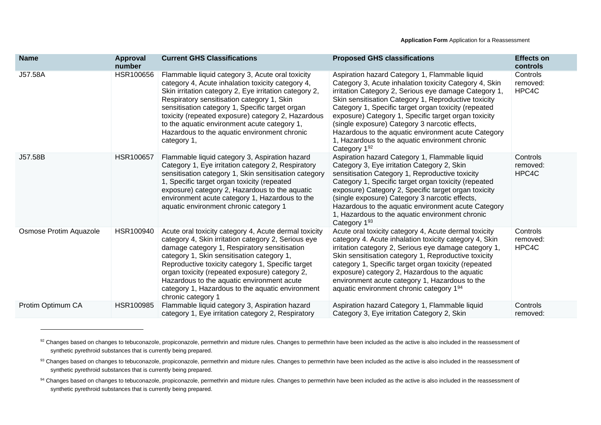| <b>Name</b>            | Approval<br>number | <b>Current GHS Classifications</b>                                                                                                                                                                                                                                                                                                                                                                                                        | <b>Proposed GHS classifications</b>                                                                                                                                                                                                                                                                                                                                                                                                                                                                                   | <b>Effects on</b><br>controls |
|------------------------|--------------------|-------------------------------------------------------------------------------------------------------------------------------------------------------------------------------------------------------------------------------------------------------------------------------------------------------------------------------------------------------------------------------------------------------------------------------------------|-----------------------------------------------------------------------------------------------------------------------------------------------------------------------------------------------------------------------------------------------------------------------------------------------------------------------------------------------------------------------------------------------------------------------------------------------------------------------------------------------------------------------|-------------------------------|
| J57.58A                | HSR100656          | Flammable liquid category 3, Acute oral toxicity<br>category 4, Acute inhalation toxicity category 4,<br>Skin irritation category 2, Eye irritation category 2,<br>Respiratory sensitisation category 1, Skin<br>sensitisation category 1, Specific target organ<br>toxicity (repeated exposure) category 2, Hazardous<br>to the aquatic environment acute category 1,<br>Hazardous to the aquatic environment chronic<br>category 1,     | Aspiration hazard Category 1, Flammable liquid<br>Category 3, Acute inhalation toxicity Category 4, Skin<br>irritation Category 2, Serious eye damage Category 1,<br>Skin sensitisation Category 1, Reproductive toxicity<br>Category 1, Specific target organ toxicity (repeated<br>exposure) Category 1, Specific target organ toxicity<br>(single exposure) Category 3 narcotic effects,<br>Hazardous to the aquatic environment acute Category<br>1, Hazardous to the aquatic environment chronic<br>Category 192 | Controls<br>removed:<br>HPC4C |
| J57.58B                | <b>HSR100657</b>   | Flammable liquid category 3, Aspiration hazard<br>Category 1, Eye irritation category 2, Respiratory<br>sensitisation category 1, Skin sensitisation category<br>1, Specific target organ toxicity (repeated<br>exposure) category 2, Hazardous to the aquatic<br>environment acute category 1, Hazardous to the<br>aquatic environment chronic category 1                                                                                | Aspiration hazard Category 1, Flammable liquid<br>Category 3, Eye irritation Category 2, Skin<br>sensitisation Category 1, Reproductive toxicity<br>Category 1, Specific target organ toxicity (repeated<br>exposure) Category 2, Specific target organ toxicity<br>(single exposure) Category 3 narcotic effects,<br>Hazardous to the aquatic environment acute Category<br>1, Hazardous to the aquatic environment chronic<br>Category 193                                                                          | Controls<br>removed:<br>HPC4C |
| Osmose Protim Aquazole | HSR100940          | Acute oral toxicity category 4, Acute dermal toxicity<br>category 4, Skin irritation category 2, Serious eye<br>damage category 1, Respiratory sensitisation<br>category 1, Skin sensitisation category 1,<br>Reproductive toxicity category 1, Specific target<br>organ toxicity (repeated exposure) category 2,<br>Hazardous to the aquatic environment acute<br>category 1, Hazardous to the aquatic environment<br>chronic category 1 | Acute oral toxicity category 4, Acute dermal toxicity<br>category 4. Acute inhalation toxicity category 4, Skin<br>irritation category 2, Serious eye damage category 1,<br>Skin sensitisation category 1, Reproductive toxicity<br>category 1, Specific target organ toxicity (repeated<br>exposure) category 2, Hazardous to the aquatic<br>environment acute category 1, Hazardous to the<br>aquatic environment chronic category 194                                                                              | Controls<br>removed:<br>HPC4C |
| Protim Optimum CA      | HSR100985          | Flammable liquid category 3, Aspiration hazard<br>category 1, Eye irritation category 2, Respiratory                                                                                                                                                                                                                                                                                                                                      | Aspiration hazard Category 1, Flammable liquid<br>Category 3, Eye irritation Category 2, Skin                                                                                                                                                                                                                                                                                                                                                                                                                         | Controls<br>removed:          |

<sup>92</sup> Changes based on changes to tebuconazole, propiconazole, permethrin and mixture rules. Changes to permethrin have been included as the active is also included in the reassessment of synthetic pyrethroid substances that is currently being prepared.

<sup>93</sup> Changes based on changes to tebuconazole, propiconazole, permethrin and mixture rules. Changes to permethrin have been included as the active is also included in the reassessment of synthetic pyrethroid substances that is currently being prepared.

<sup>94</sup> Changes based on changes to tebuconazole, propiconazole, permethrin and mixture rules. Changes to permethrin have been included as the active is also included in the reassessment of synthetic pyrethroid substances that is currently being prepared.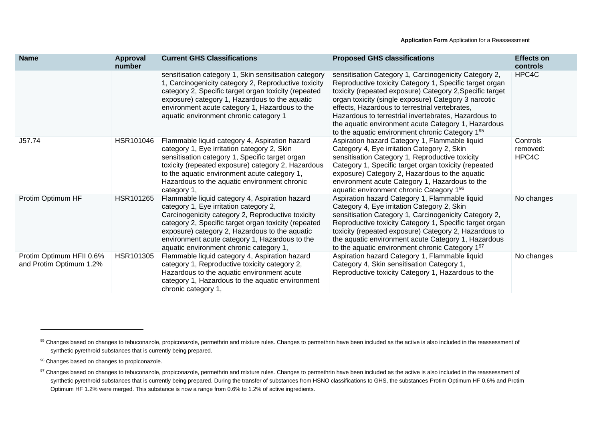| <b>Name</b>                                         | <b>Approval</b><br>number | <b>Current GHS Classifications</b>                                                                                                                                                                                                                                                                                                                   | <b>Proposed GHS classifications</b>                                                                                                                                                                                                                                                                                                                                                                                                                      | <b>Effects on</b><br>controls |
|-----------------------------------------------------|---------------------------|------------------------------------------------------------------------------------------------------------------------------------------------------------------------------------------------------------------------------------------------------------------------------------------------------------------------------------------------------|----------------------------------------------------------------------------------------------------------------------------------------------------------------------------------------------------------------------------------------------------------------------------------------------------------------------------------------------------------------------------------------------------------------------------------------------------------|-------------------------------|
|                                                     |                           | sensitisation category 1, Skin sensitisation category<br>1, Carcinogenicity category 2, Reproductive toxicity<br>category 2, Specific target organ toxicity (repeated<br>exposure) category 1, Hazardous to the aquatic<br>environment acute category 1, Hazardous to the<br>aquatic environment chronic category 1                                  | sensitisation Category 1, Carcinogenicity Category 2,<br>Reproductive toxicity Category 1, Specific target organ<br>toxicity (repeated exposure) Category 2, Specific target<br>organ toxicity (single exposure) Category 3 narcotic<br>effects, Hazardous to terrestrial vertebrates,<br>Hazardous to terrestrial invertebrates, Hazardous to<br>the aquatic environment acute Category 1, Hazardous<br>to the aquatic environment chronic Category 195 | HPC4C                         |
| J57.74                                              | HSR101046                 | Flammable liquid category 4, Aspiration hazard<br>category 1, Eye irritation category 2, Skin<br>sensitisation category 1, Specific target organ<br>toxicity (repeated exposure) category 2, Hazardous<br>to the aquatic environment acute category 1,<br>Hazardous to the aquatic environment chronic<br>category 1,                                | Aspiration hazard Category 1, Flammable liquid<br>Category 4, Eye irritation Category 2, Skin<br>sensitisation Category 1, Reproductive toxicity<br>Category 1, Specific target organ toxicity (repeated<br>exposure) Category 2, Hazardous to the aquatic<br>environment acute Category 1, Hazardous to the<br>aquatic environment chronic Category 1 <sup>96</sup>                                                                                     | Controls<br>removed:<br>HPC4C |
| Protim Optimum HF                                   | HSR101265                 | Flammable liquid category 4, Aspiration hazard<br>category 1, Eye irritation category 2,<br>Carcinogenicity category 2, Reproductive toxicity<br>category 2, Specific target organ toxicity (repeated<br>exposure) category 2, Hazardous to the aquatic<br>environment acute category 1, Hazardous to the<br>aquatic environment chronic category 1, | Aspiration hazard Category 1, Flammable liquid<br>Category 4, Eye irritation Category 2, Skin<br>sensitisation Category 1, Carcinogenicity Category 2,<br>Reproductive toxicity Category 1, Specific target organ<br>toxicity (repeated exposure) Category 2, Hazardous to<br>the aquatic environment acute Category 1, Hazardous<br>to the aquatic environment chronic Category 197                                                                     | No changes                    |
| Protim Optimum HFII 0.6%<br>and Protim Optimum 1.2% | HSR101305                 | Flammable liquid category 4, Aspiration hazard<br>category 1, Reproductive toxicity category 2,<br>Hazardous to the aquatic environment acute<br>category 1, Hazardous to the aquatic environment<br>chronic category 1,                                                                                                                             | Aspiration hazard Category 1, Flammable liquid<br>Category 4, Skin sensitisation Category 1,<br>Reproductive toxicity Category 1, Hazardous to the                                                                                                                                                                                                                                                                                                       | No changes                    |

<sup>&</sup>lt;sup>95</sup> Changes based on changes to tebuconazole, propiconazole, permethrin and mixture rules. Changes to permethrin have been included as the active is also included in the reassessment of synthetic pyrethroid substances that is currently being prepared.

<sup>96</sup> Changes based on changes to propiconazole.

<sup>97</sup> Changes based on changes to tebuconazole, propiconazole, permethrin and mixture rules. Changes to permethrin have been included as the active is also included in the reassessment of synthetic pyrethroid substances that is currently being prepared. During the transfer of substances from HSNO classifications to GHS, the substances Protim Optimum HF 0.6% and Protim Optimum HF 1.2% were merged. This substance is now a range from 0.6% to 1.2% of active ingredients.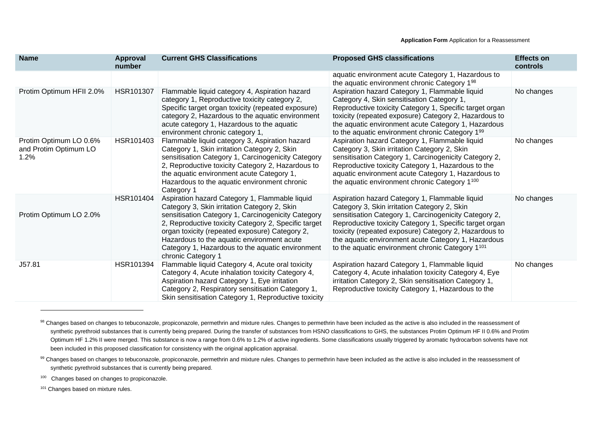| <b>Name</b>                                             | Approval<br>number | <b>Current GHS Classifications</b>                                                                                                                                                                                                                                                                                                                                                     | <b>Proposed GHS classifications</b>                                                                                                                                                                                                                                                                                                                                                                | <b>Effects on</b><br>controls |
|---------------------------------------------------------|--------------------|----------------------------------------------------------------------------------------------------------------------------------------------------------------------------------------------------------------------------------------------------------------------------------------------------------------------------------------------------------------------------------------|----------------------------------------------------------------------------------------------------------------------------------------------------------------------------------------------------------------------------------------------------------------------------------------------------------------------------------------------------------------------------------------------------|-------------------------------|
|                                                         |                    |                                                                                                                                                                                                                                                                                                                                                                                        | aquatic environment acute Category 1, Hazardous to<br>the aquatic environment chronic Category 1 <sup>98</sup>                                                                                                                                                                                                                                                                                     |                               |
| Protim Optimum HFII 2.0%                                | HSR101307          | Flammable liquid category 4, Aspiration hazard<br>category 1, Reproductive toxicity category 2,<br>Specific target organ toxicity (repeated exposure)<br>category 2, Hazardous to the aquatic environment<br>acute category 1, Hazardous to the aquatic<br>environment chronic category 1,                                                                                             | Aspiration hazard Category 1, Flammable liquid<br>Category 4, Skin sensitisation Category 1,<br>Reproductive toxicity Category 1, Specific target organ<br>toxicity (repeated exposure) Category 2, Hazardous to<br>the aquatic environment acute Category 1, Hazardous<br>to the aquatic environment chronic Category 199                                                                         | No changes                    |
| Protim Optimum LO 0.6%<br>and Protim Optimum LO<br>1.2% | HSR101403          | Flammable liquid category 3, Aspiration hazard<br>Category 1, Skin irritation Category 2, Skin<br>sensitisation Category 1, Carcinogenicity Category<br>2, Reproductive toxicity Category 2, Hazardous to<br>the aquatic environment acute Category 1,<br>Hazardous to the aquatic environment chronic<br>Category 1                                                                   | Aspiration hazard Category 1, Flammable liquid<br>Category 3, Skin irritation Category 2, Skin<br>sensitisation Category 1, Carcinogenicity Category 2,<br>Reproductive toxicity Category 1, Hazardous to the<br>aquatic environment acute Category 1, Hazardous to<br>the aquatic environment chronic Category 1 <sup>100</sup>                                                                   | No changes                    |
| Protim Optimum LO 2.0%                                  | HSR101404          | Aspiration hazard Category 1, Flammable liquid<br>Category 3, Skin irritation Category 2, Skin<br>sensitisation Category 1, Carcinogenicity Category<br>2, Reproductive toxicity Category 2, Specific target<br>organ toxicity (repeated exposure) Category 2,<br>Hazardous to the aquatic environment acute<br>Category 1, Hazardous to the aquatic environment<br>chronic Category 1 | Aspiration hazard Category 1, Flammable liquid<br>Category 3, Skin irritation Category 2, Skin<br>sensitisation Category 1, Carcinogenicity Category 2,<br>Reproductive toxicity Category 1, Specific target organ<br>toxicity (repeated exposure) Category 2, Hazardous to<br>the aquatic environment acute Category 1, Hazardous<br>to the aquatic environment chronic Category 1 <sup>101</sup> | No changes                    |
| J57.81                                                  | HSR101394          | Flammable liquid Category 4, Acute oral toxicity<br>Category 4, Acute inhalation toxicity Category 4,<br>Aspiration hazard Category 1, Eye irritation<br>Category 2, Respiratory sensitisation Category 1,<br>Skin sensitisation Category 1, Reproductive toxicity                                                                                                                     | Aspiration hazard Category 1, Flammable liquid<br>Category 4, Acute inhalation toxicity Category 4, Eye<br>irritation Category 2, Skin sensitisation Category 1,<br>Reproductive toxicity Category 1, Hazardous to the                                                                                                                                                                             | No changes                    |

<sup>98</sup> Changes based on changes to tebuconazole, propiconazole, permethrin and mixture rules. Changes to permethrin have been included as the active is also included in the reassessment of synthetic pyrethroid substances that is currently being prepared. During the transfer of substances from HSNO classifications to GHS, the substances Protim Optimum HF II 0.6% and Protim Optimum HF 1.2% II were merged. This substance is now a range from 0.6% to 1.2% of active ingredients. Some classifications usually triggered by aromatic hydrocarbon solvents have not been included in this proposed classification for consistency with the original application appraisal.

<sup>99</sup> Changes based on changes to tebuconazole, propiconazole, permethrin and mixture rules. Changes to permethrin have been included as the active is also included in the reassessment of synthetic pyrethroid substances that is currently being prepared.

<sup>&</sup>lt;sup>100</sup> Changes based on changes to propiconazole.

<sup>&</sup>lt;sup>101</sup> Changes based on mixture rules.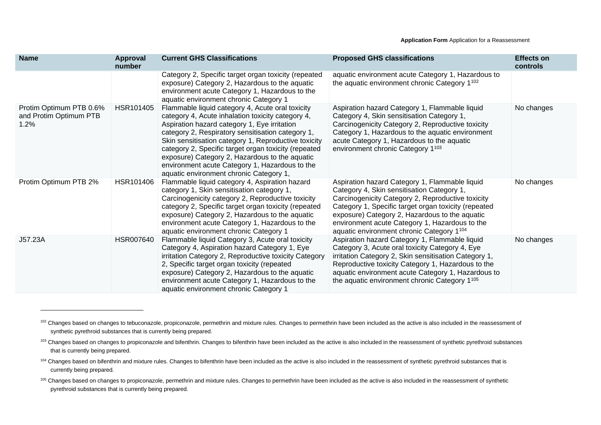| <b>Name</b>                                               | Approval<br>number | <b>Current GHS Classifications</b>                                                                                                                                                                                                                                                                                                                                                                                                                                        | <b>Proposed GHS classifications</b>                                                                                                                                                                                                                                                                                                                        | <b>Effects on</b><br>controls |
|-----------------------------------------------------------|--------------------|---------------------------------------------------------------------------------------------------------------------------------------------------------------------------------------------------------------------------------------------------------------------------------------------------------------------------------------------------------------------------------------------------------------------------------------------------------------------------|------------------------------------------------------------------------------------------------------------------------------------------------------------------------------------------------------------------------------------------------------------------------------------------------------------------------------------------------------------|-------------------------------|
|                                                           |                    | Category 2, Specific target organ toxicity (repeated<br>exposure) Category 2, Hazardous to the aquatic<br>environment acute Category 1, Hazardous to the<br>aquatic environment chronic Category 1                                                                                                                                                                                                                                                                        | aquatic environment acute Category 1, Hazardous to<br>the aquatic environment chronic Category 1 <sup>102</sup>                                                                                                                                                                                                                                            |                               |
| Protim Optimum PTB 0.6%<br>and Protim Optimum PTB<br>1.2% | HSR101405          | Flammable liquid category 4, Acute oral toxicity<br>category 4, Acute inhalation toxicity category 4,<br>Aspiration hazard category 1, Eye irritation<br>category 2, Respiratory sensitisation category 1,<br>Skin sensitisation category 1, Reproductive toxicity<br>category 2, Specific target organ toxicity (repeated<br>exposure) Category 2, Hazardous to the aquatic<br>environment acute Category 1, Hazardous to the<br>aquatic environment chronic Category 1, | Aspiration hazard Category 1, Flammable liquid<br>Category 4, Skin sensitisation Category 1,<br>Carcinogenicity Category 2, Reproductive toxicity<br>Category 1, Hazardous to the aquatic environment<br>acute Category 1, Hazardous to the aquatic<br>environment chronic Category 1103                                                                   | No changes                    |
| Protim Optimum PTB 2%                                     | HSR101406          | Flammable liquid category 4, Aspiration hazard<br>category 1, Skin sensitisation category 1,<br>Carcinogenicity category 2, Reproductive toxicity<br>category 2, Specific target organ toxicity (repeated<br>exposure) Category 2, Hazardous to the aquatic<br>environment acute Category 1, Hazardous to the<br>aquatic environment chronic Category 1                                                                                                                   | Aspiration hazard Category 1, Flammable liquid<br>Category 4, Skin sensitisation Category 1,<br>Carcinogenicity Category 2, Reproductive toxicity<br>Category 1, Specific target organ toxicity (repeated<br>exposure) Category 2, Hazardous to the aquatic<br>environment acute Category 1, Hazardous to the<br>aquatic environment chronic Category 1104 | No changes                    |
| J57.23A                                                   | HSR007640          | Flammable liquid Category 3, Acute oral toxicity<br>Category 4, Aspiration hazard Category 1, Eye<br>irritation Category 2, Reproductive toxicity Category<br>2, Specific target organ toxicity (repeated<br>exposure) Category 2, Hazardous to the aquatic<br>environment acute Category 1, Hazardous to the<br>aquatic environment chronic Category 1                                                                                                                   | Aspiration hazard Category 1, Flammable liquid<br>Category 3, Acute oral toxicity Category 4, Eye<br>irritation Category 2, Skin sensitisation Category 1,<br>Reproductive toxicity Category 1, Hazardous to the<br>aquatic environment acute Category 1, Hazardous to<br>the aquatic environment chronic Category 1 <sup>105</sup>                        | No changes                    |

<sup>&</sup>lt;sup>102</sup> Changes based on changes to tebuconazole, propiconazole, permethrin and mixture rules. Changes to permethrin have been included as the active is also included in the reassessment of synthetic pyrethroid substances that is currently being prepared.

<sup>103</sup> Changes based on changes to propiconazole and bifenthrin. Changes to bifenthrin have been included as the active is also included in the reassessment of synthetic pyrethroid substances that is currently being prepared.

<sup>104</sup> Changes based on bifenthrin and mixture rules. Changes to bifenthrin have been included as the active is also included in the reassessment of synthetic pyrethroid substances that is currently being prepared.

<sup>105</sup> Changes based on changes to propiconazole, permethrin and mixture rules. Changes to permethrin have been included as the active is also included in the reassessment of synthetic pyrethroid substances that is currently being prepared.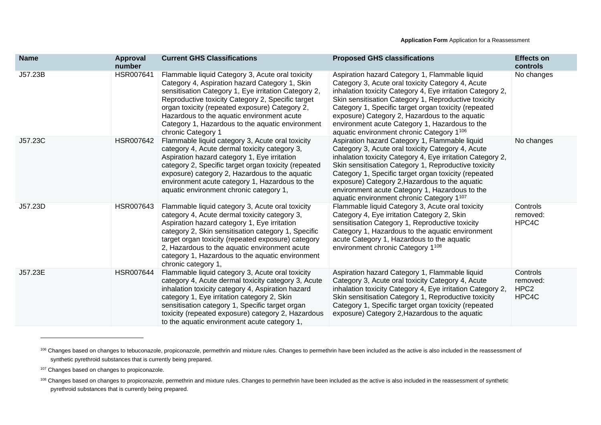| <b>Name</b> | <b>Approval</b><br>number | <b>Current GHS Classifications</b>                                                                                                                                                                                                                                                                                                                                                         | <b>Proposed GHS classifications</b>                                                                                                                                                                                                                                                                                                                                                                                                | <b>Effects on</b><br>controls                     |
|-------------|---------------------------|--------------------------------------------------------------------------------------------------------------------------------------------------------------------------------------------------------------------------------------------------------------------------------------------------------------------------------------------------------------------------------------------|------------------------------------------------------------------------------------------------------------------------------------------------------------------------------------------------------------------------------------------------------------------------------------------------------------------------------------------------------------------------------------------------------------------------------------|---------------------------------------------------|
| J57.23B     | HSR007641                 | Flammable liquid Category 3, Acute oral toxicity<br>Category 4, Aspiration hazard Category 1, Skin<br>sensitisation Category 1, Eye irritation Category 2,<br>Reproductive toxicity Category 2, Specific target<br>organ toxicity (repeated exposure) Category 2,<br>Hazardous to the aquatic environment acute<br>Category 1, Hazardous to the aquatic environment<br>chronic Category 1  | Aspiration hazard Category 1, Flammable liquid<br>Category 3, Acute oral toxicity Category 4, Acute<br>inhalation toxicity Category 4, Eye irritation Category 2,<br>Skin sensitisation Category 1, Reproductive toxicity<br>Category 1, Specific target organ toxicity (repeated<br>exposure) Category 2, Hazardous to the aquatic<br>environment acute Category 1, Hazardous to the<br>aquatic environment chronic Category 1106 | No changes                                        |
| J57.23C     | HSR007642                 | Flammable liquid category 3, Acute oral toxicity<br>category 4, Acute dermal toxicity category 3,<br>Aspiration hazard category 1, Eye irritation<br>category 2, Specific target organ toxicity (repeated<br>exposure) category 2, Hazardous to the aquatic<br>environment acute category 1, Hazardous to the<br>aquatic environment chronic category 1,                                   | Aspiration hazard Category 1, Flammable liquid<br>Category 3, Acute oral toxicity Category 4, Acute<br>inhalation toxicity Category 4, Eye irritation Category 2,<br>Skin sensitisation Category 1, Reproductive toxicity<br>Category 1, Specific target organ toxicity (repeated<br>exposure) Category 2, Hazardous to the aquatic<br>environment acute Category 1, Hazardous to the<br>aquatic environment chronic Category 1107 | No changes                                        |
| J57.23D     | HSR007643                 | Flammable liquid category 3, Acute oral toxicity<br>category 4, Acute dermal toxicity category 3,<br>Aspiration hazard category 1, Eye irritation<br>category 2, Skin sensitisation category 1, Specific<br>target organ toxicity (repeated exposure) category<br>2, Hazardous to the aquatic environment acute<br>category 1, Hazardous to the aquatic environment<br>chronic category 1, | Flammable liquid Category 3, Acute oral toxicity<br>Category 4, Eye irritation Category 2, Skin<br>sensitisation Category 1, Reproductive toxicity<br>Category 1, Hazardous to the aquatic environment<br>acute Category 1, Hazardous to the aquatic<br>environment chronic Category 1 <sup>108</sup>                                                                                                                              | Controls<br>removed:<br>HPC4C                     |
| J57.23E     | HSR007644                 | Flammable liquid category 3, Acute oral toxicity<br>category 4, Acute dermal toxicity category 3, Acute<br>inhalation toxicity category 4, Aspiration hazard<br>category 1, Eye irritation category 2, Skin<br>sensitisation category 1, Specific target organ<br>toxicity (repeated exposure) category 2, Hazardous<br>to the aquatic environment acute category 1,                       | Aspiration hazard Category 1, Flammable liquid<br>Category 3, Acute oral toxicity Category 4, Acute<br>inhalation toxicity Category 4, Eye irritation Category 2,<br>Skin sensitisation Category 1, Reproductive toxicity<br>Category 1, Specific target organ toxicity (repeated<br>exposure) Category 2, Hazardous to the aquatic                                                                                                | Controls<br>removed:<br>HPC <sub>2</sub><br>HPC4C |

<sup>&</sup>lt;sup>106</sup> Changes based on changes to tebuconazole, propiconazole, permethrin and mixture rules. Changes to permethrin have been included as the active is also included in the reassessment of synthetic pyrethroid substances that is currently being prepared.

<sup>&</sup>lt;sup>107</sup> Changes based on changes to propiconazole.

<sup>&</sup>lt;sup>108</sup> Changes based on changes to propiconazole, permethrin and mixture rules. Changes to permethrin have been included as the active is also included in the reassessment of synthetic pyrethroid substances that is currently being prepared.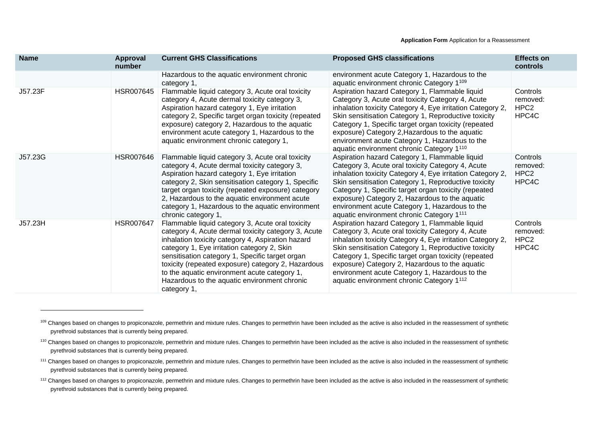| <b>Name</b> | <b>Approval</b><br>number | <b>Current GHS Classifications</b>                                                                                                                                                                                                                                                                                                                                                                                                  | <b>Proposed GHS classifications</b>                                                                                                                                                                                                                                                                                                                                                                                                            | <b>Effects on</b><br>controls                     |
|-------------|---------------------------|-------------------------------------------------------------------------------------------------------------------------------------------------------------------------------------------------------------------------------------------------------------------------------------------------------------------------------------------------------------------------------------------------------------------------------------|------------------------------------------------------------------------------------------------------------------------------------------------------------------------------------------------------------------------------------------------------------------------------------------------------------------------------------------------------------------------------------------------------------------------------------------------|---------------------------------------------------|
|             |                           | Hazardous to the aquatic environment chronic<br>category 1,                                                                                                                                                                                                                                                                                                                                                                         | environment acute Category 1, Hazardous to the<br>aquatic environment chronic Category 1109                                                                                                                                                                                                                                                                                                                                                    |                                                   |
| J57.23F     | <b>HSR007645</b>          | Flammable liquid category 3, Acute oral toxicity<br>category 4, Acute dermal toxicity category 3,<br>Aspiration hazard category 1, Eye irritation<br>category 2, Specific target organ toxicity (repeated<br>exposure) category 2, Hazardous to the aquatic<br>environment acute category 1, Hazardous to the<br>aquatic environment chronic category 1,                                                                            | Aspiration hazard Category 1, Flammable liquid<br>Category 3, Acute oral toxicity Category 4, Acute<br>inhalation toxicity Category 4, Eye irritation Category 2,<br>Skin sensitisation Category 1, Reproductive toxicity<br>Category 1, Specific target organ toxicity (repeated<br>exposure) Category 2, Hazardous to the aquatic<br>environment acute Category 1, Hazardous to the<br>aquatic environment chronic Category 1 <sup>110</sup> | Controls<br>removed:<br>HPC <sub>2</sub><br>HPC4C |
| J57.23G     | HSR007646                 | Flammable liquid category 3, Acute oral toxicity<br>category 4, Acute dermal toxicity category 3,<br>Aspiration hazard category 1, Eye irritation<br>category 2, Skin sensitisation category 1, Specific<br>target organ toxicity (repeated exposure) category<br>2, Hazardous to the aquatic environment acute<br>category 1, Hazardous to the aquatic environment<br>chronic category 1,                                          | Aspiration hazard Category 1, Flammable liquid<br>Category 3, Acute oral toxicity Category 4, Acute<br>inhalation toxicity Category 4, Eye irritation Category 2,<br>Skin sensitisation Category 1, Reproductive toxicity<br>Category 1, Specific target organ toxicity (repeated<br>exposure) Category 2, Hazardous to the aquatic<br>environment acute Category 1, Hazardous to the<br>aquatic environment chronic Category 1111             | Controls<br>removed:<br>HPC <sub>2</sub><br>HPC4C |
| J57.23H     | <b>HSR007647</b>          | Flammable liquid category 3, Acute oral toxicity<br>category 4, Acute dermal toxicity category 3, Acute<br>inhalation toxicity category 4, Aspiration hazard<br>category 1, Eye irritation category 2, Skin<br>sensitisation category 1, Specific target organ<br>toxicity (repeated exposure) category 2, Hazardous<br>to the aquatic environment acute category 1,<br>Hazardous to the aquatic environment chronic<br>category 1, | Aspiration hazard Category 1, Flammable liquid<br>Category 3, Acute oral toxicity Category 4, Acute<br>inhalation toxicity Category 4, Eye irritation Category 2,<br>Skin sensitisation Category 1, Reproductive toxicity<br>Category 1, Specific target organ toxicity (repeated<br>exposure) Category 2, Hazardous to the aquatic<br>environment acute Category 1, Hazardous to the<br>aquatic environment chronic Category 1 <sup>112</sup> | Controls<br>removed:<br>HPC <sub>2</sub><br>HPC4C |

<sup>109</sup> Changes based on changes to propiconazole, permethrin and mixture rules. Changes to permethrin have been included as the active is also included in the reassessment of synthetic pyrethroid substances that is currently being prepared.

<sup>110</sup> Changes based on changes to propiconazole, permethrin and mixture rules. Changes to permethrin have been included as the active is also included in the reassessment of synthetic pyrethroid substances that is currently being prepared.

<sup>&</sup>lt;sup>111</sup> Changes based on changes to propiconazole, permethrin and mixture rules. Changes to permethrin have been included as the active is also included in the reassessment of synthetic pyrethroid substances that is currently being prepared.

<sup>&</sup>lt;sup>112</sup> Changes based on changes to propiconazole, permethrin and mixture rules. Changes to permethrin have been included as the active is also included in the reassessment of synthetic pyrethroid substances that is currently being prepared.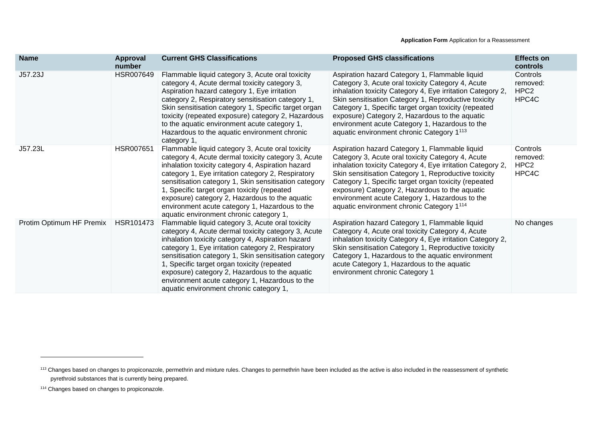| <b>Name</b>              | <b>Approval</b><br>number | <b>Current GHS Classifications</b>                                                                                                                                                                                                                                                                                                                                                                                                                                        | <b>Proposed GHS classifications</b>                                                                                                                                                                                                                                                                                                                                                                                                            | <b>Effects on</b><br>controls                     |
|--------------------------|---------------------------|---------------------------------------------------------------------------------------------------------------------------------------------------------------------------------------------------------------------------------------------------------------------------------------------------------------------------------------------------------------------------------------------------------------------------------------------------------------------------|------------------------------------------------------------------------------------------------------------------------------------------------------------------------------------------------------------------------------------------------------------------------------------------------------------------------------------------------------------------------------------------------------------------------------------------------|---------------------------------------------------|
| J57.23J                  | HSR007649                 | Flammable liquid category 3, Acute oral toxicity<br>category 4, Acute dermal toxicity category 3,<br>Aspiration hazard category 1, Eye irritation<br>category 2, Respiratory sensitisation category 1,<br>Skin sensitisation category 1, Specific target organ<br>toxicity (repeated exposure) category 2, Hazardous<br>to the aquatic environment acute category 1,<br>Hazardous to the aquatic environment chronic<br>category 1,                                       | Aspiration hazard Category 1, Flammable liquid<br>Category 3, Acute oral toxicity Category 4, Acute<br>inhalation toxicity Category 4, Eye irritation Category 2,<br>Skin sensitisation Category 1, Reproductive toxicity<br>Category 1, Specific target organ toxicity (repeated<br>exposure) Category 2, Hazardous to the aquatic<br>environment acute Category 1, Hazardous to the<br>aquatic environment chronic Category 1 <sup>113</sup> | Controls<br>removed:<br>HPC <sub>2</sub><br>HPC4C |
| J57.23L                  | <b>HSR007651</b>          | Flammable liquid category 3, Acute oral toxicity<br>category 4, Acute dermal toxicity category 3, Acute<br>inhalation toxicity category 4, Aspiration hazard<br>category 1, Eye irritation category 2, Respiratory<br>sensitisation category 1, Skin sensitisation category<br>1, Specific target organ toxicity (repeated<br>exposure) category 2, Hazardous to the aquatic<br>environment acute category 1, Hazardous to the<br>aquatic environment chronic category 1, | Aspiration hazard Category 1, Flammable liquid<br>Category 3, Acute oral toxicity Category 4, Acute<br>inhalation toxicity Category 4, Eye irritation Category 2,<br>Skin sensitisation Category 1, Reproductive toxicity<br>Category 1, Specific target organ toxicity (repeated<br>exposure) Category 2, Hazardous to the aquatic<br>environment acute Category 1, Hazardous to the<br>aquatic environment chronic Category 1 <sup>114</sup> | Controls<br>removed:<br>HPC <sub>2</sub><br>HPC4C |
| Protim Optimum HF Premix | HSR101473                 | Flammable liquid category 3, Acute oral toxicity<br>category 4, Acute dermal toxicity category 3, Acute<br>inhalation toxicity category 4, Aspiration hazard<br>category 1, Eye irritation category 2, Respiratory<br>sensitisation category 1, Skin sensitisation category<br>1, Specific target organ toxicity (repeated<br>exposure) category 2, Hazardous to the aquatic<br>environment acute category 1, Hazardous to the<br>aquatic environment chronic category 1, | Aspiration hazard Category 1, Flammable liquid<br>Category 4, Acute oral toxicity Category 4, Acute<br>inhalation toxicity Category 4, Eye irritation Category 2,<br>Skin sensitisation Category 1, Reproductive toxicity<br>Category 1, Hazardous to the aquatic environment<br>acute Category 1, Hazardous to the aquatic<br>environment chronic Category 1                                                                                  | No changes                                        |

<sup>&</sup>lt;sup>113</sup> Changes based on changes to propiconazole, permethrin and mixture rules. Changes to permethrin have been included as the active is also included in the reassessment of synthetic pyrethroid substances that is currently being prepared.

<sup>&</sup>lt;sup>114</sup> Changes based on changes to propiconazole.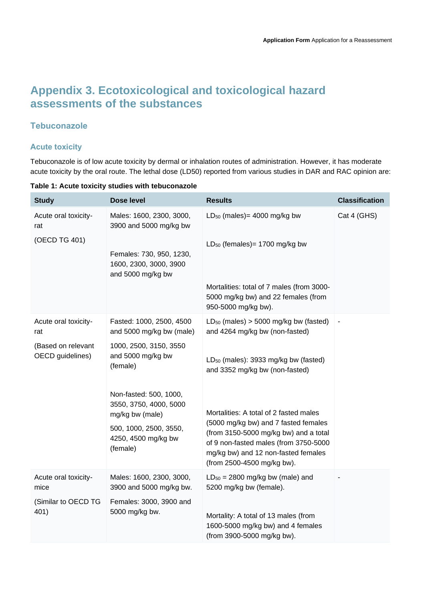## **Appendix 3. Ecotoxicological and toxicological hazard assessments of the substances**

## **Tebuconazole**

## **Acute toxicity**

Tebuconazole is of low acute toxicity by dermal or inhalation routes of administration. However, it has moderate acute toxicity by the oral route. The lethal dose (LD50) reported from various studies in DAR and RAC opinion are:

**Table 1: Acute toxicity studies with tebuconazole**

| <b>Study</b>                           | Dose level                                                                                                                       | <b>Results</b>                                                                                                                                                                                                                        | <b>Classification</b> |
|----------------------------------------|----------------------------------------------------------------------------------------------------------------------------------|---------------------------------------------------------------------------------------------------------------------------------------------------------------------------------------------------------------------------------------|-----------------------|
| Acute oral toxicity-<br>rat            | Males: 1600, 2300, 3000,<br>3900 and 5000 mg/kg bw                                                                               | $LD_{50}$ (males) = 4000 mg/kg bw                                                                                                                                                                                                     | Cat 4 (GHS)           |
| (OECD TG 401)                          | Females: 730, 950, 1230,<br>1600, 2300, 3000, 3900<br>and 5000 mg/kg bw                                                          | $LD_{50}$ (females) = 1700 mg/kg bw                                                                                                                                                                                                   |                       |
|                                        |                                                                                                                                  | Mortalities: total of 7 males (from 3000-<br>5000 mg/kg bw) and 22 females (from<br>950-5000 mg/kg bw).                                                                                                                               |                       |
| Acute oral toxicity-<br>rat            | Fasted: 1000, 2500, 4500<br>and 5000 mg/kg bw (male)                                                                             | $LD_{50}$ (males) > 5000 mg/kg bw (fasted)<br>and 4264 mg/kg bw (non-fasted)                                                                                                                                                          |                       |
| (Based on relevant<br>OECD guidelines) | 1000, 2500, 3150, 3550<br>and 5000 mg/kg bw<br>(female)                                                                          | LD <sub>50</sub> (males): 3933 mg/kg bw (fasted)<br>and 3352 mg/kg bw (non-fasted)                                                                                                                                                    |                       |
|                                        | Non-fasted: 500, 1000,<br>3550, 3750, 4000, 5000<br>mg/kg bw (male)<br>500, 1000, 2500, 3550,<br>4250, 4500 mg/kg bw<br>(female) | Mortalities: A total of 2 fasted males<br>(5000 mg/kg bw) and 7 fasted females<br>(from 3150-5000 mg/kg bw) and a total<br>of 9 non-fasted males (from 3750-5000<br>mg/kg bw) and 12 non-fasted females<br>(from 2500-4500 mg/kg bw). |                       |
| Acute oral toxicity-<br>mice           | Males: 1600, 2300, 3000,<br>3900 and 5000 mg/kg bw.                                                                              | $LD_{50} = 2800$ mg/kg bw (male) and<br>5200 mg/kg bw (female).                                                                                                                                                                       |                       |
| (Similar to OECD TG<br>401)            | Females: 3000, 3900 and<br>5000 mg/kg bw.                                                                                        | Mortality: A total of 13 males (from<br>1600-5000 mg/kg bw) and 4 females<br>(from 3900-5000 mg/kg bw).                                                                                                                               |                       |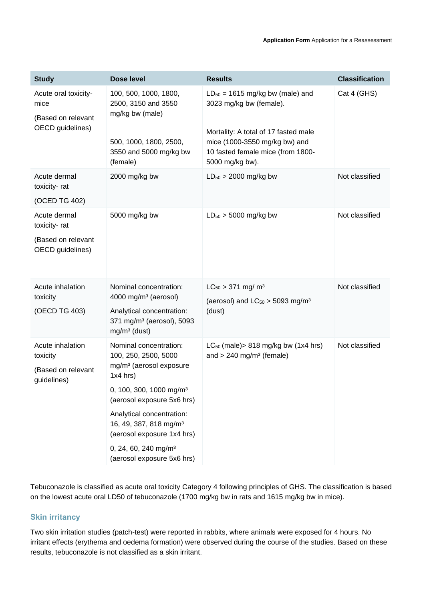| <b>Study</b>                                                           | Dose level                                                                                    | <b>Results</b>                                                                                                                | <b>Classification</b> |
|------------------------------------------------------------------------|-----------------------------------------------------------------------------------------------|-------------------------------------------------------------------------------------------------------------------------------|-----------------------|
| Acute oral toxicity-<br>mice<br>(Based on relevant<br>OECD guidelines) | 100, 500, 1000, 1800,<br>2500, 3150 and 3550<br>mg/kg bw (male)                               | $LD_{50} = 1615$ mg/kg bw (male) and<br>3023 mg/kg bw (female).                                                               | Cat 4 (GHS)           |
|                                                                        | 500, 1000, 1800, 2500,<br>3550 and 5000 mg/kg bw<br>(female)                                  | Mortality: A total of 17 fasted male<br>mice (1000-3550 mg/kg bw) and<br>10 fasted female mice (from 1800-<br>5000 mg/kg bw). |                       |
| Acute dermal<br>toxicity-rat<br>(OCED TG 402)                          | 2000 mg/kg bw                                                                                 | $LD_{50}$ > 2000 mg/kg bw                                                                                                     | Not classified        |
| Acute dermal<br>toxicity-rat                                           | 5000 mg/kg bw                                                                                 | $LD_{50}$ > 5000 mg/kg bw                                                                                                     | Not classified        |
| (Based on relevant<br>OECD guidelines)                                 |                                                                                               |                                                                                                                               |                       |
| Acute inhalation<br>toxicity                                           | Nominal concentration:<br>4000 mg/m <sup>3</sup> (aerosol)                                    | $LC_{50}$ > 371 mg/ m <sup>3</sup><br>(aerosol) and $LC_{50} > 5093$ mg/m <sup>3</sup>                                        | Not classified        |
| (OECD TG 403)                                                          | Analytical concentration:<br>371 mg/m <sup>3</sup> (aerosol), 5093<br>$mg/m3$ (dust)          | (dust)                                                                                                                        |                       |
| Acute inhalation<br>toxicity                                           | Nominal concentration:<br>100, 250, 2500, 5000                                                | $LC_{50}$ (male) > 818 mg/kg bw (1x4 hrs)<br>and $> 240$ mg/m <sup>3</sup> (female)                                           | Not classified        |
| (Based on relevant<br>quidelines)                                      | mg/m <sup>3</sup> (aerosol exposure<br>$1x4$ hrs)                                             |                                                                                                                               |                       |
|                                                                        | 0, 100, 300, 1000 mg/m <sup>3</sup><br>(aerosol exposure 5x6 hrs)                             |                                                                                                                               |                       |
|                                                                        | Analytical concentration:<br>16, 49, 387, 818 mg/m <sup>3</sup><br>(aerosol exposure 1x4 hrs) |                                                                                                                               |                       |
|                                                                        | 0, 24, 60, 240 mg/m <sup>3</sup><br>(aerosol exposure 5x6 hrs)                                |                                                                                                                               |                       |

Tebuconazole is classified as acute oral toxicity Category 4 following principles of GHS. The classification is based on the lowest acute oral LD50 of tebuconazole (1700 mg/kg bw in rats and 1615 mg/kg bw in mice).

## **Skin irritancy**

Two skin irritation studies (patch-test) were reported in rabbits, where animals were exposed for 4 hours. No irritant effects (erythema and oedema formation) were observed during the course of the studies. Based on these results, tebuconazole is not classified as a skin irritant.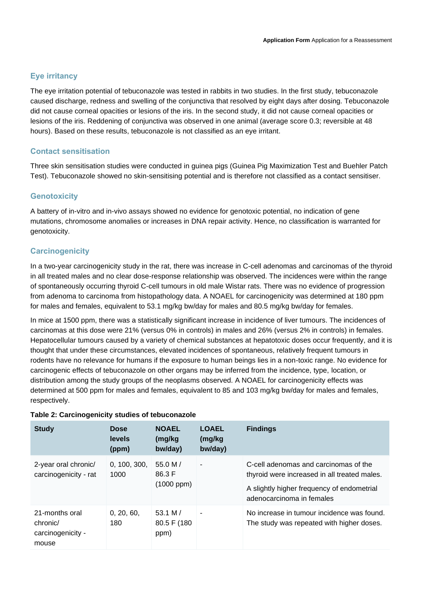## **Eye irritancy**

The eye irritation potential of tebuconazole was tested in rabbits in two studies. In the first study, tebuconazole caused discharge, redness and swelling of the conjunctiva that resolved by eight days after dosing. Tebuconazole did not cause corneal opacities or lesions of the iris. In the second study, it did not cause corneal opacities or lesions of the iris. Reddening of conjunctiva was observed in one animal (average score 0.3; reversible at 48 hours). Based on these results, tebuconazole is not classified as an eye irritant.

### **Contact sensitisation**

Three skin sensitisation studies were conducted in guinea pigs (Guinea Pig Maximization Test and Buehler Patch Test). Tebuconazole showed no skin-sensitising potential and is therefore not classified as a contact sensitiser.

## **Genotoxicity**

A battery of in-vitro and in-vivo assays showed no evidence for genotoxic potential, no indication of gene mutations, chromosome anomalies or increases in DNA repair activity. Hence, no classification is warranted for genotoxicity.

## **Carcinogenicity**

In a two-year carcinogenicity study in the rat, there was increase in C-cell adenomas and carcinomas of the thyroid in all treated males and no clear dose-response relationship was observed. The incidences were within the range of spontaneously occurring thyroid C-cell tumours in old male Wistar rats. There was no evidence of progression from adenoma to carcinoma from histopathology data. A NOAEL for carcinogenicity was determined at 180 ppm for males and females, equivalent to 53.1 mg/kg bw/day for males and 80.5 mg/kg bw/day for females.

In mice at 1500 ppm, there was a statistically significant increase in incidence of liver tumours. The incidences of carcinomas at this dose were 21% (versus 0% in controls) in males and 26% (versus 2% in controls) in females. Hepatocellular tumours caused by a variety of chemical substances at hepatotoxic doses occur frequently, and it is thought that under these circumstances, elevated incidences of spontaneous, relatively frequent tumours in rodents have no relevance for humans if the exposure to human beings lies in a non-toxic range. No evidence for carcinogenic effects of tebuconazole on other organs may be inferred from the incidence, type, location, or distribution among the study groups of the neoplasms observed. A NOAEL for carcinogenicity effects was determined at 500 ppm for males and females, equivalent to 85 and 103 mg/kg bw/day for males and females, respectively.

| <b>Study</b>                                             | <b>Dose</b><br>levels<br>(ppm) | <b>NOAEL</b><br>(mg/kg<br>bw/day)       | <b>LOAEL</b><br>(mg/kg<br>bw/day) | <b>Findings</b>                                                                                                                                                  |
|----------------------------------------------------------|--------------------------------|-----------------------------------------|-----------------------------------|------------------------------------------------------------------------------------------------------------------------------------------------------------------|
| 2-year oral chronic/<br>carcinogenicity - rat            | 0, 100, 300,<br>1000           | 55.0 M $/$<br>86.3 F<br>$(1000$ ppm $)$ | ٠                                 | C-cell adenomas and carcinomas of the<br>thyroid were increased in all treated males.<br>A slightly higher frequency of endometrial<br>adenocarcinoma in females |
| 21-months oral<br>chronic/<br>carcinogenicity -<br>mouse | 0, 20, 60,<br>180              | 53.1 M/<br>80.5 F (180<br>ppm)          | $\blacksquare$                    | No increase in tumour incidence was found.<br>The study was repeated with higher doses.                                                                          |

#### **Table 2: Carcinogenicity studies of tebuconazole**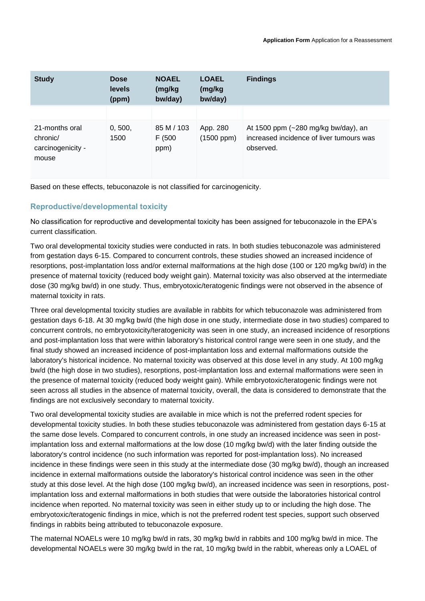| <b>Study</b>                                             | <b>Dose</b><br>levels<br>(ppm) | <b>NOAEL</b><br>(mg/kg<br>bw/day) | <b>LOAEL</b><br>(mg/kg<br>bw/day) | <b>Findings</b>                                                                              |
|----------------------------------------------------------|--------------------------------|-----------------------------------|-----------------------------------|----------------------------------------------------------------------------------------------|
|                                                          |                                |                                   |                                   |                                                                                              |
| 21-months oral<br>chronic/<br>carcinogenicity -<br>mouse | 0, 500,<br>1500                | 85 M / 103<br>F (500<br>ppm)      | App. 280<br>$(1500$ ppm $)$       | At 1500 ppm (~280 mg/kg bw/day), an<br>increased incidence of liver tumours was<br>observed. |

Based on these effects, tebuconazole is not classified for carcinogenicity.

## **Reproductive/developmental toxicity**

No classification for reproductive and developmental toxicity has been assigned for tebuconazole in the EPA's current classification.

Two oral developmental toxicity studies were conducted in rats. In both studies tebuconazole was administered from gestation days 6-15. Compared to concurrent controls, these studies showed an increased incidence of resorptions, post-implantation loss and/or external malformations at the high dose (100 or 120 mg/kg bw/d) in the presence of maternal toxicity (reduced body weight gain). Maternal toxicity was also observed at the intermediate dose (30 mg/kg bw/d) in one study. Thus, embryotoxic/teratogenic findings were not observed in the absence of maternal toxicity in rats.

Three oral developmental toxicity studies are available in rabbits for which tebuconazole was administered from gestation days 6-18. At 30 mg/kg bw/d (the high dose in one study, intermediate dose in two studies) compared to concurrent controls, no embryotoxicity/teratogenicity was seen in one study, an increased incidence of resorptions and post-implantation loss that were within laboratory's historical control range were seen in one study, and the final study showed an increased incidence of post-implantation loss and external malformations outside the laboratory's historical incidence. No maternal toxicity was observed at this dose level in any study. At 100 mg/kg bw/d (the high dose in two studies), resorptions, post-implantation loss and external malformations were seen in the presence of maternal toxicity (reduced body weight gain). While embryotoxic/teratogenic findings were not seen across all studies in the absence of maternal toxicity, overall, the data is considered to demonstrate that the findings are not exclusively secondary to maternal toxicity.

Two oral developmental toxicity studies are available in mice which is not the preferred rodent species for developmental toxicity studies. In both these studies tebuconazole was administered from gestation days 6-15 at the same dose levels. Compared to concurrent controls, in one study an increased incidence was seen in postimplantation loss and external malformations at the low dose (10 mg/kg bw/d) with the later finding outside the laboratory's control incidence (no such information was reported for post-implantation loss). No increased incidence in these findings were seen in this study at the intermediate dose (30 mg/kg bw/d), though an increased incidence in external malformations outside the laboratory's historical control incidence was seen in the other study at this dose level. At the high dose (100 mg/kg bw/d), an increased incidence was seen in resorptions, postimplantation loss and external malformations in both studies that were outside the laboratories historical control incidence when reported. No maternal toxicity was seen in either study up to or including the high dose. The embryotoxic/teratogenic findings in mice, which is not the preferred rodent test species, support such observed findings in rabbits being attributed to tebuconazole exposure.

The maternal NOAELs were 10 mg/kg bw/d in rats, 30 mg/kg bw/d in rabbits and 100 mg/kg bw/d in mice. The developmental NOAELs were 30 mg/kg bw/d in the rat, 10 mg/kg bw/d in the rabbit, whereas only a LOAEL of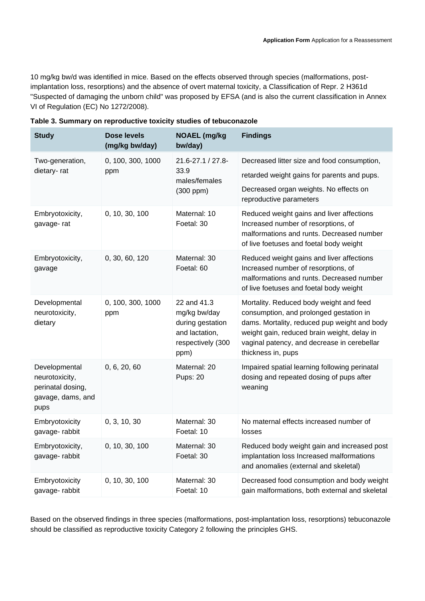10 mg/kg bw/d was identified in mice. Based on the effects observed through species (malformations, postimplantation loss, resorptions) and the absence of overt maternal toxicity, a Classification of Repr. 2 H361d "Suspected of damaging the unborn child" was proposed by EFSA (and is also the current classification in Annex VI of Regulation (EC) No 1272/2008).

| <b>Study</b>                                                                      | Dose levels<br>(mg/kg bw/day) | <b>NOAEL</b> (mg/kg<br>bw/day)                                                                 | <b>Findings</b>                                                                                                                                                                                                                                        |
|-----------------------------------------------------------------------------------|-------------------------------|------------------------------------------------------------------------------------------------|--------------------------------------------------------------------------------------------------------------------------------------------------------------------------------------------------------------------------------------------------------|
| Two-generation,                                                                   | 0, 100, 300, 1000             | $21.6 - 27.1 / 27.8$<br>33.9<br>males/females                                                  | Decreased litter size and food consumption,                                                                                                                                                                                                            |
| dietary-rat                                                                       | ppm                           |                                                                                                | retarded weight gains for parents and pups.                                                                                                                                                                                                            |
|                                                                                   |                               | $(300$ ppm $)$                                                                                 | Decreased organ weights. No effects on<br>reproductive parameters                                                                                                                                                                                      |
| Embryotoxicity,<br>gavage-rat                                                     | 0, 10, 30, 100                | Maternal: 10<br>Foetal: 30                                                                     | Reduced weight gains and liver affections<br>Increased number of resorptions, of<br>malformations and runts. Decreased number<br>of live foetuses and foetal body weight                                                                               |
| Embryotoxicity,<br>gavage                                                         | 0, 30, 60, 120                | Maternal: 30<br>Foetal: 60                                                                     | Reduced weight gains and liver affections<br>Increased number of resorptions, of<br>malformations and runts. Decreased number<br>of live foetuses and foetal body weight                                                                               |
| Developmental<br>neurotoxicity,<br>dietary                                        | 0, 100, 300, 1000<br>ppm      | 22 and 41.3<br>mg/kg bw/day<br>during gestation<br>and lactation,<br>respectively (300<br>ppm) | Mortality. Reduced body weight and feed<br>consumption, and prolonged gestation in<br>dams. Mortality, reduced pup weight and body<br>weight gain, reduced brain weight, delay in<br>vaginal patency, and decrease in cerebellar<br>thickness in, pups |
| Developmental<br>neurotoxicity,<br>perinatal dosing,<br>gavage, dams, and<br>pups | 0, 6, 20, 60                  | Maternal: 20<br><b>Pups: 20</b>                                                                | Impaired spatial learning following perinatal<br>dosing and repeated dosing of pups after<br>weaning                                                                                                                                                   |
| Embryotoxicity<br>gavage-rabbit                                                   | 0, 3, 10, 30                  | Maternal: 30<br>Foetal: 10                                                                     | No maternal effects increased number of<br>losses                                                                                                                                                                                                      |
| Embryotoxicity,<br>gavage-rabbit                                                  | 0, 10, 30, 100                | Maternal: 30<br>Foetal: 30                                                                     | Reduced body weight gain and increased post<br>implantation loss Increased malformations<br>and anomalies (external and skeletal)                                                                                                                      |
| Embryotoxicity<br>gavage-rabbit                                                   | 0, 10, 30, 100                | Maternal: 30<br>Foetal: 10                                                                     | Decreased food consumption and body weight<br>gain malformations, both external and skeletal                                                                                                                                                           |

Based on the observed findings in three species (malformations, post-implantation loss, resorptions) tebuconazole should be classified as reproductive toxicity Category 2 following the principles GHS.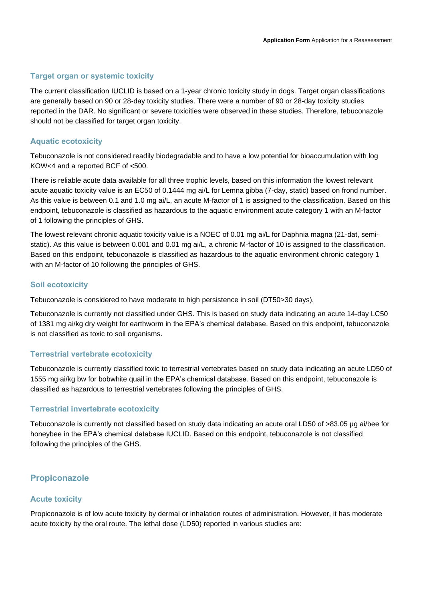## **Target organ or systemic toxicity**

The current classification IUCLID is based on a 1-year chronic toxicity study in dogs. Target organ classifications are generally based on 90 or 28-day toxicity studies. There were a number of 90 or 28-day toxicity studies reported in the DAR. No significant or severe toxicities were observed in these studies. Therefore, tebuconazole should not be classified for target organ toxicity.

## **Aquatic ecotoxicity**

Tebuconazole is not considered readily biodegradable and to have a low potential for bioaccumulation with log KOW<4 and a reported BCF of <500.

There is reliable acute data available for all three trophic levels, based on this information the lowest relevant acute aquatic toxicity value is an EC50 of 0.1444 mg ai/L for Lemna gibba (7-day, static) based on frond number. As this value is between 0.1 and 1.0 mg ai/L, an acute M-factor of 1 is assigned to the classification. Based on this endpoint, tebuconazole is classified as hazardous to the aquatic environment acute category 1 with an M-factor of 1 following the principles of GHS.

The lowest relevant chronic aquatic toxicity value is a NOEC of 0.01 mg ai/L for Daphnia magna (21-dat, semistatic). As this value is between 0.001 and 0.01 mg ai/L, a chronic M-factor of 10 is assigned to the classification. Based on this endpoint, tebuconazole is classified as hazardous to the aquatic environment chronic category 1 with an M-factor of 10 following the principles of GHS.

## **Soil ecotoxicity**

Tebuconazole is considered to have moderate to high persistence in soil (DT50>30 days).

Tebuconazole is currently not classified under GHS. This is based on study data indicating an acute 14-day LC50 of 1381 mg ai/kg dry weight for earthworm in the EPA's chemical database. Based on this endpoint, tebuconazole is not classified as toxic to soil organisms.

## **Terrestrial vertebrate ecotoxicity**

Tebuconazole is currently classified toxic to terrestrial vertebrates based on study data indicating an acute LD50 of 1555 mg ai/kg bw for bobwhite quail in the EPA's chemical database. Based on this endpoint, tebuconazole is classified as hazardous to terrestrial vertebrates following the principles of GHS.

## **Terrestrial invertebrate ecotoxicity**

Tebuconazole is currently not classified based on study data indicating an acute oral LD50 of >83.05 µg ai/bee for honeybee in the EPA's chemical database IUCLID. Based on this endpoint, tebuconazole is not classified following the principles of the GHS.

## **Propiconazole**

## **Acute toxicity**

Propiconazole is of low acute toxicity by dermal or inhalation routes of administration. However, it has moderate acute toxicity by the oral route. The lethal dose (LD50) reported in various studies are: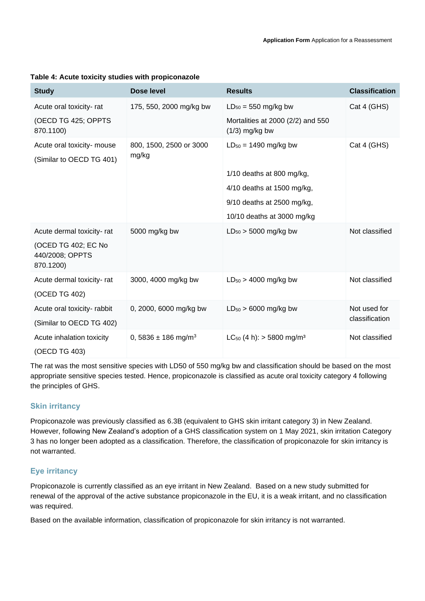| <b>Study</b>                                                                     | Dose level                          | <b>Results</b>                                           | <b>Classification</b> |
|----------------------------------------------------------------------------------|-------------------------------------|----------------------------------------------------------|-----------------------|
| Acute oral toxicity-rat                                                          | 175, 550, 2000 mg/kg bw             | $LD_{50} = 550$ mg/kg bw                                 | Cat 4 (GHS)           |
| (OECD TG 425; OPPTS<br>870.1100)                                                 |                                     | Mortalities at 2000 (2/2) and 550<br>$(1/3)$ mg/kg bw    |                       |
| Acute oral toxicity- mouse<br>(Similar to OECD TG 401)                           | 800, 1500, 2500 or 3000<br>mg/kg    | $LD_{50} = 1490$ mg/kg bw<br>$1/10$ deaths at 800 mg/kg, | Cat 4 (GHS)           |
|                                                                                  |                                     | 4/10 deaths at 1500 mg/kg,                               |                       |
|                                                                                  |                                     | 9/10 deaths at 2500 mg/kg,                               |                       |
|                                                                                  |                                     | 10/10 deaths at 3000 mg/kg                               |                       |
| Acute dermal toxicity-rat<br>(OCED TG 402; EC No<br>440/2008; OPPTS<br>870.1200) | 5000 mg/kg bw                       | $LD_{50}$ > 5000 mg/kg bw                                | Not classified        |
| Acute dermal toxicity-rat                                                        | 3000, 4000 mg/kg bw                 | $LD_{50}$ > 4000 mg/kg bw                                | Not classified        |
| (OCED TG 402)                                                                    |                                     |                                                          |                       |
| Acute oral toxicity- rabbit                                                      | 0, 2000, 6000 mg/kg bw              | $LD_{50}$ > 6000 mg/kg bw                                | Not used for          |
| (Similar to OECD TG 402)                                                         |                                     |                                                          | classification        |
| Acute inhalation toxicity                                                        | 0, 5836 $\pm$ 186 mg/m <sup>3</sup> | $LC_{50}$ (4 h): > 5800 mg/m <sup>3</sup>                | Not classified        |
| (OECD TG 403)                                                                    |                                     |                                                          |                       |

#### **Table 4: Acute toxicity studies with propiconazole**

The rat was the most sensitive species with LD50 of 550 mg/kg bw and classification should be based on the most appropriate sensitive species tested. Hence, propiconazole is classified as acute oral toxicity category 4 following the principles of GHS.

## **Skin irritancy**

Propiconazole was previously classified as 6.3B (equivalent to GHS skin irritant category 3) in New Zealand. However, following New Zealand's adoption of a GHS classification system on 1 May 2021, skin irritation Category 3 has no longer been adopted as a classification. Therefore, the classification of propiconazole for skin irritancy is not warranted.

## **Eye irritancy**

Propiconazole is currently classified as an eye irritant in New Zealand. Based on a new study submitted for renewal of the approval of the active substance propiconazole in the EU, it is a weak irritant, and no classification was required.

Based on the available information, classification of propiconazole for skin irritancy is not warranted.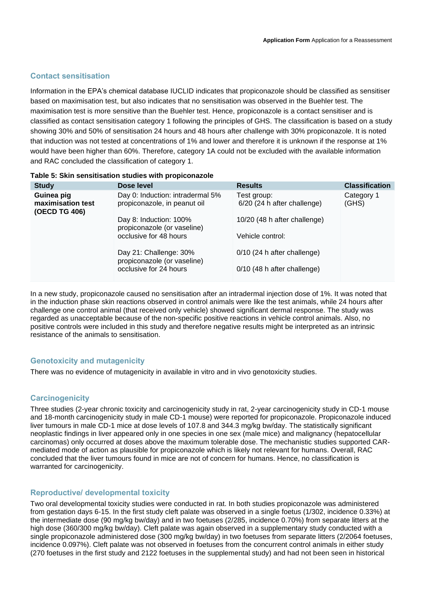## **Contact sensitisation**

Information in the EPA's chemical database IUCLID indicates that propiconazole should be classified as sensitiser based on maximisation test, but also indicates that no sensitisation was observed in the Buehler test. The maximisation test is more sensitive than the Buehler test. Hence, propiconazole is a contact sensitiser and is classified as contact sensitisation category 1 following the principles of GHS. The classification is based on a study showing 30% and 50% of sensitisation 24 hours and 48 hours after challenge with 30% propiconazole. It is noted that induction was not tested at concentrations of 1% and lower and therefore it is unknown if the response at 1% would have been higher than 60%. Therefore, category 1A could not be excluded with the available information and RAC concluded the classification of category 1.

| <b>Study</b>                                     | Dose level                                                       | <b>Results</b>                               | <b>Classification</b> |
|--------------------------------------------------|------------------------------------------------------------------|----------------------------------------------|-----------------------|
| Guinea pig<br>maximisation test<br>(OECD TG 406) | Day 0: Induction: intradermal 5%<br>propiconazole, in peanut oil | Test group:<br>$6/20$ (24 h after challenge) | Category 1<br>(GHS)   |
|                                                  | Day 8: Induction: 100%<br>propiconazole (or vaseline)            | 10/20 (48 h after challenge)                 |                       |
|                                                  | occlusive for 48 hours                                           | Vehicle control:                             |                       |
|                                                  | Day 21: Challenge: 30%<br>propiconazole (or vaseline)            | $0/10$ (24 h after challenge)                |                       |
|                                                  | occlusive for 24 hours                                           | $0/10$ (48 h after challenge)                |                       |

## **Table 5: Skin sensitisation studies with propiconazole**

In a new study, propiconazole caused no sensitisation after an intradermal injection dose of 1%. It was noted that in the induction phase skin reactions observed in control animals were like the test animals, while 24 hours after challenge one control animal (that received only vehicle) showed significant dermal response. The study was regarded as unacceptable because of the non-specific positive reactions in vehicle control animals. Also, no positive controls were included in this study and therefore negative results might be interpreted as an intrinsic resistance of the animals to sensitisation.

## **Genotoxicity and mutagenicity**

There was no evidence of mutagenicity in available in vitro and in vivo genotoxicity studies.

## **Carcinogenicity**

Three studies (2-year chronic toxicity and carcinogenicity study in rat, 2-year carcinogenicity study in CD-1 mouse and 18-month carcinogenicity study in male CD-1 mouse) were reported for propiconazole. Propiconazole induced liver tumours in male CD-1 mice at dose levels of 107.8 and 344.3 mg/kg bw/day. The statistically significant neoplastic findings in liver appeared only in one species in one sex (male mice) and malignancy (hepatocellular carcinomas) only occurred at doses above the maximum tolerable dose. The mechanistic studies supported CARmediated mode of action as plausible for propiconazole which is likely not relevant for humans. Overall, RAC concluded that the liver tumours found in mice are not of concern for humans. Hence, no classification is warranted for carcinogenicity.

## **Reproductive/ developmental toxicity**

Two oral developmental toxicity studies were conducted in rat. In both studies propiconazole was administered from gestation days 6-15. In the first study cleft palate was observed in a single foetus (1/302, incidence 0.33%) at the intermediate dose (90 mg/kg bw/day) and in two foetuses (2/285, incidence 0.70%) from separate litters at the high dose (360/300 mg/kg bw/day). Cleft palate was again observed in a supplementary study conducted with a single propiconazole administered dose (300 mg/kg bw/day) in two foetuses from separate litters (2/2064 foetuses, incidence 0.097%). Cleft palate was not observed in foetuses from the concurrent control animals in either study (270 foetuses in the first study and 2122 foetuses in the supplemental study) and had not been seen in historical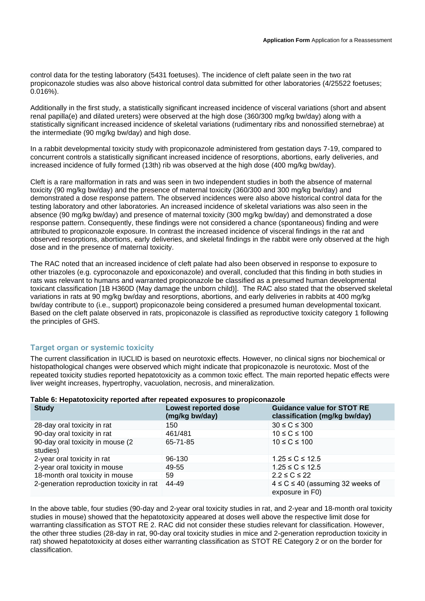control data for the testing laboratory (5431 foetuses). The incidence of cleft palate seen in the two rat propiconazole studies was also above historical control data submitted for other laboratories (4/25522 foetuses; 0.016%).

Additionally in the first study, a statistically significant increased incidence of visceral variations (short and absent renal papilla(e) and dilated ureters) were observed at the high dose (360/300 mg/kg bw/day) along with a statistically significant increased incidence of skeletal variations (rudimentary ribs and nonossified sternebrae) at the intermediate (90 mg/kg bw/day) and high dose.

In a rabbit developmental toxicity study with propiconazole administered from gestation days 7-19, compared to concurrent controls a statistically significant increased incidence of resorptions, abortions, early deliveries, and increased incidence of fully formed (13th) rib was observed at the high dose (400 mg/kg bw/day).

Cleft is a rare malformation in rats and was seen in two independent studies in both the absence of maternal toxicity (90 mg/kg bw/day) and the presence of maternal toxicity (360/300 and 300 mg/kg bw/day) and demonstrated a dose response pattern. The observed incidences were also above historical control data for the testing laboratory and other laboratories. An increased incidence of skeletal variations was also seen in the absence (90 mg/kg bw/day) and presence of maternal toxicity (300 mg/kg bw/day) and demonstrated a dose response pattern. Consequently, these findings were not considered a chance (spontaneous) finding and were attributed to propiconazole exposure. In contrast the increased incidence of visceral findings in the rat and observed resorptions, abortions, early deliveries, and skeletal findings in the rabbit were only observed at the high dose and in the presence of maternal toxicity.

The RAC noted that an increased incidence of cleft palate had also been observed in response to exposure to other triazoles (e.g. cyproconazole and epoxiconazole) and overall, concluded that this finding in both studies in rats was relevant to humans and warranted propiconazole be classified as a presumed human developmental toxicant classification [1B H360D (May damage the unborn child)]. The RAC also stated that the observed skeletal variations in rats at 90 mg/kg bw/day and resorptions, abortions, and early deliveries in rabbits at 400 mg/kg bw/day contribute to (i.e., support) propiconazole being considered a presumed human developmental toxicant. Based on the cleft palate observed in rats, propiconazole is classified as reproductive toxicity category 1 following the principles of GHS.

## **Target organ or systemic toxicity**

The current classification in IUCLID is based on neurotoxic effects. However, no clinical signs nor biochemical or histopathological changes were observed which might indicate that propiconazole is neurotoxic. Most of the repeated toxicity studies reported hepatotoxicity as a common toxic effect. The main reported hepatic effects were liver weight increases, hypertrophy, vacuolation, necrosis, and mineralization.

| <b>Study</b>                                  | Lowest reported dose<br>(mg/kg bw/day) | <b>Guidance value for STOT RE</b><br>classification (mg/kg bw/day) |
|-----------------------------------------------|----------------------------------------|--------------------------------------------------------------------|
| 28-day oral toxicity in rat                   | 150                                    | $30 \leq C \leq 300$                                               |
| 90-day oral toxicity in rat                   | 461/481                                | $10 \leq C \leq 100$                                               |
| 90-day oral toxicity in mouse (2)<br>studies) | 65-71-85                               | $10 \leq C \leq 100$                                               |
| 2-year oral toxicity in rat                   | 96-130                                 | $1.25 \le C \le 12.5$                                              |
| 2-year oral toxicity in mouse                 | 49-55                                  | $1.25 \le C \le 12.5$                                              |
| 18-month oral toxicity in mouse               | 59                                     | $2.2 \leq C \leq 22$                                               |
| 2-generation reproduction toxicity in rat     | 44-49                                  | $4 \le C \le 40$ (assuming 32 weeks of<br>exposure in F0)          |

#### **Table 6: Hepatotoxicity reported after repeated exposures to propiconazole**

In the above table, four studies (90-day and 2-year oral toxicity studies in rat, and 2-year and 18-month oral toxicity studies in mouse) showed that the hepatotoxicity appeared at doses well above the respective limit dose for warranting classification as STOT RE 2. RAC did not consider these studies relevant for classification. However, the other three studies (28-day in rat, 90-day oral toxicity studies in mice and 2-generation reproduction toxicity in rat) showed hepatotoxicity at doses either warranting classification as STOT RE Category 2 or on the border for classification.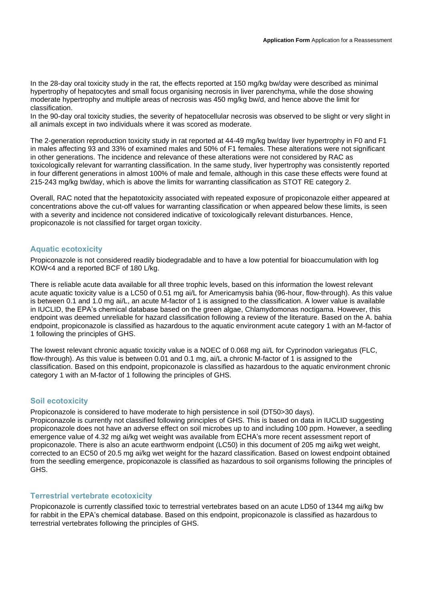In the 28-day oral toxicity study in the rat, the effects reported at 150 mg/kg bw/day were described as minimal hypertrophy of hepatocytes and small focus organising necrosis in liver parenchyma, while the dose showing moderate hypertrophy and multiple areas of necrosis was 450 mg/kg bw/d, and hence above the limit for classification.

In the 90-day oral toxicity studies, the severity of hepatocellular necrosis was observed to be slight or very slight in all animals except in two individuals where it was scored as moderate.

The 2-generation reproduction toxicity study in rat reported at 44-49 mg/kg bw/day liver hypertrophy in F0 and F1 in males affecting 93 and 33% of examined males and 50% of F1 females. These alterations were not significant in other generations. The incidence and relevance of these alterations were not considered by RAC as toxicologically relevant for warranting classification. In the same study, liver hypertrophy was consistently reported in four different generations in almost 100% of male and female, although in this case these effects were found at 215-243 mg/kg bw/day, which is above the limits for warranting classification as STOT RE category 2.

Overall, RAC noted that the hepatotoxicity associated with repeated exposure of propiconazole either appeared at concentrations above the cut-off values for warranting classification or when appeared below these limits, is seen with a severity and incidence not considered indicative of toxicologically relevant disturbances. Hence, propiconazole is not classified for target organ toxicity.

## **Aquatic ecotoxicity**

Propiconazole is not considered readily biodegradable and to have a low potential for bioaccumulation with log KOW<4 and a reported BCF of 180 L/kg.

There is reliable acute data available for all three trophic levels, based on this information the lowest relevant acute aquatic toxicity value is a LC50 of 0.51 mg ai/L for Americamysis bahia (96-hour, flow-through). As this value is between 0.1 and 1.0 mg ai/L, an acute M-factor of 1 is assigned to the classification. A lower value is available in IUCLID, the EPA's chemical database based on the green algae, Chlamydomonas noctigama. However, this endpoint was deemed unreliable for hazard classification following a review of the literature. Based on the A. bahia endpoint, propiconazole is classified as hazardous to the aquatic environment acute category 1 with an M-factor of 1 following the principles of GHS.

The lowest relevant chronic aquatic toxicity value is a NOEC of 0.068 mg ai/L for Cyprinodon variegatus (FLC, flow-through). As this value is between 0.01 and 0.1 mg, ai/L a chronic M-factor of 1 is assigned to the classification. Based on this endpoint, propiconazole is classified as hazardous to the aquatic environment chronic category 1 with an M-factor of 1 following the principles of GHS.

## **Soil ecotoxicity**

Propiconazole is considered to have moderate to high persistence in soil (DT50>30 days). Propiconazole is currently not classified following principles of GHS. This is based on data in IUCLID suggesting propiconazole does not have an adverse effect on soil microbes up to and including 100 ppm. However, a seedling emergence value of 4.32 mg ai/kg wet weight was available from ECHA's more recent assessment report of propiconazole. There is also an acute earthworm endpoint (LC50) in this document of 205 mg ai/kg wet weight, corrected to an EC50 of 20.5 mg ai/kg wet weight for the hazard classification. Based on lowest endpoint obtained from the seedling emergence, propiconazole is classified as hazardous to soil organisms following the principles of GHS.

#### **Terrestrial vertebrate ecotoxicity**

Propiconazole is currently classified toxic to terrestrial vertebrates based on an acute LD50 of 1344 mg ai/kg bw for rabbit in the EPA's chemical database. Based on this endpoint, propiconazole is classified as hazardous to terrestrial vertebrates following the principles of GHS.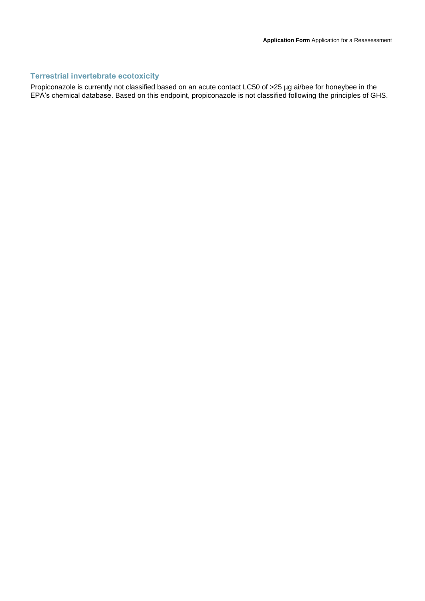## **Terrestrial invertebrate ecotoxicity**

Propiconazole is currently not classified based on an acute contact LC50 of >25 µg ai/bee for honeybee in the EPA's chemical database. Based on this endpoint, propiconazole is not classified following the principles of GHS.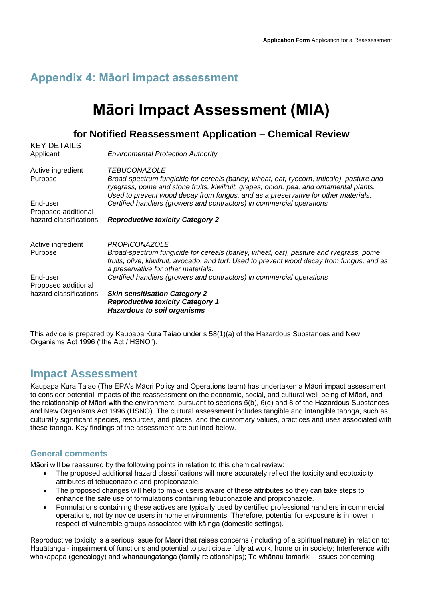## **Appendix 4: Māori impact assessment**

# **Māori Impact Assessment (MIA)**

## **for Notified Reassessment Application – Chemical Review**

| hazard classifications                        | <b>Skin sensitisation Category 2</b><br><b>Reproductive toxicity Category 1</b><br><b>Hazardous to soil organisms</b>                                                                                                                                 |
|-----------------------------------------------|-------------------------------------------------------------------------------------------------------------------------------------------------------------------------------------------------------------------------------------------------------|
| End-user<br>Proposed additional               | Certified handlers (growers and contractors) in commercial operations                                                                                                                                                                                 |
| Active ingredient<br>Purpose                  | PROPICONAZOLE<br>Broad-spectrum fungicide for cereals (barley, wheat, oat), pasture and ryegrass, pome<br>fruits, olive, kiwifruit, avocado, and turf. Used to prevent wood decay from fungus, and as<br>a preservative for other materials.          |
| Proposed additional<br>hazard classifications | <b>Reproductive toxicity Category 2</b>                                                                                                                                                                                                               |
| End-user                                      | ryegrass, pome and stone fruits, kiwifruit, grapes, onion, pea, and ornamental plants.<br>Used to prevent wood decay from fungus, and as a preservative for other materials.<br>Certified handlers (growers and contractors) in commercial operations |
| Active ingredient<br>Purpose                  | <b>TEBUCONAZOLE</b><br>Broad-spectrum fungicide for cereals (barley, wheat, oat, ryecorn, triticale), pasture and                                                                                                                                     |
| <b>KEY DETAILS</b><br>Applicant               | <b>Environmental Protection Authority</b>                                                                                                                                                                                                             |

This advice is prepared by Kaupapa Kura Taiao under s 58(1)(a) of the Hazardous Substances and New Organisms Act 1996 ("the Act / HSNO").

## **Impact Assessment**

Kaupapa Kura Taiao (The EPA's Māori Policy and Operations team) has undertaken a Māori impact assessment to consider potential impacts of the reassessment on the economic, social, and cultural well-being of Māori, and the relationship of Māori with the environment, pursuant to sections 5(b), 6(d) and 8 of the Hazardous Substances and New Organisms Act 1996 (HSNO). The cultural assessment includes tangible and intangible taonga, such as culturally significant species, resources, and places, and the customary values, practices and uses associated with these taonga. Key findings of the assessment are outlined below.

## **General comments**

Māori will be reassured by the following points in relation to this chemical review:

- The proposed additional hazard classifications will more accurately reflect the toxicity and ecotoxicity attributes of tebuconazole and propiconazole.
- The proposed changes will help to make users aware of these attributes so they can take steps to enhance the safe use of formulations containing tebuconazole and propiconazole.
- Formulations containing these actives are typically used by certified professional handlers in commercial operations, not by novice users in home environments. Therefore, potential for exposure is in lower in respect of vulnerable groups associated with kāinga (domestic settings).

Reproductive toxicity is a serious issue for Māori that raises concerns (including of a spiritual nature) in relation to: Hauātanga - impairment of functions and potential to participate fully at work, home or in society; Interference with whakapapa (genealogy) and whanaungatanga (family relationships); Te whānau tamariki - issues concerning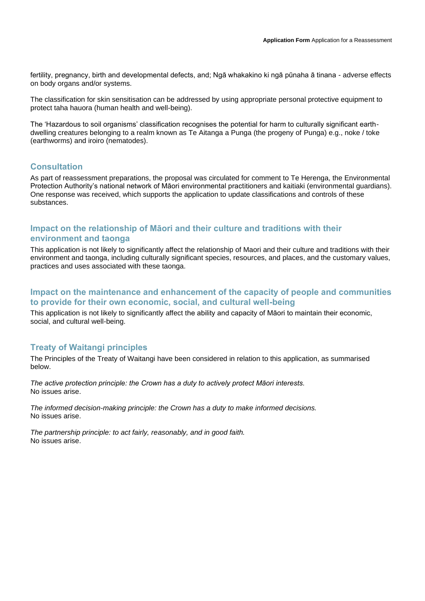fertility, pregnancy, birth and developmental defects, and; Ngā whakakino ki ngā pūnaha ā tinana - adverse effects on body organs and/or systems.

The classification for skin sensitisation can be addressed by using appropriate personal protective equipment to protect taha hauora (human health and well-being).

The 'Hazardous to soil organisms' classification recognises the potential for harm to culturally significant earthdwelling creatures belonging to a realm known as Te Aitanga a Punga (the progeny of Punga) e.g., noke / toke (earthworms) and iroiro (nematodes).

## **Consultation**

As part of reassessment preparations, the proposal was circulated for comment to Te Herenga, the Environmental Protection Authority's national network of Māori environmental practitioners and kaitiaki (environmental guardians). One response was received, which supports the application to update classifications and controls of these substances.

## **Impact on the relationship of Māori and their culture and traditions with their environment and taonga**

This application is not likely to significantly affect the relationship of Maori and their culture and traditions with their environment and taonga, including culturally significant species, resources, and places, and the customary values, practices and uses associated with these taonga.

## **Impact on the maintenance and enhancement of the capacity of people and communities to provide for their own economic, social, and cultural well-being**

This application is not likely to significantly affect the ability and capacity of Māori to maintain their economic, social, and cultural well-being.

## **Treaty of Waitangi principles**

The Principles of the Treaty of Waitangi have been considered in relation to this application, as summarised below.

*The active protection principle: the Crown has a duty to actively protect Māori interests.* No issues arise.

*The informed decision-making principle: the Crown has a duty to make informed decisions.* No issues arise.

*The partnership principle: to act fairly, reasonably, and in good faith.* No issues arise.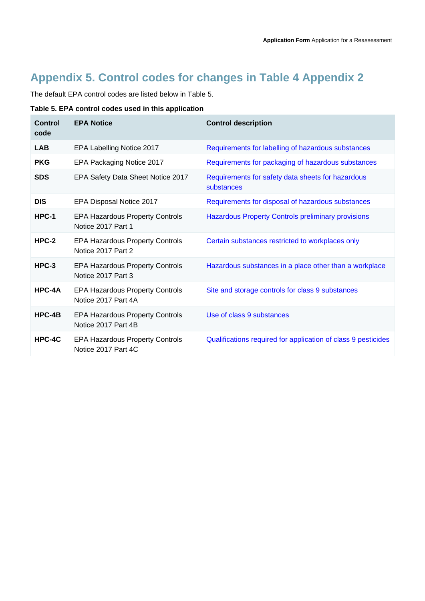## **Appendix 5. Control codes for changes in Table 4 Appendix 2**

The default EPA control codes are listed below in Table 5.

## **Table 5. EPA control codes used in this application**

| <b>Control</b><br>code | <b>EPA Notice</b>                                             | <b>Control description</b>                                      |
|------------------------|---------------------------------------------------------------|-----------------------------------------------------------------|
| <b>LAB</b>             | EPA Labelling Notice 2017                                     | Requirements for labelling of hazardous substances              |
| <b>PKG</b>             | EPA Packaging Notice 2017                                     | Requirements for packaging of hazardous substances              |
| <b>SDS</b>             | EPA Safety Data Sheet Notice 2017                             | Requirements for safety data sheets for hazardous<br>substances |
| <b>DIS</b>             | EPA Disposal Notice 2017                                      | Requirements for disposal of hazardous substances               |
| HPC-1                  | <b>EPA Hazardous Property Controls</b><br>Notice 2017 Part 1  | <b>Hazardous Property Controls preliminary provisions</b>       |
| $HPC-2$                | <b>EPA Hazardous Property Controls</b><br>Notice 2017 Part 2  | Certain substances restricted to workplaces only                |
| $HPC-3$                | <b>EPA Hazardous Property Controls</b><br>Notice 2017 Part 3  | Hazardous substances in a place other than a workplace          |
| $HPC-4A$               | <b>EPA Hazardous Property Controls</b><br>Notice 2017 Part 4A | Site and storage controls for class 9 substances                |
| $HPC-4B$               | <b>EPA Hazardous Property Controls</b><br>Notice 2017 Part 4B | Use of class 9 substances                                       |
| HPC-4C                 | <b>EPA Hazardous Property Controls</b><br>Notice 2017 Part 4C | Qualifications required for application of class 9 pesticides   |